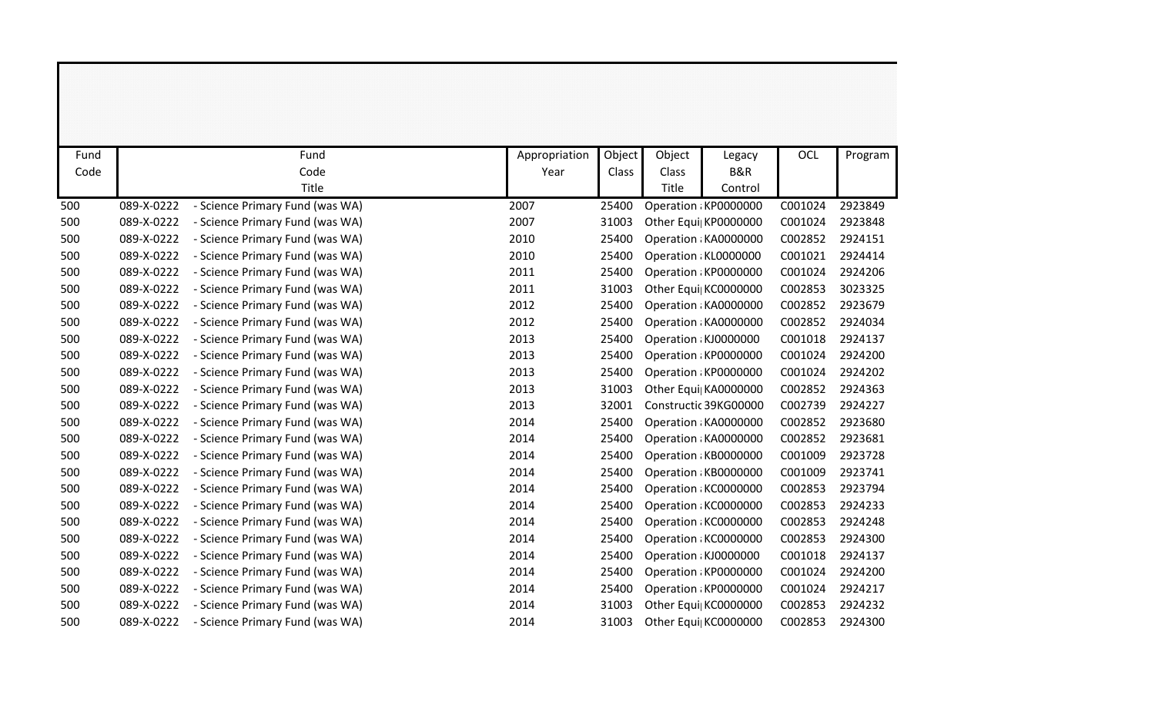| Fund |            | Fund                            | Appropriation | Object | Object | Legacy                | <b>OCL</b> | Program |
|------|------------|---------------------------------|---------------|--------|--------|-----------------------|------------|---------|
| Code |            | Code                            | Year          | Class  | Class  | B&R                   |            |         |
|      |            | Title                           |               |        | Title  | Control               |            |         |
| 500  | 089-X-0222 | - Science Primary Fund (was WA) | 2007          | 25400  |        | Operation: KP0000000  | C001024    | 2923849 |
| 500  | 089-X-0222 | - Science Primary Fund (was WA) | 2007          | 31003  |        | Other Equi  KP0000000 | C001024    | 2923848 |
| 500  | 089-X-0222 | - Science Primary Fund (was WA) | 2010          | 25400  |        | Operation : KA0000000 | C002852    | 2924151 |
| 500  | 089-X-0222 | - Science Primary Fund (was WA) | 2010          | 25400  |        | Operation: KL0000000  | C001021    | 2924414 |
| 500  | 089-X-0222 | - Science Primary Fund (was WA) | 2011          | 25400  |        | Operation KP0000000   | C001024    | 2924206 |
| 500  | 089-X-0222 | - Science Primary Fund (was WA) | 2011          | 31003  |        | Other Equi  KC0000000 | C002853    | 3023325 |
| 500  | 089-X-0222 | - Science Primary Fund (was WA) | 2012          | 25400  |        | Operation : KA0000000 | C002852    | 2923679 |
| 500  | 089-X-0222 | - Science Primary Fund (was WA) | 2012          | 25400  |        | Operation : KA0000000 | C002852    | 2924034 |
| 500  | 089-X-0222 | - Science Primary Fund (was WA) | 2013          | 25400  |        | Operation : KJ0000000 | C001018    | 2924137 |
| 500  | 089-X-0222 | - Science Primary Fund (was WA) | 2013          | 25400  |        | Operation: KP0000000  | C001024    | 2924200 |
| 500  | 089-X-0222 | - Science Primary Fund (was WA) | 2013          | 25400  |        | Operation: KP0000000  | C001024    | 2924202 |
| 500  | 089-X-0222 | - Science Primary Fund (was WA) | 2013          | 31003  |        | Other Equi  KA0000000 | C002852    | 2924363 |
| 500  | 089-X-0222 | - Science Primary Fund (was WA) | 2013          | 32001  |        | Constructic 39KG00000 | C002739    | 2924227 |
| 500  | 089-X-0222 | - Science Primary Fund (was WA) | 2014          | 25400  |        | Operation : KA0000000 | C002852    | 2923680 |
| 500  | 089-X-0222 | - Science Primary Fund (was WA) | 2014          | 25400  |        | Operation : KA0000000 | C002852    | 2923681 |
| 500  | 089-X-0222 | - Science Primary Fund (was WA) | 2014          | 25400  |        | Operation : KB0000000 | C001009    | 2923728 |
| 500  | 089-X-0222 | - Science Primary Fund (was WA) | 2014          | 25400  |        | Operation : KB0000000 | C001009    | 2923741 |
| 500  | 089-X-0222 | - Science Primary Fund (was WA) | 2014          | 25400  |        | Operation KC0000000   | C002853    | 2923794 |
| 500  | 089-X-0222 | - Science Primary Fund (was WA) | 2014          | 25400  |        | Operation KC0000000   | C002853    | 2924233 |
| 500  | 089-X-0222 | - Science Primary Fund (was WA) | 2014          | 25400  |        | Operation KC0000000   | C002853    | 2924248 |
| 500  | 089-X-0222 | - Science Primary Fund (was WA) | 2014          | 25400  |        | Operation KC0000000   | C002853    | 2924300 |
| 500  | 089-X-0222 | - Science Primary Fund (was WA) | 2014          | 25400  |        | Operation : KJ0000000 | C001018    | 2924137 |
| 500  | 089-X-0222 | - Science Primary Fund (was WA) | 2014          | 25400  |        | Operation KP0000000   | C001024    | 2924200 |
| 500  | 089-X-0222 | - Science Primary Fund (was WA) | 2014          | 25400  |        | Operation: KP0000000  | C001024    | 2924217 |
| 500  | 089-X-0222 | - Science Primary Fund (was WA) | 2014          | 31003  |        | Other Equi  KC0000000 | C002853    | 2924232 |
| 500  | 089-X-0222 | - Science Primary Fund (was WA) | 2014          | 31003  |        | Other Equi  KC0000000 | C002853    | 2924300 |

and the contract of the contract of the contract of the contract of the contract of the contract of the contract of the contract of the contract of the contract of the contract of the contract of the contract of the contra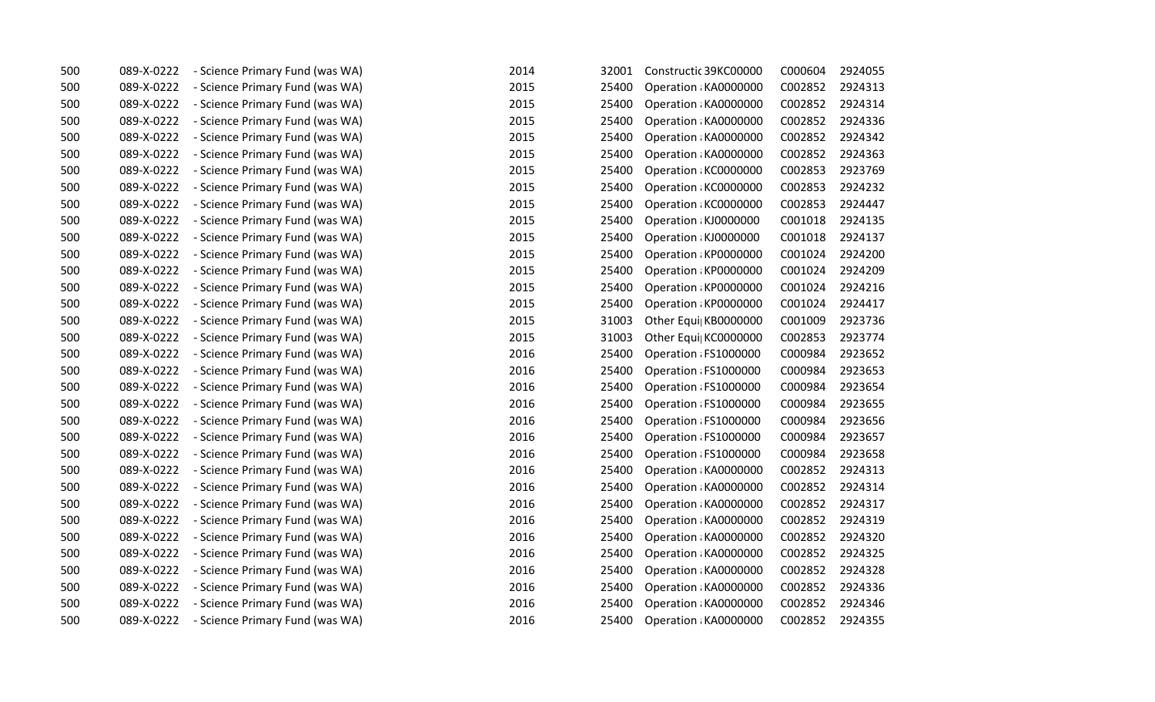| 500 | 089-X-0222 | - Science Primary Fund (was WA) | 2014 | 32001 | Constructic 39KC00000 | C000604 | 2924055 |
|-----|------------|---------------------------------|------|-------|-----------------------|---------|---------|
| 500 | 089-X-0222 | - Science Primary Fund (was WA) | 2015 | 25400 | Operation : KA0000000 | C002852 | 2924313 |
| 500 | 089-X-0222 | - Science Primary Fund (was WA) | 2015 | 25400 | Operation : KA0000000 | C002852 | 2924314 |
| 500 | 089-X-0222 | - Science Primary Fund (was WA) | 2015 | 25400 | Operation : KA0000000 | C002852 | 2924336 |
| 500 | 089-X-0222 | - Science Primary Fund (was WA) | 2015 | 25400 | Operation : KA0000000 | C002852 | 2924342 |
| 500 | 089-X-0222 | - Science Primary Fund (was WA) | 2015 | 25400 | Operation : KA0000000 | C002852 | 2924363 |
| 500 | 089-X-0222 | - Science Primary Fund (was WA) | 2015 | 25400 | Operation : KC0000000 | C002853 | 2923769 |
| 500 | 089-X-0222 | - Science Primary Fund (was WA) | 2015 | 25400 | Operation KC0000000   | C002853 | 2924232 |
| 500 | 089-X-0222 | - Science Primary Fund (was WA) | 2015 | 25400 | Operation: KC0000000  | C002853 | 2924447 |
| 500 | 089-X-0222 | - Science Primary Fund (was WA) | 2015 | 25400 | Operation : KJ0000000 | C001018 | 2924135 |
| 500 | 089-X-0222 | - Science Primary Fund (was WA) | 2015 | 25400 | Operation : KJ0000000 | C001018 | 2924137 |
| 500 | 089-X-0222 | - Science Primary Fund (was WA) | 2015 | 25400 | Operation KP0000000   | C001024 | 2924200 |
| 500 | 089-X-0222 | - Science Primary Fund (was WA) | 2015 | 25400 | Operation KP0000000   | C001024 | 2924209 |
| 500 | 089-X-0222 | - Science Primary Fund (was WA) | 2015 | 25400 | Operation: KP0000000  | C001024 | 2924216 |
| 500 | 089-X-0222 | - Science Primary Fund (was WA) | 2015 | 25400 | Operation KP0000000   | C001024 | 2924417 |
| 500 | 089-X-0222 | - Science Primary Fund (was WA) | 2015 | 31003 | Other Equi  KB0000000 | C001009 | 2923736 |
| 500 | 089-X-0222 | - Science Primary Fund (was WA) | 2015 | 31003 | Other Equi  KC0000000 | C002853 | 2923774 |
| 500 | 089-X-0222 | - Science Primary Fund (was WA) | 2016 | 25400 | Operation : FS1000000 | C000984 | 2923652 |
| 500 | 089-X-0222 | - Science Primary Fund (was WA) | 2016 | 25400 | Operation : FS1000000 | C000984 | 2923653 |
| 500 | 089-X-0222 | - Science Primary Fund (was WA) | 2016 | 25400 | Operation : FS1000000 | C000984 | 2923654 |
| 500 | 089-X-0222 | - Science Primary Fund (was WA) | 2016 | 25400 | Operation : FS1000000 | C000984 | 2923655 |
| 500 | 089-X-0222 | - Science Primary Fund (was WA) | 2016 | 25400 | Operation : FS1000000 | C000984 | 2923656 |
| 500 | 089-X-0222 | - Science Primary Fund (was WA) | 2016 | 25400 | Operation : FS1000000 | C000984 | 2923657 |
| 500 | 089-X-0222 | - Science Primary Fund (was WA) | 2016 | 25400 | Operation : FS1000000 | C000984 | 2923658 |
| 500 | 089-X-0222 | - Science Primary Fund (was WA) | 2016 | 25400 | Operation KA0000000   | C002852 | 2924313 |
| 500 | 089-X-0222 | - Science Primary Fund (was WA) | 2016 | 25400 | Operation : KA0000000 | C002852 | 2924314 |
| 500 | 089-X-0222 | - Science Primary Fund (was WA) | 2016 | 25400 | Operation : KA0000000 | C002852 | 2924317 |
| 500 | 089-X-0222 | - Science Primary Fund (was WA) | 2016 | 25400 | Operation : KA0000000 | C002852 | 2924319 |
| 500 | 089-X-0222 | - Science Primary Fund (was WA) | 2016 | 25400 | Operation : KA0000000 | C002852 | 2924320 |
| 500 | 089-X-0222 | - Science Primary Fund (was WA) | 2016 | 25400 | Operation : KA0000000 | C002852 | 2924325 |
| 500 | 089-X-0222 | - Science Primary Fund (was WA) | 2016 | 25400 | Operation : KA0000000 | C002852 | 2924328 |
| 500 | 089-X-0222 | - Science Primary Fund (was WA) | 2016 | 25400 | Operation : KA0000000 | C002852 | 2924336 |
| 500 | 089-X-0222 | - Science Primary Fund (was WA) | 2016 | 25400 | Operation : KA0000000 | C002852 | 2924346 |
| 500 | 089-X-0222 | - Science Primary Fund (was WA) | 2016 | 25400 | Operation : KA0000000 | C002852 | 2924355 |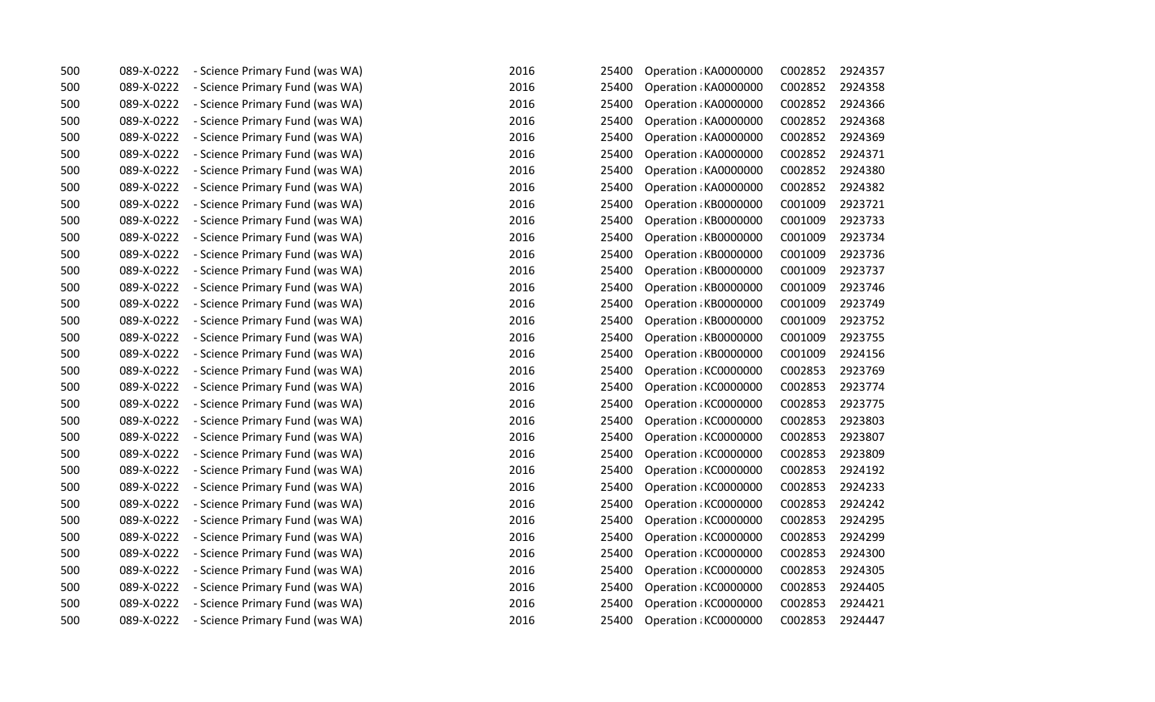| 500 | 089-X-0222 | - Science Primary Fund (was WA) | 2016 | 25400 | Operation: KA0000000  | C002852 | 2924357 |
|-----|------------|---------------------------------|------|-------|-----------------------|---------|---------|
| 500 | 089-X-0222 | - Science Primary Fund (was WA) | 2016 | 25400 | Operation : KA0000000 | C002852 | 2924358 |
| 500 | 089-X-0222 | - Science Primary Fund (was WA) | 2016 | 25400 | Operation : KA0000000 | C002852 | 2924366 |
| 500 | 089-X-0222 | - Science Primary Fund (was WA) | 2016 | 25400 | Operation : KA0000000 | C002852 | 2924368 |
| 500 | 089-X-0222 | - Science Primary Fund (was WA) | 2016 | 25400 | Operation : KA0000000 | C002852 | 2924369 |
| 500 | 089-X-0222 | - Science Primary Fund (was WA) | 2016 | 25400 | Operation : KA0000000 | C002852 | 2924371 |
| 500 | 089-X-0222 | - Science Primary Fund (was WA) | 2016 | 25400 | Operation : KA0000000 | C002852 | 2924380 |
| 500 | 089-X-0222 | - Science Primary Fund (was WA) | 2016 | 25400 | Operation : KA0000000 | C002852 | 2924382 |
| 500 | 089-X-0222 | - Science Primary Fund (was WA) | 2016 | 25400 | Operation: KB0000000  | C001009 | 2923721 |
| 500 | 089-X-0222 | - Science Primary Fund (was WA) | 2016 | 25400 | Operation: KB0000000  | C001009 | 2923733 |
| 500 | 089-X-0222 | - Science Primary Fund (was WA) | 2016 | 25400 | Operation: KB0000000  | C001009 | 2923734 |
| 500 | 089-X-0222 | - Science Primary Fund (was WA) | 2016 | 25400 | Operation : KB0000000 | C001009 | 2923736 |
| 500 | 089-X-0222 | - Science Primary Fund (was WA) | 2016 | 25400 | Operation KB0000000   | C001009 | 2923737 |
| 500 | 089-X-0222 | - Science Primary Fund (was WA) | 2016 | 25400 | Operation: KB0000000  | C001009 | 2923746 |
| 500 | 089-X-0222 | - Science Primary Fund (was WA) | 2016 | 25400 | Operation KB0000000   | C001009 | 2923749 |
| 500 | 089-X-0222 | - Science Primary Fund (was WA) | 2016 | 25400 | Operation: KB0000000  | C001009 | 2923752 |
| 500 | 089-X-0222 | - Science Primary Fund (was WA) | 2016 | 25400 | Operation: KB0000000  | C001009 | 2923755 |
| 500 | 089-X-0222 | - Science Primary Fund (was WA) | 2016 | 25400 | Operation: KB0000000  | C001009 | 2924156 |
| 500 | 089-X-0222 | - Science Primary Fund (was WA) | 2016 | 25400 | Operation KC0000000   | C002853 | 2923769 |
| 500 | 089-X-0222 | - Science Primary Fund (was WA) | 2016 | 25400 | Operation: KC0000000  | C002853 | 2923774 |
| 500 | 089-X-0222 | - Science Primary Fund (was WA) | 2016 | 25400 | Operation: KC0000000  | C002853 | 2923775 |
| 500 | 089-X-0222 | - Science Primary Fund (was WA) | 2016 | 25400 | Operation KC0000000   | C002853 | 2923803 |
| 500 | 089-X-0222 | - Science Primary Fund (was WA) | 2016 | 25400 | Operation KC0000000   | C002853 | 2923807 |
| 500 | 089-X-0222 | - Science Primary Fund (was WA) | 2016 | 25400 | Operation: KC0000000  | C002853 | 2923809 |
| 500 | 089-X-0222 | - Science Primary Fund (was WA) | 2016 | 25400 | Operation KC0000000   | C002853 | 2924192 |
| 500 | 089-X-0222 | - Science Primary Fund (was WA) | 2016 | 25400 | Operation KC0000000   | C002853 | 2924233 |
| 500 | 089-X-0222 | - Science Primary Fund (was WA) | 2016 | 25400 | Operation KC0000000   | C002853 | 2924242 |
| 500 | 089-X-0222 | - Science Primary Fund (was WA) | 2016 | 25400 | Operation: KC0000000  | C002853 | 2924295 |
| 500 | 089-X-0222 | - Science Primary Fund (was WA) | 2016 | 25400 | Operation: KC0000000  | C002853 | 2924299 |
| 500 | 089-X-0222 | - Science Primary Fund (was WA) | 2016 | 25400 | Operation: KC0000000  | C002853 | 2924300 |
| 500 | 089-X-0222 | - Science Primary Fund (was WA) | 2016 | 25400 | Operation: KC0000000  | C002853 | 2924305 |
| 500 | 089-X-0222 | - Science Primary Fund (was WA) | 2016 | 25400 | Operation KC0000000   | C002853 | 2924405 |
| 500 | 089-X-0222 | - Science Primary Fund (was WA) | 2016 | 25400 | Operation: KC0000000  | C002853 | 2924421 |
| 500 | 089-X-0222 | - Science Primary Fund (was WA) | 2016 | 25400 | Operation: KC0000000  | C002853 | 2924447 |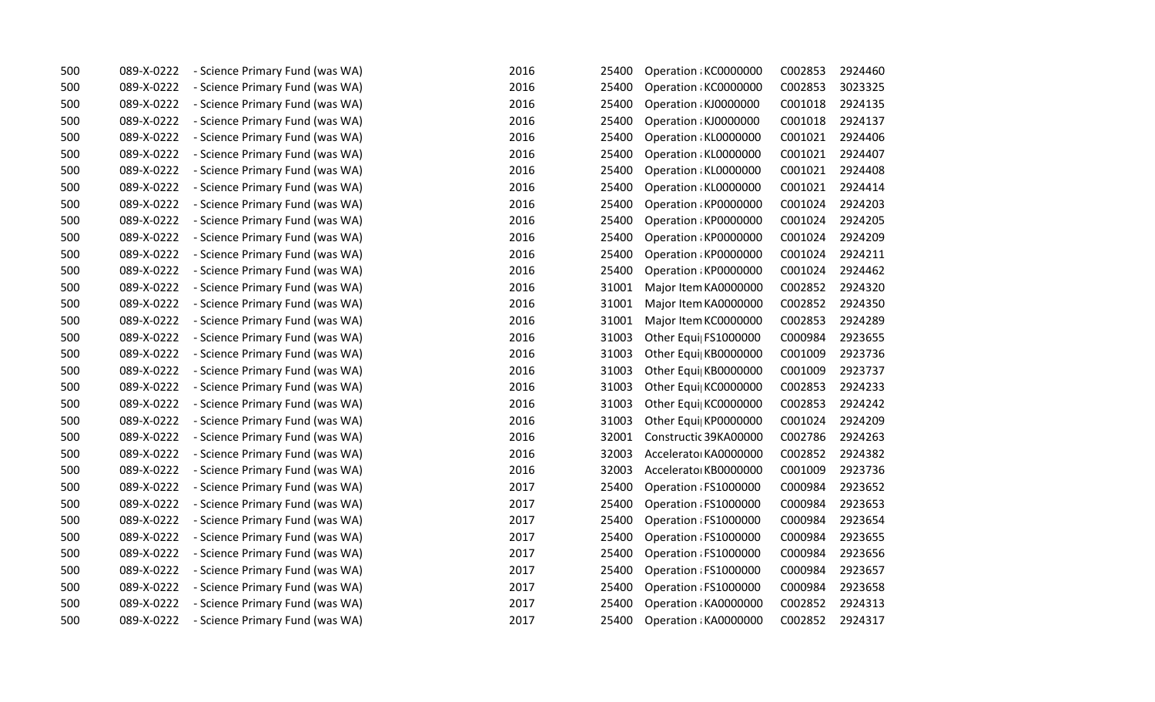| 500 | 089-X-0222 | - Science Primary Fund (was WA) | 2016 | 25400 | Operation: KC0000000  | C002853 | 2924460 |
|-----|------------|---------------------------------|------|-------|-----------------------|---------|---------|
| 500 | 089-X-0222 | - Science Primary Fund (was WA) | 2016 | 25400 | Operation: KC0000000  | C002853 | 3023325 |
| 500 | 089-X-0222 | - Science Primary Fund (was WA) | 2016 | 25400 | Operation : KJ0000000 | C001018 | 2924135 |
| 500 | 089-X-0222 | - Science Primary Fund (was WA) | 2016 | 25400 | Operation : KJ0000000 | C001018 | 2924137 |
| 500 | 089-X-0222 | - Science Primary Fund (was WA) | 2016 | 25400 | Operation : KL0000000 | C001021 | 2924406 |
| 500 | 089-X-0222 | - Science Primary Fund (was WA) | 2016 | 25400 | Operation : KL0000000 | C001021 | 2924407 |
| 500 | 089-X-0222 | - Science Primary Fund (was WA) | 2016 | 25400 | Operation : KL0000000 | C001021 | 2924408 |
| 500 | 089-X-0222 | - Science Primary Fund (was WA) | 2016 | 25400 | Operation: KL0000000  | C001021 | 2924414 |
| 500 | 089-X-0222 | - Science Primary Fund (was WA) | 2016 | 25400 | Operation: KP0000000  | C001024 | 2924203 |
| 500 | 089-X-0222 | - Science Primary Fund (was WA) | 2016 | 25400 | Operation: KP0000000  | C001024 | 2924205 |
| 500 | 089-X-0222 | - Science Primary Fund (was WA) | 2016 | 25400 | Operation: KP0000000  | C001024 | 2924209 |
| 500 | 089-X-0222 | - Science Primary Fund (was WA) | 2016 | 25400 | Operation: KP0000000  | C001024 | 2924211 |
| 500 | 089-X-0222 | - Science Primary Fund (was WA) | 2016 | 25400 | Operation: KP0000000  | C001024 | 2924462 |
| 500 | 089-X-0222 | - Science Primary Fund (was WA) | 2016 | 31001 | Major Item KA0000000  | C002852 | 2924320 |
| 500 | 089-X-0222 | - Science Primary Fund (was WA) | 2016 | 31001 | Major Item KA0000000  | C002852 | 2924350 |
| 500 | 089-X-0222 | - Science Primary Fund (was WA) | 2016 | 31001 | Major Item KC0000000  | C002853 | 2924289 |
| 500 | 089-X-0222 | - Science Primary Fund (was WA) | 2016 | 31003 | Other Equi FS1000000  | C000984 | 2923655 |
| 500 | 089-X-0222 | - Science Primary Fund (was WA) | 2016 | 31003 | Other Equi  KB0000000 | C001009 | 2923736 |
| 500 | 089-X-0222 | - Science Primary Fund (was WA) | 2016 | 31003 | Other Equi  KB0000000 | C001009 | 2923737 |
| 500 | 089-X-0222 | - Science Primary Fund (was WA) | 2016 | 31003 | Other Equi  KC0000000 | C002853 | 2924233 |
| 500 | 089-X-0222 | - Science Primary Fund (was WA) | 2016 | 31003 | Other Equi  KC0000000 | C002853 | 2924242 |
| 500 | 089-X-0222 | - Science Primary Fund (was WA) | 2016 | 31003 | Other Equi  KP0000000 | C001024 | 2924209 |
| 500 | 089-X-0222 | - Science Primary Fund (was WA) | 2016 | 32001 | Constructic 39KA00000 | C002786 | 2924263 |
| 500 | 089-X-0222 | - Science Primary Fund (was WA) | 2016 | 32003 | Accelerato KA0000000  | C002852 | 2924382 |
| 500 | 089-X-0222 | - Science Primary Fund (was WA) | 2016 | 32003 | Accelerato KB0000000  | C001009 | 2923736 |
| 500 | 089-X-0222 | - Science Primary Fund (was WA) | 2017 | 25400 | Operation : FS1000000 | C000984 | 2923652 |
| 500 | 089-X-0222 | - Science Primary Fund (was WA) | 2017 | 25400 | Operation : FS1000000 | C000984 | 2923653 |
| 500 | 089-X-0222 | - Science Primary Fund (was WA) | 2017 | 25400 | Operation : FS1000000 | C000984 | 2923654 |
| 500 | 089-X-0222 | - Science Primary Fund (was WA) | 2017 | 25400 | Operation : FS1000000 | C000984 | 2923655 |
| 500 | 089-X-0222 | - Science Primary Fund (was WA) | 2017 | 25400 | Operation : FS1000000 | C000984 | 2923656 |
| 500 | 089-X-0222 | - Science Primary Fund (was WA) | 2017 | 25400 | Operation : FS1000000 | C000984 | 2923657 |
| 500 | 089-X-0222 | - Science Primary Fund (was WA) | 2017 | 25400 | Operation : FS1000000 | C000984 | 2923658 |
| 500 | 089-X-0222 | - Science Primary Fund (was WA) | 2017 | 25400 | Operation: KA0000000  | C002852 | 2924313 |
| 500 | 089-X-0222 | - Science Primary Fund (was WA) | 2017 | 25400 | Operation: KA0000000  | C002852 | 2924317 |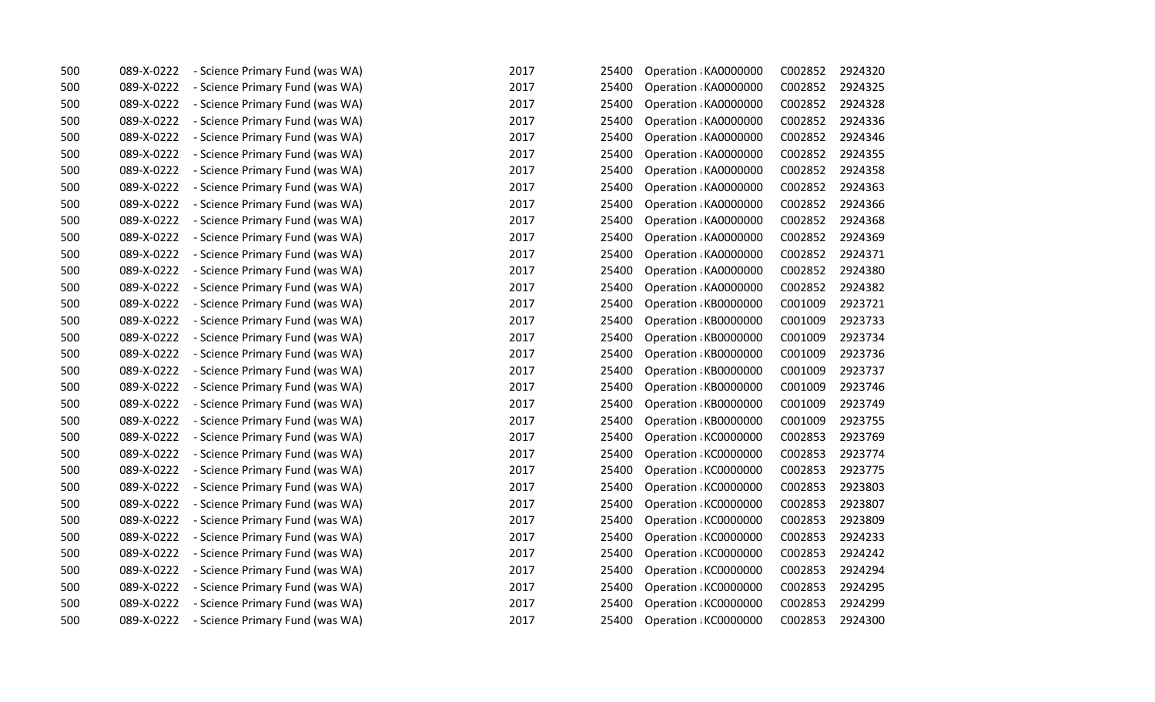| 500 | 089-X-0222 | - Science Primary Fund (was WA) | 2017 | 25400 | Operation : KA0000000 | C002852 | 2924320 |
|-----|------------|---------------------------------|------|-------|-----------------------|---------|---------|
| 500 | 089-X-0222 | - Science Primary Fund (was WA) | 2017 | 25400 | Operation: KA0000000  | C002852 | 2924325 |
| 500 | 089-X-0222 | - Science Primary Fund (was WA) | 2017 | 25400 | Operation : KA0000000 | C002852 | 2924328 |
| 500 | 089-X-0222 | - Science Primary Fund (was WA) | 2017 | 25400 | Operation: KA0000000  | C002852 | 2924336 |
| 500 | 089-X-0222 | - Science Primary Fund (was WA) | 2017 | 25400 | Operation: KA0000000  | C002852 | 2924346 |
| 500 | 089-X-0222 | - Science Primary Fund (was WA) | 2017 | 25400 | Operation : KA0000000 | C002852 | 2924355 |
| 500 | 089-X-0222 | - Science Primary Fund (was WA) | 2017 | 25400 | Operation : KA0000000 | C002852 | 2924358 |
| 500 | 089-X-0222 | - Science Primary Fund (was WA) | 2017 | 25400 | Operation : KA0000000 | C002852 | 2924363 |
| 500 | 089-X-0222 | - Science Primary Fund (was WA) | 2017 | 25400 | Operation : KA0000000 | C002852 | 2924366 |
| 500 | 089-X-0222 | - Science Primary Fund (was WA) | 2017 | 25400 | Operation: KA0000000  | C002852 | 2924368 |
| 500 | 089-X-0222 | - Science Primary Fund (was WA) | 2017 | 25400 | Operation : KA0000000 | C002852 | 2924369 |
| 500 | 089-X-0222 | - Science Primary Fund (was WA) | 2017 | 25400 | Operation: KA0000000  | C002852 | 2924371 |
| 500 | 089-X-0222 | - Science Primary Fund (was WA) | 2017 | 25400 | Operation : KA0000000 | C002852 | 2924380 |
| 500 | 089-X-0222 | - Science Primary Fund (was WA) | 2017 | 25400 | Operation KA0000000   | C002852 | 2924382 |
| 500 | 089-X-0222 | - Science Primary Fund (was WA) | 2017 | 25400 | Operation: KB0000000  | C001009 | 2923721 |
| 500 | 089-X-0222 | - Science Primary Fund (was WA) | 2017 | 25400 | Operation: KB0000000  | C001009 | 2923733 |
| 500 | 089-X-0222 | - Science Primary Fund (was WA) | 2017 | 25400 | Operation: KB0000000  | C001009 | 2923734 |
| 500 | 089-X-0222 | - Science Primary Fund (was WA) | 2017 | 25400 | Operation KB0000000   | C001009 | 2923736 |
| 500 | 089-X-0222 | - Science Primary Fund (was WA) | 2017 | 25400 | Operation: KB0000000  | C001009 | 2923737 |
| 500 | 089-X-0222 | - Science Primary Fund (was WA) | 2017 | 25400 | Operation : KB0000000 | C001009 | 2923746 |
| 500 | 089-X-0222 | - Science Primary Fund (was WA) | 2017 | 25400 | Operation: KB0000000  | C001009 | 2923749 |
| 500 | 089-X-0222 | - Science Primary Fund (was WA) | 2017 | 25400 | Operation: KB0000000  | C001009 | 2923755 |
| 500 | 089-X-0222 | - Science Primary Fund (was WA) | 2017 | 25400 | Operation: KC0000000  | C002853 | 2923769 |
| 500 | 089-X-0222 | - Science Primary Fund (was WA) | 2017 | 25400 | Operation : KC0000000 | C002853 | 2923774 |
| 500 | 089-X-0222 | - Science Primary Fund (was WA) | 2017 | 25400 | Operation: KC0000000  | C002853 | 2923775 |
| 500 | 089-X-0222 | - Science Primary Fund (was WA) | 2017 | 25400 | Operation KC0000000   | C002853 | 2923803 |
| 500 | 089-X-0222 | - Science Primary Fund (was WA) | 2017 | 25400 | Operation: KC0000000  | C002853 | 2923807 |
| 500 | 089-X-0222 | - Science Primary Fund (was WA) | 2017 | 25400 | Operation: KC0000000  | C002853 | 2923809 |
| 500 | 089-X-0222 | - Science Primary Fund (was WA) | 2017 | 25400 | Operation : KC0000000 | C002853 | 2924233 |
| 500 | 089-X-0222 | - Science Primary Fund (was WA) | 2017 | 25400 | Operation : KC0000000 | C002853 | 2924242 |
| 500 | 089-X-0222 | - Science Primary Fund (was WA) | 2017 | 25400 | Operation KC0000000   | C002853 | 2924294 |
| 500 | 089-X-0222 | - Science Primary Fund (was WA) | 2017 | 25400 | Operation: KC0000000  | C002853 | 2924295 |
| 500 | 089-X-0222 | - Science Primary Fund (was WA) | 2017 | 25400 | Operation KC0000000   | C002853 | 2924299 |
| 500 | 089-X-0222 | - Science Primary Fund (was WA) | 2017 | 25400 | Operation: KC0000000  | C002853 | 2924300 |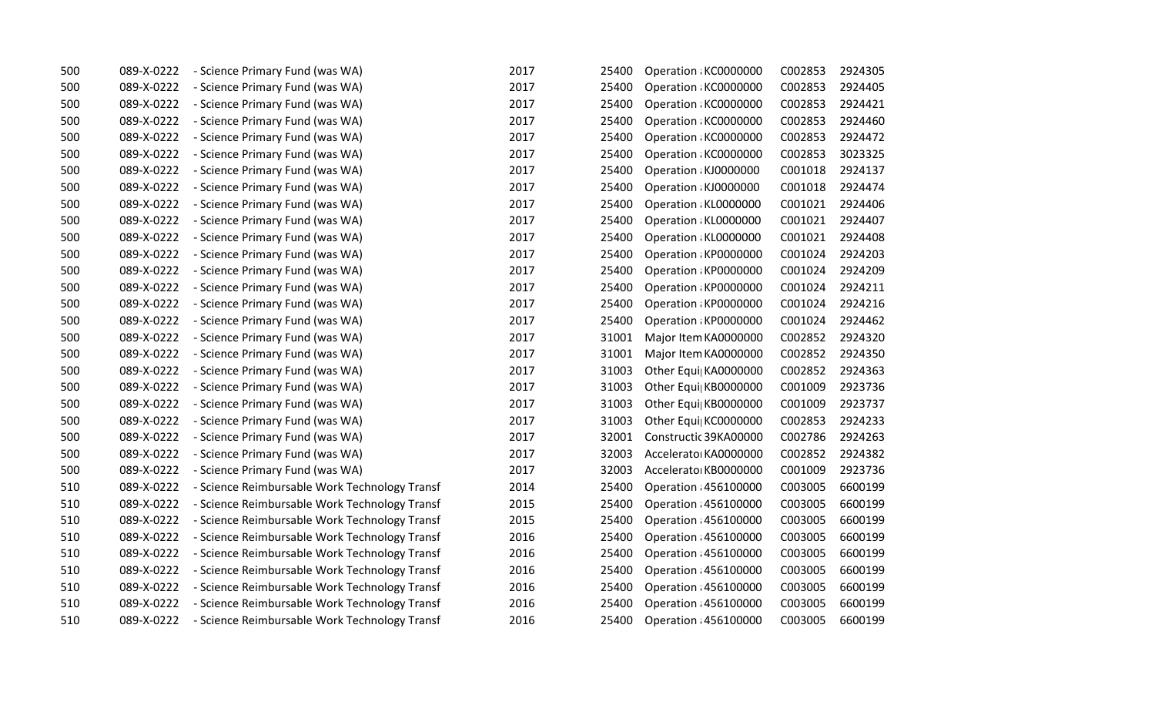| 500 | 089-X-0222 | - Science Primary Fund (was WA)               | 2017 | 25400 | Operation KC0000000   | C002853 | 2924305 |
|-----|------------|-----------------------------------------------|------|-------|-----------------------|---------|---------|
| 500 | 089-X-0222 | - Science Primary Fund (was WA)               | 2017 | 25400 | Operation: KC0000000  | C002853 | 2924405 |
| 500 | 089-X-0222 | - Science Primary Fund (was WA)               | 2017 | 25400 | Operation KC0000000   | C002853 | 2924421 |
| 500 | 089-X-0222 | - Science Primary Fund (was WA)               | 2017 | 25400 | Operation KC0000000   | C002853 | 2924460 |
| 500 | 089-X-0222 | - Science Primary Fund (was WA)               | 2017 | 25400 | Operation KC0000000   | C002853 | 2924472 |
| 500 | 089-X-0222 | - Science Primary Fund (was WA)               | 2017 | 25400 | Operation KC0000000   | C002853 | 3023325 |
| 500 | 089-X-0222 | - Science Primary Fund (was WA)               | 2017 | 25400 | Operation : KJ0000000 | C001018 | 2924137 |
| 500 | 089-X-0222 | - Science Primary Fund (was WA)               | 2017 | 25400 | Operation : KJ0000000 | C001018 | 2924474 |
| 500 | 089-X-0222 | - Science Primary Fund (was WA)               | 2017 | 25400 | Operation : KL0000000 | C001021 | 2924406 |
| 500 | 089-X-0222 | - Science Primary Fund (was WA)               | 2017 | 25400 | Operation : KL0000000 | C001021 | 2924407 |
| 500 | 089-X-0222 | - Science Primary Fund (was WA)               | 2017 | 25400 | Operation : KL0000000 | C001021 | 2924408 |
| 500 | 089-X-0222 | - Science Primary Fund (was WA)               | 2017 | 25400 | Operation: KP0000000  | C001024 | 2924203 |
| 500 | 089-X-0222 | - Science Primary Fund (was WA)               | 2017 | 25400 | Operation: KP0000000  | C001024 | 2924209 |
| 500 | 089-X-0222 | - Science Primary Fund (was WA)               | 2017 | 25400 | Operation KP0000000   | C001024 | 2924211 |
| 500 | 089-X-0222 | - Science Primary Fund (was WA)               | 2017 | 25400 | Operation: KP0000000  | C001024 | 2924216 |
| 500 | 089-X-0222 | - Science Primary Fund (was WA)               | 2017 | 25400 | Operation: KP0000000  | C001024 | 2924462 |
| 500 | 089-X-0222 | - Science Primary Fund (was WA)               | 2017 | 31001 | Major Item KA0000000  | C002852 | 2924320 |
| 500 | 089-X-0222 | - Science Primary Fund (was WA)               | 2017 | 31001 | Major Item KA0000000  | C002852 | 2924350 |
| 500 | 089-X-0222 | - Science Primary Fund (was WA)               | 2017 | 31003 | Other Equi  KA0000000 | C002852 | 2924363 |
| 500 | 089-X-0222 | - Science Primary Fund (was WA)               | 2017 | 31003 | Other Equi  KB0000000 | C001009 | 2923736 |
| 500 | 089-X-0222 | - Science Primary Fund (was WA)               | 2017 | 31003 | Other Equi  KB0000000 | C001009 | 2923737 |
| 500 | 089-X-0222 | - Science Primary Fund (was WA)               | 2017 | 31003 | Other Equi  KC0000000 | C002853 | 2924233 |
| 500 | 089-X-0222 | - Science Primary Fund (was WA)               | 2017 | 32001 | Constructic 39KA00000 | C002786 | 2924263 |
| 500 | 089-X-0222 | - Science Primary Fund (was WA)               | 2017 | 32003 | Accelerato KA0000000  | C002852 | 2924382 |
| 500 | 089-X-0222 | - Science Primary Fund (was WA)               | 2017 | 32003 | Accelerato KB0000000  | C001009 | 2923736 |
| 510 | 089-X-0222 | - Science Reimbursable Work Technology Transf | 2014 | 25400 | Operation : 456100000 | C003005 | 6600199 |
| 510 | 089-X-0222 | - Science Reimbursable Work Technology Transf | 2015 | 25400 | Operation : 456100000 | C003005 | 6600199 |
| 510 | 089-X-0222 | - Science Reimbursable Work Technology Transf | 2015 | 25400 | Operation : 456100000 | C003005 | 6600199 |
| 510 | 089-X-0222 | - Science Reimbursable Work Technology Transf | 2016 | 25400 | Operation : 456100000 | C003005 | 6600199 |
| 510 | 089-X-0222 | - Science Reimbursable Work Technology Transf | 2016 | 25400 | Operation : 456100000 | C003005 | 6600199 |
| 510 | 089-X-0222 | - Science Reimbursable Work Technology Transf | 2016 | 25400 | Operation : 456100000 | C003005 | 6600199 |
| 510 | 089-X-0222 | - Science Reimbursable Work Technology Transf | 2016 | 25400 | Operation : 456100000 | C003005 | 6600199 |
| 510 | 089-X-0222 | - Science Reimbursable Work Technology Transf | 2016 | 25400 | Operation : 456100000 | C003005 | 6600199 |
| 510 | 089-X-0222 | - Science Reimbursable Work Technology Transf | 2016 | 25400 | Operation : 456100000 | C003005 | 6600199 |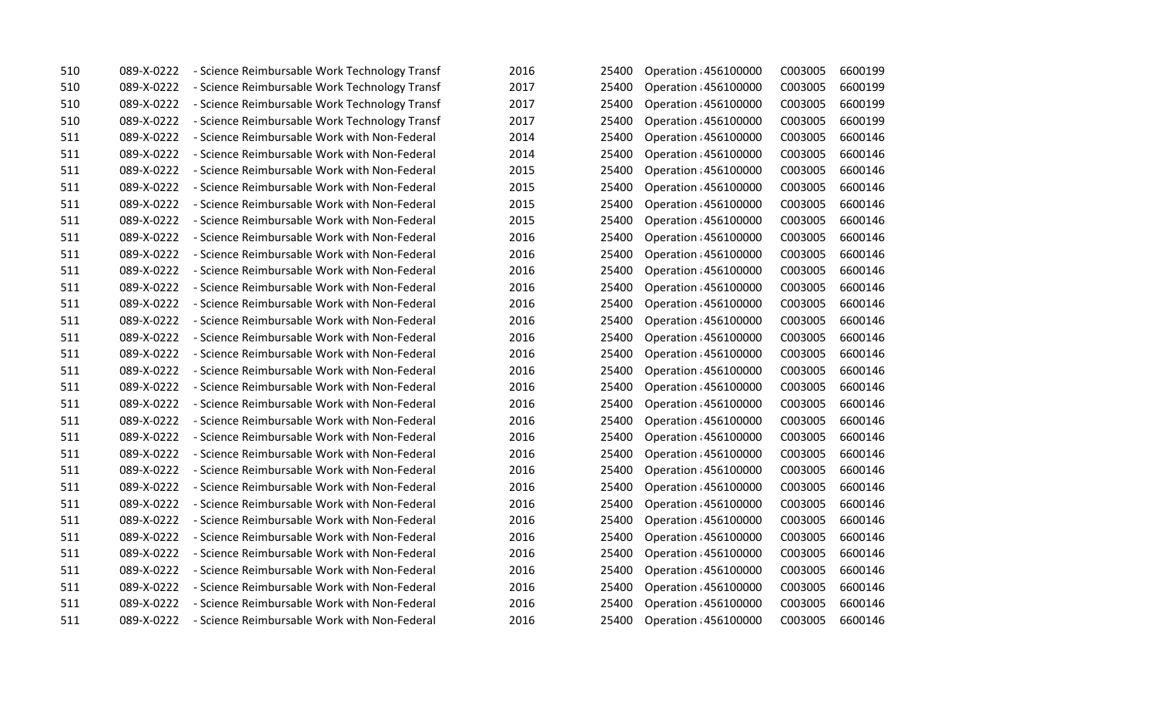| 510 | 089-X-0222 | - Science Reimbursable Work Technology Transf | 2016 | 25400 | Operation : 456100000 | C003005 | 6600199 |
|-----|------------|-----------------------------------------------|------|-------|-----------------------|---------|---------|
| 510 | 089-X-0222 | - Science Reimbursable Work Technology Transf | 2017 | 25400 | Operation : 456100000 | C003005 | 6600199 |
| 510 | 089-X-0222 | - Science Reimbursable Work Technology Transf | 2017 | 25400 | Operation : 456100000 | C003005 | 6600199 |
| 510 | 089-X-0222 | - Science Reimbursable Work Technology Transf | 2017 | 25400 | Operation : 456100000 | C003005 | 6600199 |
| 511 | 089-X-0222 | - Science Reimbursable Work with Non-Federal  | 2014 | 25400 | Operation : 456100000 | C003005 | 6600146 |
| 511 | 089-X-0222 | - Science Reimbursable Work with Non-Federal  | 2014 | 25400 | Operation : 456100000 | C003005 | 6600146 |
| 511 | 089-X-0222 | - Science Reimbursable Work with Non-Federal  | 2015 | 25400 | Operation : 456100000 | C003005 | 6600146 |
| 511 | 089-X-0222 | - Science Reimbursable Work with Non-Federal  | 2015 | 25400 | Operation : 456100000 | C003005 | 6600146 |
| 511 | 089-X-0222 | - Science Reimbursable Work with Non-Federal  | 2015 | 25400 | Operation : 456100000 | C003005 | 6600146 |
| 511 | 089-X-0222 | - Science Reimbursable Work with Non-Federal  | 2015 | 25400 | Operation : 456100000 | C003005 | 6600146 |
| 511 | 089-X-0222 | - Science Reimbursable Work with Non-Federal  | 2016 | 25400 | Operation : 456100000 | C003005 | 6600146 |
| 511 | 089-X-0222 | - Science Reimbursable Work with Non-Federal  | 2016 | 25400 | Operation : 456100000 | C003005 | 6600146 |
| 511 | 089-X-0222 | - Science Reimbursable Work with Non-Federal  | 2016 | 25400 | Operation : 456100000 | C003005 | 6600146 |
| 511 | 089-X-0222 | - Science Reimbursable Work with Non-Federal  | 2016 | 25400 | Operation : 456100000 | C003005 | 6600146 |
| 511 | 089-X-0222 | - Science Reimbursable Work with Non-Federal  | 2016 | 25400 | Operation : 456100000 | C003005 | 6600146 |
| 511 | 089-X-0222 | - Science Reimbursable Work with Non-Federal  | 2016 | 25400 | Operation : 456100000 | C003005 | 6600146 |
| 511 | 089-X-0222 | - Science Reimbursable Work with Non-Federal  | 2016 | 25400 | Operation : 456100000 | C003005 | 6600146 |
| 511 | 089-X-0222 | - Science Reimbursable Work with Non-Federal  | 2016 | 25400 | Operation : 456100000 | C003005 | 6600146 |
| 511 | 089-X-0222 | - Science Reimbursable Work with Non-Federal  | 2016 | 25400 | Operation : 456100000 | C003005 | 6600146 |
| 511 | 089-X-0222 | - Science Reimbursable Work with Non-Federal  | 2016 | 25400 | Operation : 456100000 | C003005 | 6600146 |
| 511 | 089-X-0222 | - Science Reimbursable Work with Non-Federal  | 2016 | 25400 | Operation : 456100000 | C003005 | 6600146 |
| 511 | 089-X-0222 | - Science Reimbursable Work with Non-Federal  | 2016 | 25400 | Operation : 456100000 | C003005 | 6600146 |
| 511 | 089-X-0222 | - Science Reimbursable Work with Non-Federal  | 2016 | 25400 | Operation : 456100000 | C003005 | 6600146 |
| 511 | 089-X-0222 | - Science Reimbursable Work with Non-Federal  | 2016 | 25400 | Operation : 456100000 | C003005 | 6600146 |
| 511 | 089-X-0222 | - Science Reimbursable Work with Non-Federal  | 2016 | 25400 | Operation : 456100000 | C003005 | 6600146 |
| 511 | 089-X-0222 | - Science Reimbursable Work with Non-Federal  | 2016 | 25400 | Operation : 456100000 | C003005 | 6600146 |
| 511 | 089-X-0222 | - Science Reimbursable Work with Non-Federal  | 2016 | 25400 | Operation : 456100000 | C003005 | 6600146 |
| 511 | 089-X-0222 | - Science Reimbursable Work with Non-Federal  | 2016 | 25400 | Operation : 456100000 | C003005 | 6600146 |
| 511 | 089-X-0222 | - Science Reimbursable Work with Non-Federal  | 2016 | 25400 | Operation : 456100000 | C003005 | 6600146 |
| 511 | 089-X-0222 | - Science Reimbursable Work with Non-Federal  | 2016 | 25400 | Operation : 456100000 | C003005 | 6600146 |
| 511 | 089-X-0222 | - Science Reimbursable Work with Non-Federal  | 2016 | 25400 | Operation : 456100000 | C003005 | 6600146 |
| 511 | 089-X-0222 | - Science Reimbursable Work with Non-Federal  | 2016 | 25400 | Operation : 456100000 | C003005 | 6600146 |
| 511 | 089-X-0222 | - Science Reimbursable Work with Non-Federal  | 2016 | 25400 | Operation : 456100000 | C003005 | 6600146 |
| 511 | 089-X-0222 | - Science Reimbursable Work with Non-Federal  | 2016 | 25400 | Operation : 456100000 | C003005 | 6600146 |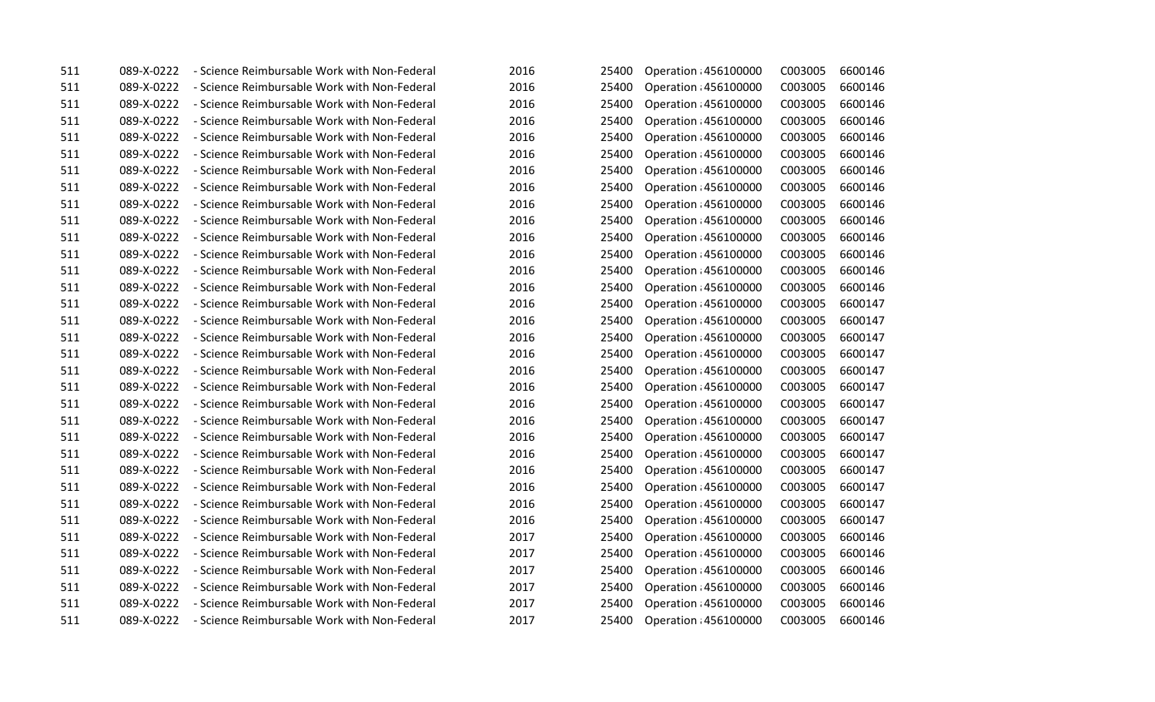| 511 | 089-X-0222 | - Science Reimbursable Work with Non-Federal | 2016 | 25400 | Operation : 456100000 | C003005 | 6600146 |
|-----|------------|----------------------------------------------|------|-------|-----------------------|---------|---------|
| 511 | 089-X-0222 | - Science Reimbursable Work with Non-Federal | 2016 | 25400 | Operation : 456100000 | C003005 | 6600146 |
| 511 | 089-X-0222 | - Science Reimbursable Work with Non-Federal | 2016 | 25400 | Operation : 456100000 | C003005 | 6600146 |
| 511 | 089-X-0222 | - Science Reimbursable Work with Non-Federal | 2016 | 25400 | Operation : 456100000 | C003005 | 6600146 |
| 511 | 089-X-0222 | - Science Reimbursable Work with Non-Federal | 2016 | 25400 | Operation : 456100000 | C003005 | 6600146 |
| 511 | 089-X-0222 | - Science Reimbursable Work with Non-Federal | 2016 | 25400 | Operation : 456100000 | C003005 | 6600146 |
| 511 | 089-X-0222 | - Science Reimbursable Work with Non-Federal | 2016 | 25400 | Operation : 456100000 | C003005 | 6600146 |
| 511 | 089-X-0222 | - Science Reimbursable Work with Non-Federal | 2016 | 25400 | Operation : 456100000 | C003005 | 6600146 |
| 511 | 089-X-0222 | - Science Reimbursable Work with Non-Federal | 2016 | 25400 | Operation : 456100000 | C003005 | 6600146 |
| 511 | 089-X-0222 | - Science Reimbursable Work with Non-Federal | 2016 | 25400 | Operation : 456100000 | C003005 | 6600146 |
| 511 | 089-X-0222 | - Science Reimbursable Work with Non-Federal | 2016 | 25400 | Operation : 456100000 | C003005 | 6600146 |
| 511 | 089-X-0222 | - Science Reimbursable Work with Non-Federal | 2016 | 25400 | Operation : 456100000 | C003005 | 6600146 |
| 511 | 089-X-0222 | - Science Reimbursable Work with Non-Federal | 2016 | 25400 | Operation : 456100000 | C003005 | 6600146 |
| 511 | 089-X-0222 | - Science Reimbursable Work with Non-Federal | 2016 | 25400 | Operation : 456100000 | C003005 | 6600146 |
| 511 | 089-X-0222 | - Science Reimbursable Work with Non-Federal | 2016 | 25400 | Operation : 456100000 | C003005 | 6600147 |
| 511 | 089-X-0222 | - Science Reimbursable Work with Non-Federal | 2016 | 25400 | Operation : 456100000 | C003005 | 6600147 |
| 511 | 089-X-0222 | - Science Reimbursable Work with Non-Federal | 2016 | 25400 | Operation : 456100000 | C003005 | 6600147 |
| 511 | 089-X-0222 | - Science Reimbursable Work with Non-Federal | 2016 | 25400 | Operation : 456100000 | C003005 | 6600147 |
| 511 | 089-X-0222 | - Science Reimbursable Work with Non-Federal | 2016 | 25400 | Operation : 456100000 | C003005 | 6600147 |
| 511 | 089-X-0222 | - Science Reimbursable Work with Non-Federal | 2016 | 25400 | Operation : 456100000 | C003005 | 6600147 |
| 511 | 089-X-0222 | - Science Reimbursable Work with Non-Federal | 2016 | 25400 | Operation : 456100000 | C003005 | 6600147 |
| 511 | 089-X-0222 | - Science Reimbursable Work with Non-Federal | 2016 | 25400 | Operation : 456100000 | C003005 | 6600147 |
| 511 | 089-X-0222 | - Science Reimbursable Work with Non-Federal | 2016 | 25400 | Operation : 456100000 | C003005 | 6600147 |
| 511 | 089-X-0222 | - Science Reimbursable Work with Non-Federal | 2016 | 25400 | Operation : 456100000 | C003005 | 6600147 |
| 511 | 089-X-0222 | - Science Reimbursable Work with Non-Federal | 2016 | 25400 | Operation : 456100000 | C003005 | 6600147 |
| 511 | 089-X-0222 | - Science Reimbursable Work with Non-Federal | 2016 | 25400 | Operation : 456100000 | C003005 | 6600147 |
| 511 | 089-X-0222 | - Science Reimbursable Work with Non-Federal | 2016 | 25400 | Operation : 456100000 | C003005 | 6600147 |
| 511 | 089-X-0222 | - Science Reimbursable Work with Non-Federal | 2016 | 25400 | Operation : 456100000 | C003005 | 6600147 |
| 511 | 089-X-0222 | - Science Reimbursable Work with Non-Federal | 2017 | 25400 | Operation : 456100000 | C003005 | 6600146 |
| 511 | 089-X-0222 | - Science Reimbursable Work with Non-Federal | 2017 | 25400 | Operation : 456100000 | C003005 | 6600146 |
| 511 | 089-X-0222 | - Science Reimbursable Work with Non-Federal | 2017 | 25400 | Operation : 456100000 | C003005 | 6600146 |
| 511 | 089-X-0222 | - Science Reimbursable Work with Non-Federal | 2017 | 25400 | Operation : 456100000 | C003005 | 6600146 |
| 511 | 089-X-0222 | - Science Reimbursable Work with Non-Federal | 2017 | 25400 | Operation : 456100000 | C003005 | 6600146 |
| 511 | 089-X-0222 | - Science Reimbursable Work with Non-Federal | 2017 | 25400 | Operation : 456100000 | C003005 | 6600146 |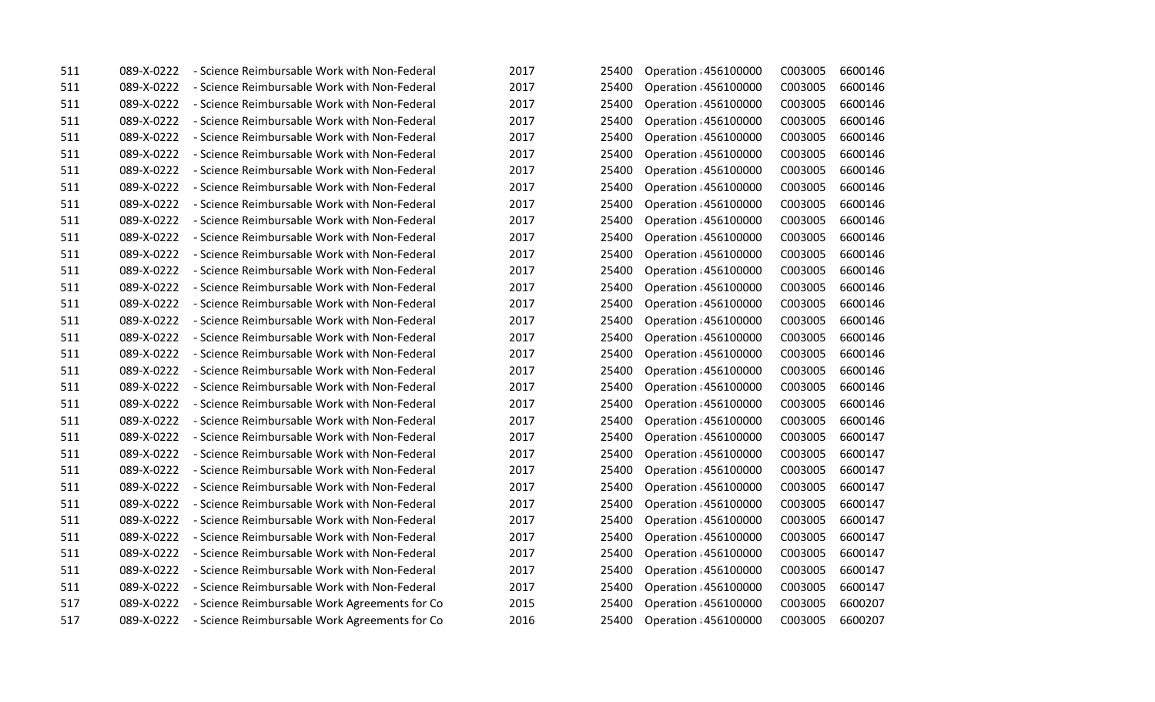| 511 | 089-X-0222 | - Science Reimbursable Work with Non-Federal  | 2017 | 25400 | Operation : 456100000 | C003005 | 6600146 |
|-----|------------|-----------------------------------------------|------|-------|-----------------------|---------|---------|
| 511 | 089-X-0222 | - Science Reimbursable Work with Non-Federal  | 2017 | 25400 | Operation : 456100000 | C003005 | 6600146 |
| 511 | 089-X-0222 | - Science Reimbursable Work with Non-Federal  | 2017 | 25400 | Operation : 456100000 | C003005 | 6600146 |
| 511 | 089-X-0222 | - Science Reimbursable Work with Non-Federal  | 2017 | 25400 | Operation : 456100000 | C003005 | 6600146 |
| 511 | 089-X-0222 | - Science Reimbursable Work with Non-Federal  | 2017 | 25400 | Operation : 456100000 | C003005 | 6600146 |
| 511 | 089-X-0222 | - Science Reimbursable Work with Non-Federal  | 2017 | 25400 | Operation 456100000   | C003005 | 6600146 |
| 511 | 089-X-0222 | - Science Reimbursable Work with Non-Federal  | 2017 | 25400 | Operation : 456100000 | C003005 | 6600146 |
| 511 | 089-X-0222 | - Science Reimbursable Work with Non-Federal  | 2017 | 25400 | Operation : 456100000 | C003005 | 6600146 |
| 511 | 089-X-0222 | - Science Reimbursable Work with Non-Federal  | 2017 | 25400 | Operation : 456100000 | C003005 | 6600146 |
| 511 | 089-X-0222 | - Science Reimbursable Work with Non-Federal  | 2017 | 25400 | Operation : 456100000 | C003005 | 6600146 |
| 511 | 089-X-0222 | - Science Reimbursable Work with Non-Federal  | 2017 | 25400 | Operation : 456100000 | C003005 | 6600146 |
| 511 | 089-X-0222 | - Science Reimbursable Work with Non-Federal  | 2017 | 25400 | Operation : 456100000 | C003005 | 6600146 |
| 511 | 089-X-0222 | - Science Reimbursable Work with Non-Federal  | 2017 | 25400 | Operation : 456100000 | C003005 | 6600146 |
| 511 | 089-X-0222 | - Science Reimbursable Work with Non-Federal  | 2017 | 25400 | Operation : 456100000 | C003005 | 6600146 |
| 511 | 089-X-0222 | - Science Reimbursable Work with Non-Federal  | 2017 | 25400 | Operation : 456100000 | C003005 | 6600146 |
| 511 | 089-X-0222 | - Science Reimbursable Work with Non-Federal  | 2017 | 25400 | Operation : 456100000 | C003005 | 6600146 |
| 511 | 089-X-0222 | - Science Reimbursable Work with Non-Federal  | 2017 | 25400 | Operation : 456100000 | C003005 | 6600146 |
| 511 | 089-X-0222 | - Science Reimbursable Work with Non-Federal  | 2017 | 25400 | Operation : 456100000 | C003005 | 6600146 |
| 511 | 089-X-0222 | - Science Reimbursable Work with Non-Federal  | 2017 | 25400 | Operation : 456100000 | C003005 | 6600146 |
| 511 | 089-X-0222 | - Science Reimbursable Work with Non-Federal  | 2017 | 25400 | Operation : 456100000 | C003005 | 6600146 |
| 511 | 089-X-0222 | - Science Reimbursable Work with Non-Federal  | 2017 | 25400 | Operation : 456100000 | C003005 | 6600146 |
| 511 | 089-X-0222 | - Science Reimbursable Work with Non-Federal  | 2017 | 25400 | Operation : 456100000 | C003005 | 6600146 |
| 511 | 089-X-0222 | - Science Reimbursable Work with Non-Federal  | 2017 | 25400 | Operation : 456100000 | C003005 | 6600147 |
| 511 | 089-X-0222 | - Science Reimbursable Work with Non-Federal  | 2017 | 25400 | Operation : 456100000 | C003005 | 6600147 |
| 511 | 089-X-0222 | - Science Reimbursable Work with Non-Federal  | 2017 | 25400 | Operation : 456100000 | C003005 | 6600147 |
| 511 | 089-X-0222 | - Science Reimbursable Work with Non-Federal  | 2017 | 25400 | Operation : 456100000 | C003005 | 6600147 |
| 511 | 089-X-0222 | - Science Reimbursable Work with Non-Federal  | 2017 | 25400 | Operation : 456100000 | C003005 | 6600147 |
| 511 | 089-X-0222 | - Science Reimbursable Work with Non-Federal  | 2017 | 25400 | Operation : 456100000 | C003005 | 6600147 |
| 511 | 089-X-0222 | - Science Reimbursable Work with Non-Federal  | 2017 | 25400 | Operation : 456100000 | C003005 | 6600147 |
| 511 | 089-X-0222 | - Science Reimbursable Work with Non-Federal  | 2017 | 25400 | Operation : 456100000 | C003005 | 6600147 |
| 511 | 089-X-0222 | - Science Reimbursable Work with Non-Federal  | 2017 | 25400 | Operation : 456100000 | C003005 | 6600147 |
| 511 | 089-X-0222 | - Science Reimbursable Work with Non-Federal  | 2017 | 25400 | Operation : 456100000 | C003005 | 6600147 |
| 517 | 089-X-0222 | - Science Reimbursable Work Agreements for Co | 2015 | 25400 | Operation : 456100000 | C003005 | 6600207 |
| 517 | 089-X-0222 | - Science Reimbursable Work Agreements for Co | 2016 | 25400 | Operation : 456100000 | C003005 | 6600207 |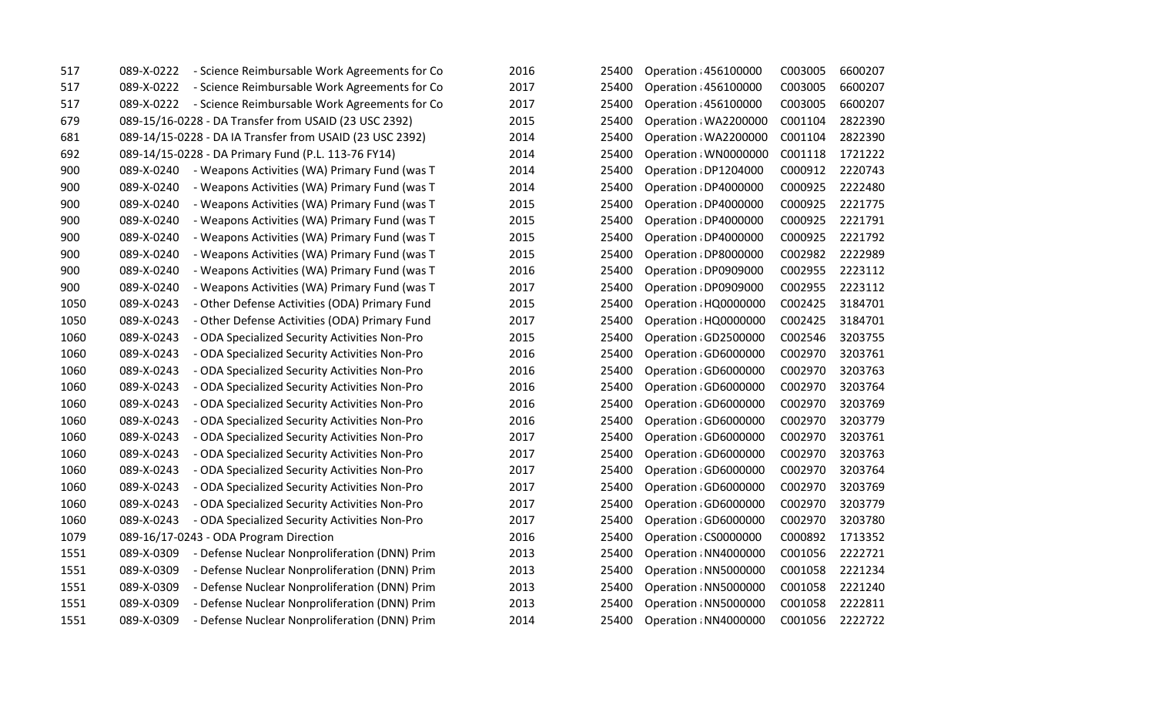| 517  | 089-X-0222 | - Science Reimbursable Work Agreements for Co            | 2016 | 25400 | Operation : 456100000 | C003005 | 6600207 |
|------|------------|----------------------------------------------------------|------|-------|-----------------------|---------|---------|
| 517  | 089-X-0222 | - Science Reimbursable Work Agreements for Co            | 2017 | 25400 | Operation : 456100000 | C003005 | 6600207 |
| 517  | 089-X-0222 | - Science Reimbursable Work Agreements for Co            | 2017 | 25400 | Operation : 456100000 | C003005 | 6600207 |
| 679  |            | 089-15/16-0228 - DA Transfer from USAID (23 USC 2392)    | 2015 | 25400 | Operation : WA2200000 | C001104 | 2822390 |
| 681  |            | 089-14/15-0228 - DA IA Transfer from USAID (23 USC 2392) | 2014 | 25400 | Operation : WA2200000 | C001104 | 2822390 |
| 692  |            | 089-14/15-0228 - DA Primary Fund (P.L. 113-76 FY14)      | 2014 | 25400 | Operation: WN0000000  | C001118 | 1721222 |
| 900  | 089-X-0240 | - Weapons Activities (WA) Primary Fund (was T            | 2014 | 25400 | Operation : DP1204000 | C000912 | 2220743 |
| 900  | 089-X-0240 | - Weapons Activities (WA) Primary Fund (was T            | 2014 | 25400 | Operation : DP4000000 | C000925 | 2222480 |
| 900  | 089-X-0240 | - Weapons Activities (WA) Primary Fund (was T            | 2015 | 25400 | Operation : DP4000000 | C000925 | 2221775 |
| 900  | 089-X-0240 | - Weapons Activities (WA) Primary Fund (was T            | 2015 | 25400 | Operation : DP4000000 | C000925 | 2221791 |
| 900  | 089-X-0240 | - Weapons Activities (WA) Primary Fund (was T            | 2015 | 25400 | Operation : DP4000000 | C000925 | 2221792 |
| 900  | 089-X-0240 | - Weapons Activities (WA) Primary Fund (was T            | 2015 | 25400 | Operation : DP8000000 | C002982 | 2222989 |
| 900  | 089-X-0240 | - Weapons Activities (WA) Primary Fund (was T            | 2016 | 25400 | Operation : DP0909000 | C002955 | 2223112 |
| 900  | 089-X-0240 | - Weapons Activities (WA) Primary Fund (was T            | 2017 | 25400 | Operation : DP0909000 | C002955 | 2223112 |
| 1050 | 089-X-0243 | - Other Defense Activities (ODA) Primary Fund            | 2015 | 25400 | Operation : HQ0000000 | C002425 | 3184701 |
| 1050 | 089-X-0243 | - Other Defense Activities (ODA) Primary Fund            | 2017 | 25400 | Operation : HQ0000000 | C002425 | 3184701 |
| 1060 | 089-X-0243 | - ODA Specialized Security Activities Non-Pro            | 2015 | 25400 | Operation : GD2500000 | C002546 | 3203755 |
| 1060 | 089-X-0243 | - ODA Specialized Security Activities Non-Pro            | 2016 | 25400 | Operation : GD6000000 | C002970 | 3203761 |
| 1060 | 089-X-0243 | - ODA Specialized Security Activities Non-Pro            | 2016 | 25400 | Operation : GD6000000 | C002970 | 3203763 |
| 1060 | 089-X-0243 | - ODA Specialized Security Activities Non-Pro            | 2016 | 25400 | Operation : GD6000000 | C002970 | 3203764 |
| 1060 | 089-X-0243 | - ODA Specialized Security Activities Non-Pro            | 2016 | 25400 | Operation : GD6000000 | C002970 | 3203769 |
| 1060 | 089-X-0243 | - ODA Specialized Security Activities Non-Pro            | 2016 | 25400 | Operation : GD6000000 | C002970 | 3203779 |
| 1060 | 089-X-0243 | - ODA Specialized Security Activities Non-Pro            | 2017 | 25400 | Operation : GD6000000 | C002970 | 3203761 |
| 1060 | 089-X-0243 | - ODA Specialized Security Activities Non-Pro            | 2017 | 25400 | Operation : GD6000000 | C002970 | 3203763 |
| 1060 | 089-X-0243 | - ODA Specialized Security Activities Non-Pro            | 2017 | 25400 | Operation : GD6000000 | C002970 | 3203764 |
| 1060 | 089-X-0243 | - ODA Specialized Security Activities Non-Pro            | 2017 | 25400 | Operation : GD6000000 | C002970 | 3203769 |
| 1060 | 089-X-0243 | - ODA Specialized Security Activities Non-Pro            | 2017 | 25400 | Operation : GD6000000 | C002970 | 3203779 |
| 1060 | 089-X-0243 | - ODA Specialized Security Activities Non-Pro            | 2017 | 25400 | Operation : GD6000000 | C002970 | 3203780 |
| 1079 |            | 089-16/17-0243 - ODA Program Direction                   | 2016 | 25400 | Operation : CS0000000 | C000892 | 1713352 |
| 1551 | 089-X-0309 | - Defense Nuclear Nonproliferation (DNN) Prim            | 2013 | 25400 | Operation : NN4000000 | C001056 | 2222721 |
| 1551 | 089-X-0309 | - Defense Nuclear Nonproliferation (DNN) Prim            | 2013 | 25400 | Operation: NN5000000  | C001058 | 2221234 |
| 1551 | 089-X-0309 | - Defense Nuclear Nonproliferation (DNN) Prim            | 2013 | 25400 | Operation : NN5000000 | C001058 | 2221240 |
| 1551 | 089-X-0309 | - Defense Nuclear Nonproliferation (DNN) Prim            | 2013 | 25400 | Operation : NN5000000 | C001058 | 2222811 |
| 1551 | 089-X-0309 | - Defense Nuclear Nonproliferation (DNN) Prim            | 2014 | 25400 | Operation : NN4000000 | C001056 | 2222722 |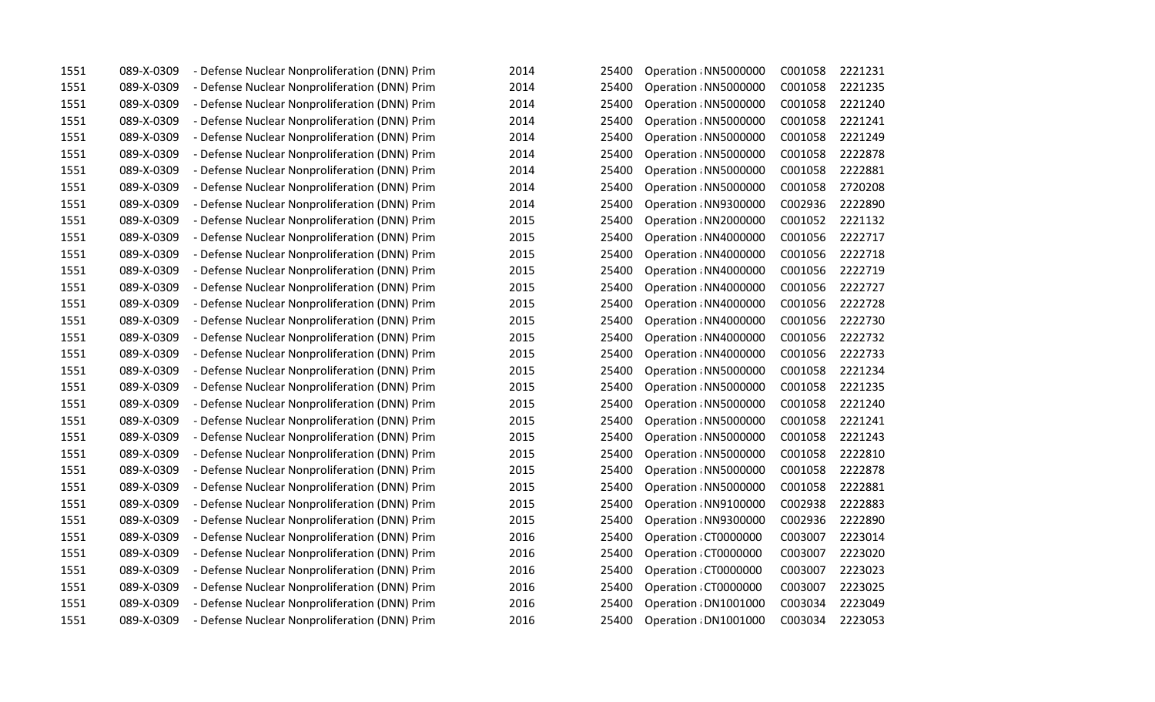| 1551 | 089-X-0309 | - Defense Nuclear Nonproliferation (DNN) Prim | 2014 | 25400 | Operation : NN5000000 | C001058 | 2221231 |
|------|------------|-----------------------------------------------|------|-------|-----------------------|---------|---------|
| 1551 | 089-X-0309 | - Defense Nuclear Nonproliferation (DNN) Prim | 2014 | 25400 | Operation : NN5000000 | C001058 | 2221235 |
| 1551 | 089-X-0309 | - Defense Nuclear Nonproliferation (DNN) Prim | 2014 | 25400 | Operation : NN5000000 | C001058 | 2221240 |
| 1551 | 089-X-0309 | - Defense Nuclear Nonproliferation (DNN) Prim | 2014 | 25400 | Operation : NN5000000 | C001058 | 2221241 |
| 1551 | 089-X-0309 | - Defense Nuclear Nonproliferation (DNN) Prim | 2014 | 25400 | Operation : NN5000000 | C001058 | 2221249 |
| 1551 | 089-X-0309 | - Defense Nuclear Nonproliferation (DNN) Prim | 2014 | 25400 | Operation : NN5000000 | C001058 | 2222878 |
| 1551 | 089-X-0309 | - Defense Nuclear Nonproliferation (DNN) Prim | 2014 | 25400 | Operation : NN5000000 | C001058 | 2222881 |
| 1551 | 089-X-0309 | - Defense Nuclear Nonproliferation (DNN) Prim | 2014 | 25400 | Operation : NN5000000 | C001058 | 2720208 |
| 1551 | 089-X-0309 | - Defense Nuclear Nonproliferation (DNN) Prim | 2014 | 25400 | Operation : NN9300000 | C002936 | 2222890 |
| 1551 | 089-X-0309 | - Defense Nuclear Nonproliferation (DNN) Prim | 2015 | 25400 | Operation : NN2000000 | C001052 | 2221132 |
| 1551 | 089-X-0309 | - Defense Nuclear Nonproliferation (DNN) Prim | 2015 | 25400 | Operation : NN4000000 | C001056 | 2222717 |
| 1551 | 089-X-0309 | - Defense Nuclear Nonproliferation (DNN) Prim | 2015 | 25400 | Operation: NN4000000  | C001056 | 2222718 |
| 1551 | 089-X-0309 | - Defense Nuclear Nonproliferation (DNN) Prim | 2015 | 25400 | Operation : NN4000000 | C001056 | 2222719 |
| 1551 | 089-X-0309 | - Defense Nuclear Nonproliferation (DNN) Prim | 2015 | 25400 | Operation : NN4000000 | C001056 | 2222727 |
| 1551 | 089-X-0309 | - Defense Nuclear Nonproliferation (DNN) Prim | 2015 | 25400 | Operation : NN4000000 | C001056 | 2222728 |
| 1551 | 089-X-0309 | - Defense Nuclear Nonproliferation (DNN) Prim | 2015 | 25400 | Operation : NN4000000 | C001056 | 2222730 |
| 1551 | 089-X-0309 | - Defense Nuclear Nonproliferation (DNN) Prim | 2015 | 25400 | Operation : NN4000000 | C001056 | 2222732 |
| 1551 | 089-X-0309 | - Defense Nuclear Nonproliferation (DNN) Prim | 2015 | 25400 | Operation : NN4000000 | C001056 | 2222733 |
| 1551 | 089-X-0309 | - Defense Nuclear Nonproliferation (DNN) Prim | 2015 | 25400 | Operation : NN5000000 | C001058 | 2221234 |
| 1551 | 089-X-0309 | - Defense Nuclear Nonproliferation (DNN) Prim | 2015 | 25400 | Operation : NN5000000 | C001058 | 2221235 |
| 1551 | 089-X-0309 | - Defense Nuclear Nonproliferation (DNN) Prim | 2015 | 25400 | Operation : NN5000000 | C001058 | 2221240 |
| 1551 | 089-X-0309 | - Defense Nuclear Nonproliferation (DNN) Prim | 2015 | 25400 | Operation : NN5000000 | C001058 | 2221241 |
| 1551 | 089-X-0309 | - Defense Nuclear Nonproliferation (DNN) Prim | 2015 | 25400 | Operation : NN5000000 | C001058 | 2221243 |
| 1551 | 089-X-0309 | - Defense Nuclear Nonproliferation (DNN) Prim | 2015 | 25400 | Operation : NN5000000 | C001058 | 2222810 |
| 1551 | 089-X-0309 | - Defense Nuclear Nonproliferation (DNN) Prim | 2015 | 25400 | Operation : NN5000000 | C001058 | 2222878 |
| 1551 | 089-X-0309 | - Defense Nuclear Nonproliferation (DNN) Prim | 2015 | 25400 | Operation : NN5000000 | C001058 | 2222881 |
| 1551 | 089-X-0309 | - Defense Nuclear Nonproliferation (DNN) Prim | 2015 | 25400 | Operation: NN9100000  | C002938 | 2222883 |
| 1551 | 089-X-0309 | - Defense Nuclear Nonproliferation (DNN) Prim | 2015 | 25400 | Operation : NN9300000 | C002936 | 2222890 |
| 1551 | 089-X-0309 | - Defense Nuclear Nonproliferation (DNN) Prim | 2016 | 25400 | Operation: CT0000000  | C003007 | 2223014 |
| 1551 | 089-X-0309 | - Defense Nuclear Nonproliferation (DNN) Prim | 2016 | 25400 | Operation : CT0000000 | C003007 | 2223020 |
| 1551 | 089-X-0309 | - Defense Nuclear Nonproliferation (DNN) Prim | 2016 | 25400 | Operation : CT0000000 | C003007 | 2223023 |
| 1551 | 089-X-0309 | - Defense Nuclear Nonproliferation (DNN) Prim | 2016 | 25400 | Operation : CT0000000 | C003007 | 2223025 |
| 1551 | 089-X-0309 | - Defense Nuclear Nonproliferation (DNN) Prim | 2016 | 25400 | Operation : DN1001000 | C003034 | 2223049 |
| 1551 | 089-X-0309 | - Defense Nuclear Nonproliferation (DNN) Prim | 2016 | 25400 | Operation : DN1001000 | C003034 | 2223053 |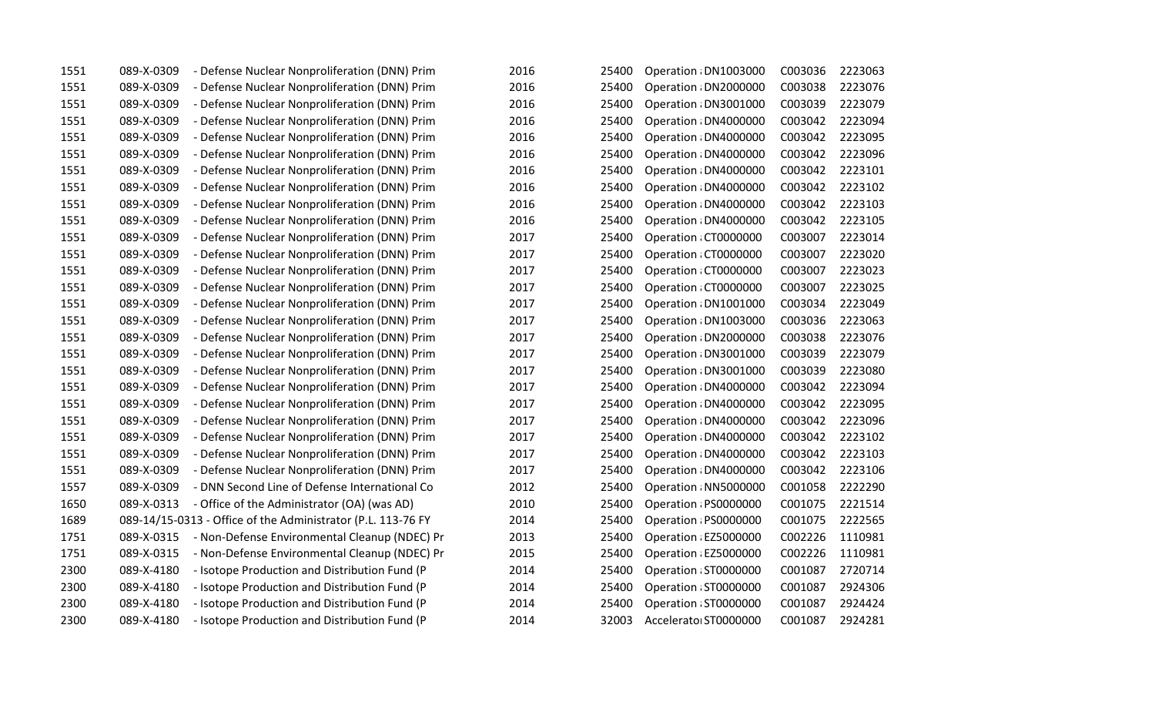| 1551 | 089-X-0309 | - Defense Nuclear Nonproliferation (DNN) Prim                | 2016 | 25400 | Operation : DN1003000 | C003036 | 2223063 |
|------|------------|--------------------------------------------------------------|------|-------|-----------------------|---------|---------|
| 1551 | 089-X-0309 | - Defense Nuclear Nonproliferation (DNN) Prim                | 2016 | 25400 | Operation : DN2000000 | C003038 | 2223076 |
| 1551 | 089-X-0309 | - Defense Nuclear Nonproliferation (DNN) Prim                | 2016 | 25400 | Operation : DN3001000 | C003039 | 2223079 |
| 1551 | 089-X-0309 | - Defense Nuclear Nonproliferation (DNN) Prim                | 2016 | 25400 | Operation : DN4000000 | C003042 | 2223094 |
| 1551 | 089-X-0309 | - Defense Nuclear Nonproliferation (DNN) Prim                | 2016 | 25400 | Operation : DN4000000 | C003042 | 2223095 |
| 1551 | 089-X-0309 | - Defense Nuclear Nonproliferation (DNN) Prim                | 2016 | 25400 | Operation : DN4000000 | C003042 | 2223096 |
| 1551 | 089-X-0309 | - Defense Nuclear Nonproliferation (DNN) Prim                | 2016 | 25400 | Operation : DN4000000 | C003042 | 2223101 |
| 1551 | 089-X-0309 | - Defense Nuclear Nonproliferation (DNN) Prim                | 2016 | 25400 | Operation : DN4000000 | C003042 | 2223102 |
| 1551 | 089-X-0309 | - Defense Nuclear Nonproliferation (DNN) Prim                | 2016 | 25400 | Operation : DN4000000 | C003042 | 2223103 |
| 1551 | 089-X-0309 | - Defense Nuclear Nonproliferation (DNN) Prim                | 2016 | 25400 | Operation : DN4000000 | C003042 | 2223105 |
| 1551 | 089-X-0309 | - Defense Nuclear Nonproliferation (DNN) Prim                | 2017 | 25400 | Operation: CT0000000  | C003007 | 2223014 |
| 1551 | 089-X-0309 | - Defense Nuclear Nonproliferation (DNN) Prim                | 2017 | 25400 | Operation : CT0000000 | C003007 | 2223020 |
| 1551 | 089-X-0309 | - Defense Nuclear Nonproliferation (DNN) Prim                | 2017 | 25400 | Operation : CT0000000 | C003007 | 2223023 |
| 1551 | 089-X-0309 | - Defense Nuclear Nonproliferation (DNN) Prim                | 2017 | 25400 | Operation : CT0000000 | C003007 | 2223025 |
| 1551 | 089-X-0309 | - Defense Nuclear Nonproliferation (DNN) Prim                | 2017 | 25400 | Operation : DN1001000 | C003034 | 2223049 |
| 1551 | 089-X-0309 | - Defense Nuclear Nonproliferation (DNN) Prim                | 2017 | 25400 | Operation : DN1003000 | C003036 | 2223063 |
| 1551 | 089-X-0309 | - Defense Nuclear Nonproliferation (DNN) Prim                | 2017 | 25400 | Operation : DN2000000 | C003038 | 2223076 |
| 1551 | 089-X-0309 | - Defense Nuclear Nonproliferation (DNN) Prim                | 2017 | 25400 | Operation : DN3001000 | C003039 | 2223079 |
| 1551 | 089-X-0309 | - Defense Nuclear Nonproliferation (DNN) Prim                | 2017 | 25400 | Operation : DN3001000 | C003039 | 2223080 |
| 1551 | 089-X-0309 | - Defense Nuclear Nonproliferation (DNN) Prim                | 2017 | 25400 | Operation : DN4000000 | C003042 | 2223094 |
| 1551 | 089-X-0309 | - Defense Nuclear Nonproliferation (DNN) Prim                | 2017 | 25400 | Operation : DN4000000 | C003042 | 2223095 |
| 1551 | 089-X-0309 | - Defense Nuclear Nonproliferation (DNN) Prim                | 2017 | 25400 | Operation : DN4000000 | C003042 | 2223096 |
| 1551 | 089-X-0309 | - Defense Nuclear Nonproliferation (DNN) Prim                | 2017 | 25400 | Operation : DN4000000 | C003042 | 2223102 |
| 1551 | 089-X-0309 | - Defense Nuclear Nonproliferation (DNN) Prim                | 2017 | 25400 | Operation : DN4000000 | C003042 | 2223103 |
| 1551 | 089-X-0309 | - Defense Nuclear Nonproliferation (DNN) Prim                | 2017 | 25400 | Operation : DN4000000 | C003042 | 2223106 |
| 1557 | 089-X-0309 | - DNN Second Line of Defense International Co                | 2012 | 25400 | Operation : NN5000000 | C001058 | 2222290 |
| 1650 | 089-X-0313 | - Office of the Administrator (OA) (was AD)                  | 2010 | 25400 | Operation : PS0000000 | C001075 | 2221514 |
| 1689 |            | 089-14/15-0313 - Office of the Administrator (P.L. 113-76 FY | 2014 | 25400 | Operation : PS0000000 | C001075 | 2222565 |
| 1751 | 089-X-0315 | - Non-Defense Environmental Cleanup (NDEC) Pr                | 2013 | 25400 | Operation : EZ5000000 | C002226 | 1110981 |
| 1751 | 089-X-0315 | - Non-Defense Environmental Cleanup (NDEC) Pr                | 2015 | 25400 | Operation : EZ5000000 | C002226 | 1110981 |
| 2300 | 089-X-4180 | - Isotope Production and Distribution Fund (P                | 2014 | 25400 | Operation : ST0000000 | C001087 | 2720714 |
| 2300 | 089-X-4180 | - Isotope Production and Distribution Fund (P                | 2014 | 25400 | Operation : ST0000000 | C001087 | 2924306 |
| 2300 | 089-X-4180 | - Isotope Production and Distribution Fund (P                | 2014 | 25400 | Operation : ST0000000 | C001087 | 2924424 |
| 2300 | 089-X-4180 | - Isotope Production and Distribution Fund (P                | 2014 | 32003 | Accelerato ST0000000  | C001087 | 2924281 |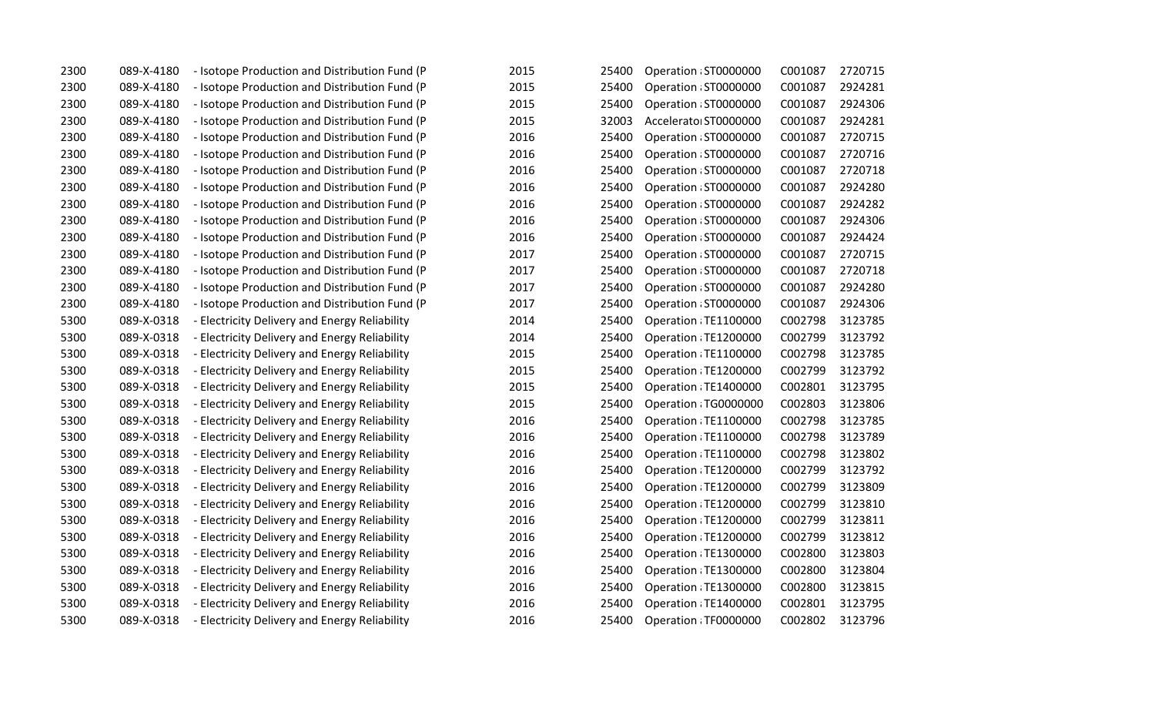| 2300 | 089-X-4180 | - Isotope Production and Distribution Fund (P | 2015 | 25400 | Operation : ST0000000 | C001087 | 2720715 |
|------|------------|-----------------------------------------------|------|-------|-----------------------|---------|---------|
| 2300 | 089-X-4180 | - Isotope Production and Distribution Fund (P | 2015 | 25400 | Operation : ST0000000 | C001087 | 2924281 |
| 2300 | 089-X-4180 | - Isotope Production and Distribution Fund (P | 2015 | 25400 | Operation : ST0000000 | C001087 | 2924306 |
| 2300 | 089-X-4180 | - Isotope Production and Distribution Fund (P | 2015 | 32003 | Accelerator ST0000000 | C001087 | 2924281 |
| 2300 | 089-X-4180 | - Isotope Production and Distribution Fund (P | 2016 | 25400 | Operation : ST0000000 | C001087 | 2720715 |
| 2300 | 089-X-4180 | - Isotope Production and Distribution Fund (P | 2016 | 25400 | Operation : ST0000000 | C001087 | 2720716 |
| 2300 | 089-X-4180 | - Isotope Production and Distribution Fund (P | 2016 | 25400 | Operation: ST0000000  | C001087 | 2720718 |
| 2300 | 089-X-4180 | - Isotope Production and Distribution Fund (P | 2016 | 25400 | Operation : ST0000000 | C001087 | 2924280 |
| 2300 | 089-X-4180 | - Isotope Production and Distribution Fund (P | 2016 | 25400 | Operation : ST0000000 | C001087 | 2924282 |
| 2300 | 089-X-4180 | - Isotope Production and Distribution Fund (P | 2016 | 25400 | Operation : ST0000000 | C001087 | 2924306 |
| 2300 | 089-X-4180 | - Isotope Production and Distribution Fund (P | 2016 | 25400 | Operation: ST0000000  | C001087 | 2924424 |
| 2300 | 089-X-4180 | - Isotope Production and Distribution Fund (P | 2017 | 25400 | Operation : ST0000000 | C001087 | 2720715 |
| 2300 | 089-X-4180 | - Isotope Production and Distribution Fund (P | 2017 | 25400 | Operation : ST0000000 | C001087 | 2720718 |
| 2300 | 089-X-4180 | - Isotope Production and Distribution Fund (P | 2017 | 25400 | Operation : ST0000000 | C001087 | 2924280 |
| 2300 | 089-X-4180 | - Isotope Production and Distribution Fund (P | 2017 | 25400 | Operation : ST0000000 | C001087 | 2924306 |
| 5300 | 089-X-0318 | - Electricity Delivery and Energy Reliability | 2014 | 25400 | Operation : TE1100000 | C002798 | 3123785 |
| 5300 | 089-X-0318 | - Electricity Delivery and Energy Reliability | 2014 | 25400 | Operation TE1200000   | C002799 | 3123792 |
| 5300 | 089-X-0318 | - Electricity Delivery and Energy Reliability | 2015 | 25400 | Operation : TE1100000 | C002798 | 3123785 |
| 5300 | 089-X-0318 | - Electricity Delivery and Energy Reliability | 2015 | 25400 | Operation: TE1200000  | C002799 | 3123792 |
| 5300 | 089-X-0318 | - Electricity Delivery and Energy Reliability | 2015 | 25400 | Operation : TE1400000 | C002801 | 3123795 |
| 5300 | 089-X-0318 | - Electricity Delivery and Energy Reliability | 2015 | 25400 | Operation TG0000000   | C002803 | 3123806 |
| 5300 | 089-X-0318 | - Electricity Delivery and Energy Reliability | 2016 | 25400 | Operation : TE1100000 | C002798 | 3123785 |
| 5300 | 089-X-0318 | - Electricity Delivery and Energy Reliability | 2016 | 25400 | Operation : TE1100000 | C002798 | 3123789 |
| 5300 | 089-X-0318 | - Electricity Delivery and Energy Reliability | 2016 | 25400 | Operation : TE1100000 | C002798 | 3123802 |
| 5300 | 089-X-0318 | - Electricity Delivery and Energy Reliability | 2016 | 25400 | Operation TE1200000   | C002799 | 3123792 |
| 5300 | 089-X-0318 | - Electricity Delivery and Energy Reliability | 2016 | 25400 | Operation : TE1200000 | C002799 | 3123809 |
| 5300 | 089-X-0318 | - Electricity Delivery and Energy Reliability | 2016 | 25400 | Operation: TE1200000  | C002799 | 3123810 |
| 5300 | 089-X-0318 | - Electricity Delivery and Energy Reliability | 2016 | 25400 | Operation : TE1200000 | C002799 | 3123811 |
| 5300 | 089-X-0318 | - Electricity Delivery and Energy Reliability | 2016 | 25400 | Operation TE1200000   | C002799 | 3123812 |
| 5300 | 089-X-0318 | - Electricity Delivery and Energy Reliability | 2016 | 25400 | Operation: TE1300000  | C002800 | 3123803 |
| 5300 | 089-X-0318 | - Electricity Delivery and Energy Reliability | 2016 | 25400 | Operation: TE1300000  | C002800 | 3123804 |
| 5300 | 089-X-0318 | - Electricity Delivery and Energy Reliability | 2016 | 25400 | Operation : TE1300000 | C002800 | 3123815 |
| 5300 | 089-X-0318 | - Electricity Delivery and Energy Reliability | 2016 | 25400 | Operation TE1400000   | C002801 | 3123795 |
| 5300 | 089-X-0318 | - Electricity Delivery and Energy Reliability | 2016 | 25400 | Operation : TF0000000 | C002802 | 3123796 |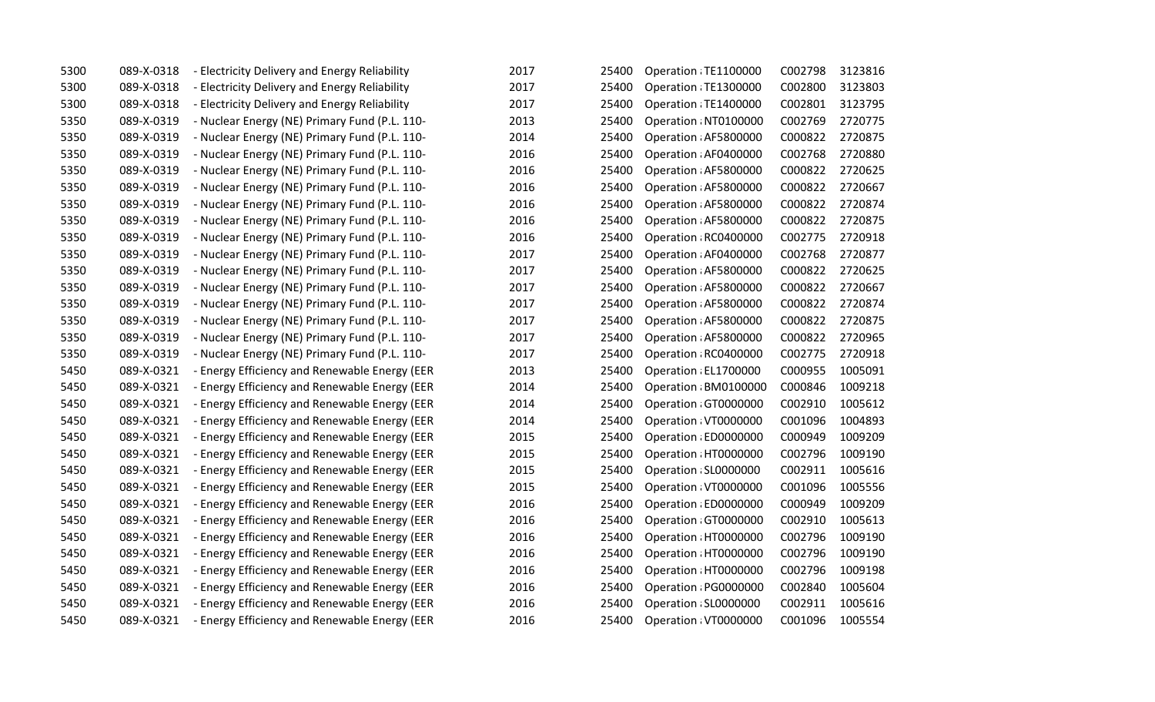| 5300 | 089-X-0318 | - Electricity Delivery and Energy Reliability | 2017 | 25400 | Operation : TE1100000 | C002798 | 3123816 |
|------|------------|-----------------------------------------------|------|-------|-----------------------|---------|---------|
| 5300 | 089-X-0318 | - Electricity Delivery and Energy Reliability | 2017 | 25400 | Operation : TE1300000 | C002800 | 3123803 |
| 5300 | 089-X-0318 | - Electricity Delivery and Energy Reliability | 2017 | 25400 | Operation: TE1400000  | C002801 | 3123795 |
| 5350 | 089-X-0319 | - Nuclear Energy (NE) Primary Fund (P.L. 110- | 2013 | 25400 | Operation : NT0100000 | C002769 | 2720775 |
| 5350 | 089-X-0319 | - Nuclear Energy (NE) Primary Fund (P.L. 110- | 2014 | 25400 | Operation : AF5800000 | C000822 | 2720875 |
| 5350 | 089-X-0319 | - Nuclear Energy (NE) Primary Fund (P.L. 110- | 2016 | 25400 | Operation : AF0400000 | C002768 | 2720880 |
| 5350 | 089-X-0319 | - Nuclear Energy (NE) Primary Fund (P.L. 110- | 2016 | 25400 | Operation : AF5800000 | C000822 | 2720625 |
| 5350 | 089-X-0319 | - Nuclear Energy (NE) Primary Fund (P.L. 110- | 2016 | 25400 | Operation : AF5800000 | C000822 | 2720667 |
| 5350 | 089-X-0319 | - Nuclear Energy (NE) Primary Fund (P.L. 110- | 2016 | 25400 | Operation : AF5800000 | C000822 | 2720874 |
| 5350 | 089-X-0319 | - Nuclear Energy (NE) Primary Fund (P.L. 110- | 2016 | 25400 | Operation : AF5800000 | C000822 | 2720875 |
| 5350 | 089-X-0319 | - Nuclear Energy (NE) Primary Fund (P.L. 110- | 2016 | 25400 | Operation: RC0400000  | C002775 | 2720918 |
| 5350 | 089-X-0319 | - Nuclear Energy (NE) Primary Fund (P.L. 110- | 2017 | 25400 | Operation : AF0400000 | C002768 | 2720877 |
| 5350 | 089-X-0319 | - Nuclear Energy (NE) Primary Fund (P.L. 110- | 2017 | 25400 | Operation : AF5800000 | C000822 | 2720625 |
| 5350 | 089-X-0319 | - Nuclear Energy (NE) Primary Fund (P.L. 110- | 2017 | 25400 | Operation : AF5800000 | C000822 | 2720667 |
| 5350 | 089-X-0319 | - Nuclear Energy (NE) Primary Fund (P.L. 110- | 2017 | 25400 | Operation : AF5800000 | C000822 | 2720874 |
| 5350 | 089-X-0319 | - Nuclear Energy (NE) Primary Fund (P.L. 110- | 2017 | 25400 | Operation : AF5800000 | C000822 | 2720875 |
| 5350 | 089-X-0319 | - Nuclear Energy (NE) Primary Fund (P.L. 110- | 2017 | 25400 | Operation : AF5800000 | C000822 | 2720965 |
| 5350 | 089-X-0319 | - Nuclear Energy (NE) Primary Fund (P.L. 110- | 2017 | 25400 | Operation: RC0400000  | C002775 | 2720918 |
| 5450 | 089-X-0321 | - Energy Efficiency and Renewable Energy (EER | 2013 | 25400 | Operation : EL1700000 | C000955 | 1005091 |
| 5450 | 089-X-0321 | - Energy Efficiency and Renewable Energy (EER | 2014 | 25400 | Operation : BM0100000 | C000846 | 1009218 |
| 5450 | 089-X-0321 | - Energy Efficiency and Renewable Energy (EER | 2014 | 25400 | Operation GT0000000   | C002910 | 1005612 |
| 5450 | 089-X-0321 | - Energy Efficiency and Renewable Energy (EER | 2014 | 25400 | Operation : VT0000000 | C001096 | 1004893 |
| 5450 | 089-X-0321 | - Energy Efficiency and Renewable Energy (EER | 2015 | 25400 | Operation : ED0000000 | C000949 | 1009209 |
| 5450 | 089-X-0321 | - Energy Efficiency and Renewable Energy (EER | 2015 | 25400 | Operation : HT0000000 | C002796 | 1009190 |
| 5450 | 089-X-0321 | - Energy Efficiency and Renewable Energy (EER | 2015 | 25400 | Operation : SL0000000 | C002911 | 1005616 |
| 5450 | 089-X-0321 | - Energy Efficiency and Renewable Energy (EER | 2015 | 25400 | Operation: VT0000000  | C001096 | 1005556 |
| 5450 | 089-X-0321 | - Energy Efficiency and Renewable Energy (EER | 2016 | 25400 | Operation : ED0000000 | C000949 | 1009209 |
| 5450 | 089-X-0321 | - Energy Efficiency and Renewable Energy (EER | 2016 | 25400 | Operation GT0000000   | C002910 | 1005613 |
| 5450 | 089-X-0321 | - Energy Efficiency and Renewable Energy (EER | 2016 | 25400 | Operation: HT0000000  | C002796 | 1009190 |
| 5450 | 089-X-0321 | - Energy Efficiency and Renewable Energy (EER | 2016 | 25400 | Operation : HT0000000 | C002796 | 1009190 |
| 5450 | 089-X-0321 | - Energy Efficiency and Renewable Energy (EER | 2016 | 25400 | Operation HT0000000   | C002796 | 1009198 |
| 5450 | 089-X-0321 | - Energy Efficiency and Renewable Energy (EER | 2016 | 25400 | Operation : PG0000000 | C002840 | 1005604 |
| 5450 | 089-X-0321 | - Energy Efficiency and Renewable Energy (EER | 2016 | 25400 | Operation : SL0000000 | C002911 | 1005616 |
| 5450 | 089-X-0321 | - Energy Efficiency and Renewable Energy (EER | 2016 | 25400 | Operation : VT0000000 | C001096 | 1005554 |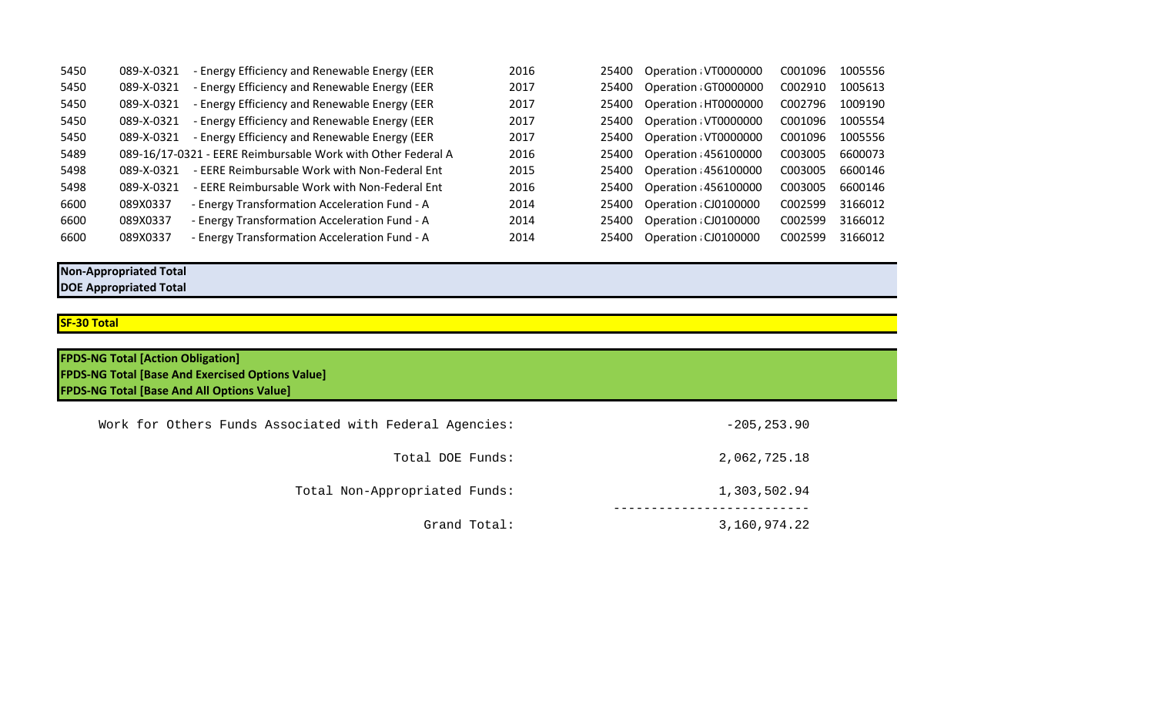| 5450 | 089-X-0321 | - Energy Efficiency and Renewable Energy (EER                | 2016 | 25400 | Operation VT0000000   | C001096 | 1005556 |
|------|------------|--------------------------------------------------------------|------|-------|-----------------------|---------|---------|
| 5450 | 089-X-0321 | - Energy Efficiency and Renewable Energy (EER                | 2017 | 25400 | Operation GT0000000   | C002910 | 1005613 |
| 5450 | 089-X-0321 | - Energy Efficiency and Renewable Energy (EER                | 2017 | 25400 | Operation : HT0000000 | C002796 | 1009190 |
| 5450 | 089-X-0321 | - Energy Efficiency and Renewable Energy (EER                | 2017 | 25400 | Operation: VT0000000  | C001096 | 1005554 |
| 5450 | 089-X-0321 | - Energy Efficiency and Renewable Energy (EER                | 2017 | 25400 | Operation: VT0000000  | C001096 | 1005556 |
| 5489 |            | 089-16/17-0321 - EERE Reimbursable Work with Other Federal A | 2016 | 25400 | Operation : 456100000 | C003005 | 6600073 |
| 5498 | 089-X-0321 | - EERE Reimbursable Work with Non-Federal Ent                | 2015 | 25400 | Operation : 456100000 | C003005 | 6600146 |
| 5498 | 089-X-0321 | - EERE Reimbursable Work with Non-Federal Ent                | 2016 | 25400 | Operation : 456100000 | C003005 | 6600146 |
| 6600 | 089X0337   | - Energy Transformation Acceleration Fund - A                | 2014 | 25400 | Operation : CJ0100000 | C002599 | 3166012 |
| 6600 | 089X0337   | - Energy Transformation Acceleration Fund - A                | 2014 | 25400 | Operation : CJ0100000 | C002599 | 3166012 |
| 6600 | 089X0337   | - Energy Transformation Acceleration Fund - A                | 2014 | 25400 | Operation : CJ0100000 | C002599 | 3166012 |

## **Non-Appropriated Total DOE Appropriated Total**

## **SF-30 Total**

| <b>FPDS-NG Total [Action Obligation]</b><br><b>FPDS-NG Total [Base And Exercised Options Value]</b><br><b>FPDS-NG Total [Base And All Options Value]</b> |                |
|----------------------------------------------------------------------------------------------------------------------------------------------------------|----------------|
| Work for Others Funds Associated with Federal Agencies:                                                                                                  | $-205, 253.90$ |
| Total DOE Funds:                                                                                                                                         | 2,062,725.18   |
| Total Non-Appropriated Funds:                                                                                                                            | 1,303,502.94   |
| Grand Total:                                                                                                                                             | 3,160,974.22   |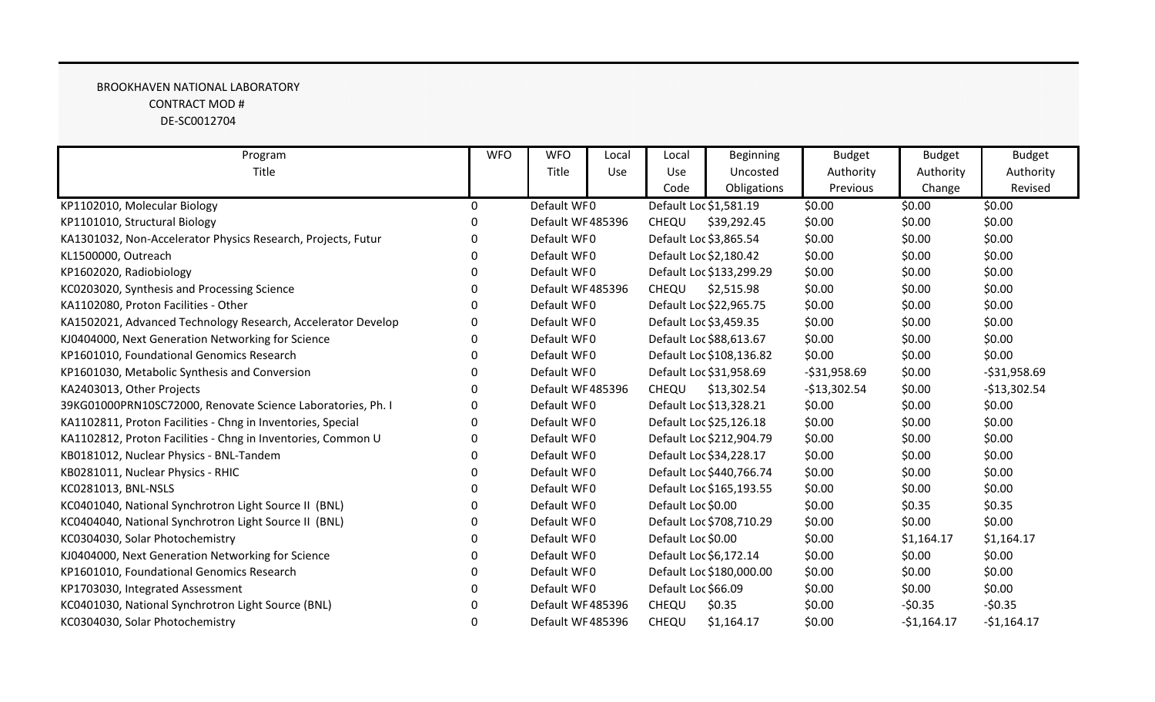## BROOKHAVEN NATIONAL LABORATORY CONTRACT MOD # DE-SC0012704

| Program                                                      | <b>WFO</b>   | <b>WFO</b>       | Local | Local               | <b>Beginning</b>         | <b>Budget</b> | <b>Budget</b> | <b>Budget</b> |
|--------------------------------------------------------------|--------------|------------------|-------|---------------------|--------------------------|---------------|---------------|---------------|
| Title                                                        |              | Title            | Use   | Use                 | Uncosted                 | Authority     | Authority     | Authority     |
|                                                              |              |                  |       | Code                | Obligations              | Previous      | Change        | Revised       |
| KP1102010, Molecular Biology                                 | $\mathbf{0}$ | Default WF0      |       |                     | Default Loc \$1,581.19   | \$0.00        | \$0.00        | \$0.00        |
| KP1101010, Structural Biology                                |              | Default WF485396 |       | CHEQU               | \$39,292.45              | \$0.00        | \$0.00        | \$0.00        |
| KA1301032, Non-Accelerator Physics Research, Projects, Futur | O            | Default WF0      |       |                     | Default Loc \$3,865.54   | \$0.00        | \$0.00        | \$0.00        |
| KL1500000, Outreach                                          |              | Default WF0      |       |                     | Default Loc \$2,180.42   | \$0.00        | \$0.00        | \$0.00        |
| KP1602020, Radiobiology                                      | O            | Default WF0      |       |                     | Default Loc \$133,299.29 | \$0.00        | \$0.00        | \$0.00        |
| KC0203020, Synthesis and Processing Science                  | 0            | Default WF485396 |       | CHEQU               | \$2,515.98               | \$0.00        | \$0.00        | \$0.00        |
| KA1102080, Proton Facilities - Other                         |              | Default WF0      |       |                     | Default Loc \$22,965.75  | \$0.00        | \$0.00        | \$0.00        |
| KA1502021, Advanced Technology Research, Accelerator Develop | O            | Default WF0      |       |                     | Default Loc \$3,459.35   | \$0.00        | \$0.00        | \$0.00        |
| KJ0404000, Next Generation Networking for Science            |              | Default WF0      |       |                     | Default Loc \$88,613.67  | \$0.00        | \$0.00        | \$0.00        |
| KP1601010, Foundational Genomics Research                    | n            | Default WF0      |       |                     | Default Loc \$108,136.82 | \$0.00        | \$0.00        | \$0.00        |
| KP1601030, Metabolic Synthesis and Conversion                |              | Default WF0      |       |                     | Default Loc \$31,958.69  | $-531,958.69$ | \$0.00        | $-531,958.69$ |
| KA2403013, Other Projects                                    |              | Default WF485396 |       | CHEQU               | \$13,302.54              | $-$13,302.54$ | \$0.00        | $-$13,302.54$ |
| 39KG01000PRN10SC72000, Renovate Science Laboratories, Ph. I  | 0            | Default WF0      |       |                     | Default Loc \$13,328.21  | \$0.00        | \$0.00        | \$0.00        |
| KA1102811, Proton Facilities - Chng in Inventories, Special  |              | Default WF0      |       |                     | Default Loc \$25,126.18  | \$0.00        | \$0.00        | \$0.00        |
| KA1102812, Proton Facilities - Chng in Inventories, Common U | 0            | Default WF0      |       |                     | Default Loc \$212,904.79 | \$0.00        | \$0.00        | \$0.00        |
| KB0181012, Nuclear Physics - BNL-Tandem                      |              | Default WF0      |       |                     | Default Loc \$34,228.17  | \$0.00        | \$0.00        | \$0.00        |
| KB0281011, Nuclear Physics - RHIC                            |              | Default WF0      |       |                     | Default Loc \$440,766.74 | \$0.00        | \$0.00        | \$0.00        |
| KC0281013, BNL-NSLS                                          |              | Default WF0      |       |                     | Default Loc \$165,193.55 | \$0.00        | \$0.00        | \$0.00        |
| KC0401040, National Synchrotron Light Source II (BNL)        |              | Default WF0      |       | Default Loc \$0.00  |                          | \$0.00        | \$0.35        | \$0.35        |
| KC0404040, National Synchrotron Light Source II (BNL)        | 0            | Default WF0      |       |                     | Default Loc \$708,710.29 | \$0.00        | \$0.00        | \$0.00        |
| KC0304030, Solar Photochemistry                              |              | Default WF0      |       | Default Loc \$0.00  |                          | \$0.00        | \$1,164.17    | \$1,164.17    |
| KJ0404000, Next Generation Networking for Science            | 0            | Default WF0      |       |                     | Default Loc \$6,172.14   | \$0.00        | \$0.00        | \$0.00        |
| KP1601010, Foundational Genomics Research                    |              | Default WF0      |       |                     | Default Loc \$180,000.00 | \$0.00        | \$0.00        | \$0.00        |
| KP1703030, Integrated Assessment                             |              | Default WF0      |       | Default Loc \$66.09 |                          | \$0.00        | \$0.00        | \$0.00        |
| KC0401030, National Synchrotron Light Source (BNL)           |              | Default WF485396 |       | CHEQU               | \$0.35                   | \$0.00        | $-50.35$      | $-50.35$      |
| KC0304030, Solar Photochemistry                              | 0            | Default WF485396 |       | CHEQU               | \$1,164.17               | \$0.00        | $-$1,164.17$  | $-$1,164.17$  |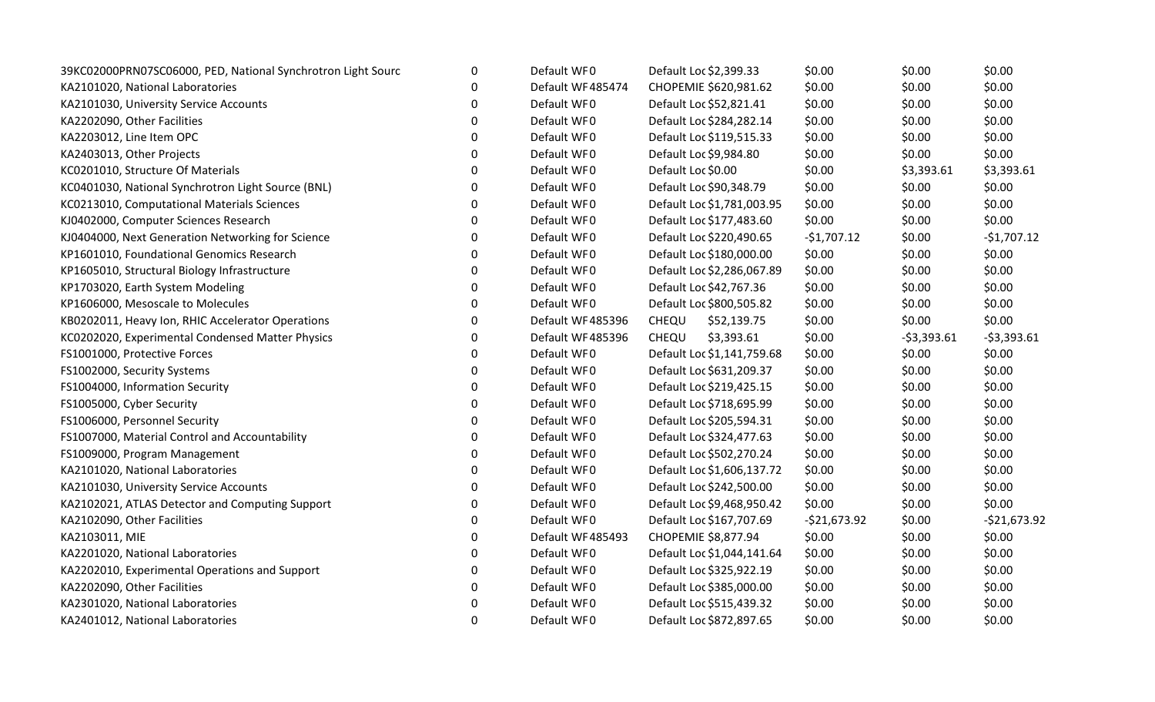| 39KC02000PRN07SC06000, PED, National Synchrotron Light Sourc | 0 | Default WF0      | Default Loc \$2,399.33     | \$0.00        | \$0.00       | \$0.00        |
|--------------------------------------------------------------|---|------------------|----------------------------|---------------|--------------|---------------|
| KA2101020, National Laboratories                             | 0 | Default WF485474 | CHOPEMIE \$620,981.62      | \$0.00        | \$0.00       | \$0.00        |
| KA2101030, University Service Accounts                       | 0 | Default WF0      | Default Loc \$52,821.41    | \$0.00        | \$0.00       | \$0.00        |
| KA2202090, Other Facilities                                  | 0 | Default WF0      | Default Loc \$284,282.14   | \$0.00        | \$0.00       | \$0.00        |
| KA2203012, Line Item OPC                                     | 0 | Default WF0      | Default Loc \$119,515.33   | \$0.00        | \$0.00       | \$0.00        |
| KA2403013, Other Projects                                    | 0 | Default WF0      | Default Loc \$9,984.80     | \$0.00        | \$0.00       | \$0.00        |
| KC0201010, Structure Of Materials                            | 0 | Default WF0      | Default Loc \$0.00         | \$0.00        | \$3,393.61   | \$3,393.61    |
| KC0401030, National Synchrotron Light Source (BNL)           | 0 | Default WF0      | Default Loc \$90,348.79    | \$0.00        | \$0.00       | \$0.00        |
| KC0213010, Computational Materials Sciences                  | 0 | Default WF0      | Default Loc \$1,781,003.95 | \$0.00        | \$0.00       | \$0.00        |
| KJ0402000, Computer Sciences Research                        | 0 | Default WF0      | Default Loc \$177,483.60   | \$0.00        | \$0.00       | \$0.00        |
| KJ0404000, Next Generation Networking for Science            | 0 | Default WF0      | Default Loc \$220,490.65   | $-$1,707.12$  | \$0.00       | $-$1,707.12$  |
| KP1601010, Foundational Genomics Research                    | 0 | Default WF0      | Default Loc \$180,000.00   | \$0.00        | \$0.00       | \$0.00        |
| KP1605010, Structural Biology Infrastructure                 | 0 | Default WF0      | Default Loc \$2,286,067.89 | \$0.00        | \$0.00       | \$0.00        |
| KP1703020, Earth System Modeling                             | 0 | Default WF0      | Default Loc \$42,767.36    | \$0.00        | \$0.00       | \$0.00        |
| KP1606000, Mesoscale to Molecules                            | 0 | Default WF0      | Default Loc \$800,505.82   | \$0.00        | \$0.00       | \$0.00        |
| KB0202011, Heavy Ion, RHIC Accelerator Operations            | 0 | Default WF485396 | CHEQU<br>\$52,139.75       | \$0.00        | \$0.00       | \$0.00        |
| KC0202020, Experimental Condensed Matter Physics             | 0 | Default WF485396 | CHEQU<br>\$3,393.61        | \$0.00        | $-53,393.61$ | $-53,393.61$  |
| FS1001000, Protective Forces                                 | 0 | Default WF0      | Default Loc \$1,141,759.68 | \$0.00        | \$0.00       | \$0.00        |
| FS1002000, Security Systems                                  | 0 | Default WF0      | Default Loc \$631,209.37   | \$0.00        | \$0.00       | \$0.00        |
| FS1004000, Information Security                              | 0 | Default WF0      | Default Loc \$219,425.15   | \$0.00        | \$0.00       | \$0.00        |
| FS1005000, Cyber Security                                    | 0 | Default WF0      | Default Loc \$718,695.99   | \$0.00        | \$0.00       | \$0.00        |
| FS1006000, Personnel Security                                | 0 | Default WF0      | Default Loc \$205,594.31   | \$0.00        | \$0.00       | \$0.00        |
| FS1007000, Material Control and Accountability               | 0 | Default WF0      | Default Loc \$324,477.63   | \$0.00        | \$0.00       | \$0.00        |
| FS1009000, Program Management                                | 0 | Default WF0      | Default Loc \$502,270.24   | \$0.00        | \$0.00       | \$0.00        |
| KA2101020, National Laboratories                             | 0 | Default WF0      | Default Loc \$1,606,137.72 | \$0.00        | \$0.00       | \$0.00        |
| KA2101030, University Service Accounts                       | 0 | Default WF0      | Default Loc \$242,500.00   | \$0.00        | \$0.00       | \$0.00        |
| KA2102021, ATLAS Detector and Computing Support              | 0 | Default WF0      | Default Loc \$9,468,950.42 | \$0.00        | \$0.00       | \$0.00        |
| KA2102090, Other Facilities                                  | 0 | Default WF0      | Default Loc \$167,707.69   | $-521,673.92$ | \$0.00       | $-521,673.92$ |
| KA2103011, MIE                                               | 0 | Default WF485493 | CHOPEMIE \$8,877.94        | \$0.00        | \$0.00       | \$0.00        |
| KA2201020, National Laboratories                             | 0 | Default WF0      | Default Loc \$1,044,141.64 | \$0.00        | \$0.00       | \$0.00        |
| KA2202010, Experimental Operations and Support               | 0 | Default WF0      | Default Loc \$325,922.19   | \$0.00        | \$0.00       | \$0.00        |
| KA2202090, Other Facilities                                  | 0 | Default WF0      | Default Loc \$385,000.00   | \$0.00        | \$0.00       | \$0.00        |
| KA2301020, National Laboratories                             | 0 | Default WF0      | Default Loc \$515,439.32   | \$0.00        | \$0.00       | \$0.00        |
| KA2401012, National Laboratories                             | 0 | Default WF0      | Default Loc \$872,897.65   | \$0.00        | \$0.00       | \$0.00        |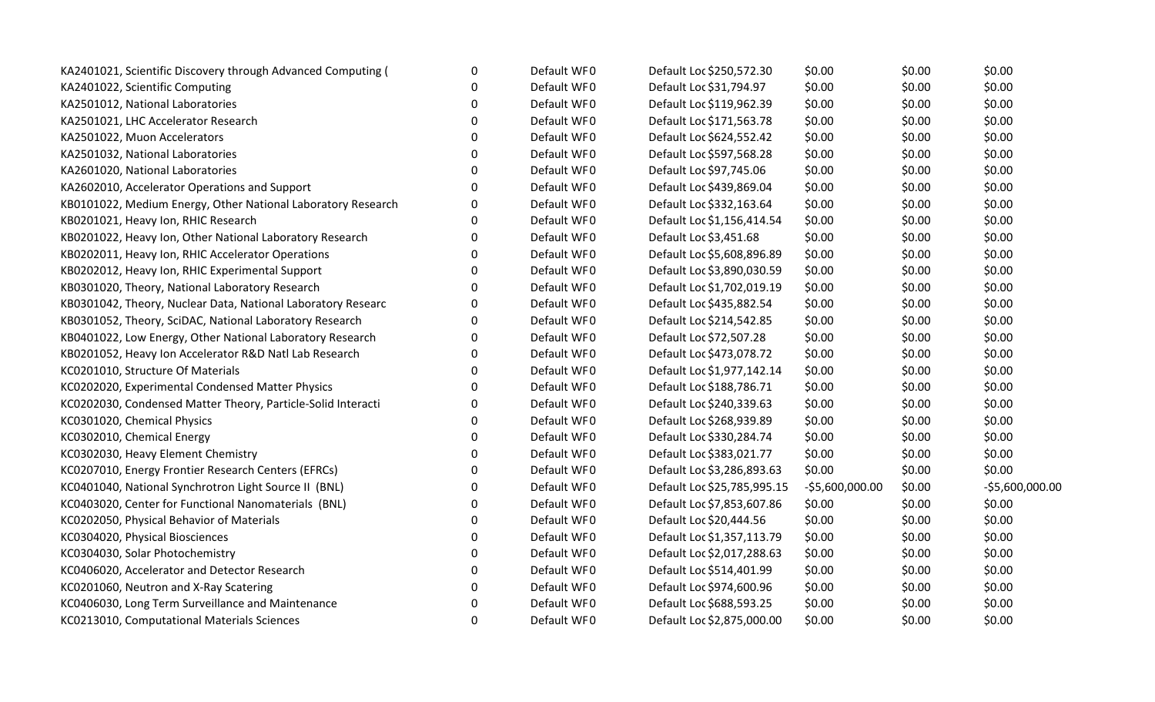| KA2401021, Scientific Discovery through Advanced Computing ( | 0           | Default WF0 | Default Loc \$250,572.30    | \$0.00           | \$0.00 | \$0.00          |
|--------------------------------------------------------------|-------------|-------------|-----------------------------|------------------|--------|-----------------|
| KA2401022, Scientific Computing                              | $\Omega$    | Default WF0 | Default Loc \$31,794.97     | \$0.00           | \$0.00 | \$0.00          |
| KA2501012, National Laboratories                             | $\Omega$    | Default WF0 | Default Loc \$119,962.39    | \$0.00           | \$0.00 | \$0.00          |
| KA2501021, LHC Accelerator Research                          | $\Omega$    | Default WF0 | Default Loc \$171,563.78    | \$0.00           | \$0.00 | \$0.00          |
| KA2501022, Muon Accelerators                                 | 0           | Default WF0 | Default Loc \$624,552.42    | \$0.00           | \$0.00 | \$0.00          |
| KA2501032, National Laboratories                             | 0           | Default WF0 | Default Loc \$597,568.28    | \$0.00           | \$0.00 | \$0.00          |
| KA2601020, National Laboratories                             | 0           | Default WF0 | Default Loc \$97,745.06     | \$0.00           | \$0.00 | \$0.00          |
| KA2602010, Accelerator Operations and Support                | $\Omega$    | Default WF0 | Default Loc \$439,869.04    | \$0.00           | \$0.00 | \$0.00          |
| KB0101022, Medium Energy, Other National Laboratory Research | $\mathbf 0$ | Default WF0 | Default Loc \$332,163.64    | \$0.00           | \$0.00 | \$0.00          |
| KB0201021, Heavy Ion, RHIC Research                          | $\mathbf 0$ | Default WF0 | Default Loc \$1,156,414.54  | \$0.00           | \$0.00 | \$0.00          |
| KB0201022, Heavy Ion, Other National Laboratory Research     | 0           | Default WF0 | Default Loc \$3,451.68      | \$0.00           | \$0.00 | \$0.00          |
| KB0202011, Heavy Ion, RHIC Accelerator Operations            | 0           | Default WF0 | Default Loc \$5,608,896.89  | \$0.00           | \$0.00 | \$0.00          |
| KB0202012, Heavy Ion, RHIC Experimental Support              | $\mathbf 0$ | Default WF0 | Default Loc \$3,890,030.59  | \$0.00           | \$0.00 | \$0.00          |
| KB0301020, Theory, National Laboratory Research              | $\mathbf 0$ | Default WF0 | Default Loc \$1,702,019.19  | \$0.00           | \$0.00 | \$0.00          |
| KB0301042, Theory, Nuclear Data, National Laboratory Researc | 0           | Default WF0 | Default Loc \$435,882.54    | \$0.00           | \$0.00 | \$0.00          |
| KB0301052, Theory, SciDAC, National Laboratory Research      | 0           | Default WF0 | Default Loc \$214,542.85    | \$0.00           | \$0.00 | \$0.00          |
| KB0401022, Low Energy, Other National Laboratory Research    | 0           | Default WF0 | Default Loc \$72,507.28     | \$0.00           | \$0.00 | \$0.00          |
| KB0201052, Heavy Ion Accelerator R&D Natl Lab Research       | $\Omega$    | Default WF0 | Default Loc \$473,078.72    | \$0.00           | \$0.00 | \$0.00          |
| KC0201010, Structure Of Materials                            | $\Omega$    | Default WF0 | Default Loc \$1,977,142.14  | \$0.00           | \$0.00 | \$0.00          |
| KC0202020, Experimental Condensed Matter Physics             | 0           | Default WF0 | Default Loc \$188,786.71    | \$0.00           | \$0.00 | \$0.00          |
| KC0202030, Condensed Matter Theory, Particle-Solid Interacti | 0           | Default WF0 | Default Loc \$240,339.63    | \$0.00           | \$0.00 | \$0.00          |
| KC0301020, Chemical Physics                                  | 0           | Default WF0 | Default Loc \$268,939.89    | \$0.00           | \$0.00 | \$0.00          |
| KC0302010, Chemical Energy                                   | $\Omega$    | Default WF0 | Default Loc \$330,284.74    | \$0.00           | \$0.00 | \$0.00          |
| KC0302030, Heavy Element Chemistry                           | $\Omega$    | Default WF0 | Default Loc \$383,021.77    | \$0.00           | \$0.00 | \$0.00          |
| KC0207010, Energy Frontier Research Centers (EFRCs)          | 0           | Default WF0 | Default Loc \$3,286,893.63  | \$0.00           | \$0.00 | \$0.00          |
| KC0401040, National Synchrotron Light Source II (BNL)        | 0           | Default WF0 | Default Loc \$25,785,995.15 | $-55,600,000.00$ | \$0.00 | -\$5,600,000.00 |
| KC0403020, Center for Functional Nanomaterials (BNL)         | 0           | Default WF0 | Default Loc \$7,853,607.86  | \$0.00           | \$0.00 | \$0.00          |
| KC0202050, Physical Behavior of Materials                    | $\Omega$    | Default WF0 | Default Loc \$20,444.56     | \$0.00           | \$0.00 | \$0.00          |
| KC0304020, Physical Biosciences                              | 0           | Default WF0 | Default Loc \$1,357,113.79  | \$0.00           | \$0.00 | \$0.00          |
| KC0304030, Solar Photochemistry                              | 0           | Default WF0 | Default Loc \$2,017,288.63  | \$0.00           | \$0.00 | \$0.00          |
| KC0406020, Accelerator and Detector Research                 | 0           | Default WF0 | Default Loc \$514,401.99    | \$0.00           | \$0.00 | \$0.00          |
| KC0201060, Neutron and X-Ray Scatering                       | $\Omega$    | Default WF0 | Default Loc \$974,600.96    | \$0.00           | \$0.00 | \$0.00          |
| KC0406030, Long Term Surveillance and Maintenance            | 0           | Default WF0 | Default Loc \$688,593.25    | \$0.00           | \$0.00 | \$0.00          |
| KC0213010, Computational Materials Sciences                  | 0           | Default WF0 | Default Loc \$2,875,000.00  | \$0.00           | \$0.00 | \$0.00          |
|                                                              |             |             |                             |                  |        |                 |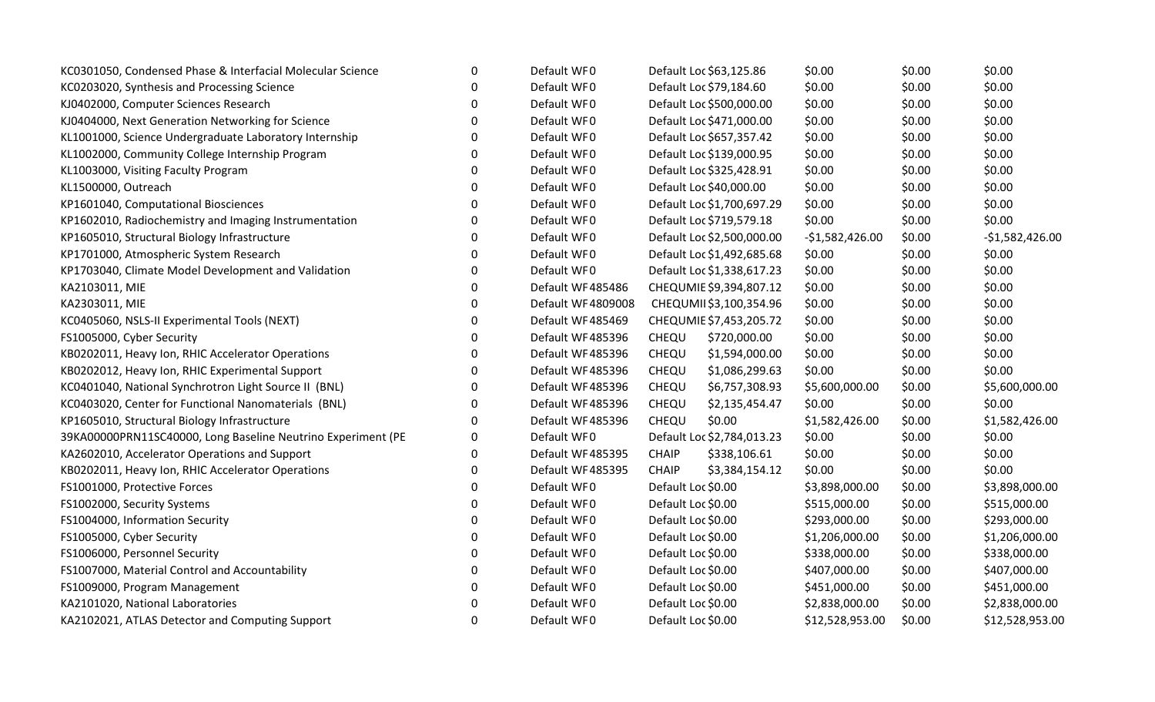| KC0301050, Condensed Phase & Interfacial Molecular Science   | 0           | Default WF0       | Default Loc \$63,125.86        | \$0.00           | \$0.00 | \$0.00           |
|--------------------------------------------------------------|-------------|-------------------|--------------------------------|------------------|--------|------------------|
| KC0203020, Synthesis and Processing Science                  | $\Omega$    | Default WF0       | Default Loc \$79,184.60        | \$0.00           | \$0.00 | \$0.00           |
| KJ0402000, Computer Sciences Research                        | ∩           | Default WF0       | Default Loc \$500,000.00       | \$0.00           | \$0.00 | \$0.00           |
| KJ0404000, Next Generation Networking for Science            | $\Omega$    | Default WF0       | Default Loc \$471,000.00       | \$0.00           | \$0.00 | \$0.00           |
| KL1001000, Science Undergraduate Laboratory Internship       | 0           | Default WF0       | Default Loc \$657,357.42       | \$0.00           | \$0.00 | \$0.00           |
| KL1002000, Community College Internship Program              | 0           | Default WF0       | Default Loc \$139,000.95       | \$0.00           | \$0.00 | \$0.00           |
| KL1003000, Visiting Faculty Program                          | $\Omega$    | Default WF0       | Default Loc \$325,428.91       | \$0.00           | \$0.00 | \$0.00           |
| KL1500000, Outreach                                          | ∩           | Default WF0       | Default Loc \$40,000.00        | \$0.00           | \$0.00 | \$0.00           |
| KP1601040, Computational Biosciences                         | 0           | Default WF0       | Default Loc \$1,700,697.29     | \$0.00           | \$0.00 | \$0.00           |
| KP1602010, Radiochemistry and Imaging Instrumentation        | 0           | Default WF0       | Default Loc \$719,579.18       | \$0.00           | \$0.00 | \$0.00           |
| KP1605010, Structural Biology Infrastructure                 | 0           | Default WF0       | Default Loc \$2,500,000.00     | $-$1,582,426.00$ | \$0.00 | $-$1,582,426.00$ |
| KP1701000, Atmospheric System Research                       | ∩           | Default WF0       | Default Loc \$1,492,685.68     | \$0.00           | \$0.00 | \$0.00           |
| KP1703040, Climate Model Development and Validation          | 0           | Default WF0       | Default Loc \$1,338,617.23     | \$0.00           | \$0.00 | \$0.00           |
| KA2103011, MIE                                               | 0           | Default WF485486  | CHEQUMIE \$9,394,807.12        | \$0.00           | \$0.00 | \$0.00           |
| KA2303011, MIE                                               | 0           | Default WF4809008 | CHEQUMII\$3,100,354.96         | \$0.00           | \$0.00 | \$0.00           |
| KC0405060, NSLS-II Experimental Tools (NEXT)                 | 0           | Default WF485469  | CHEQUMIE \$7,453,205.72        | \$0.00           | \$0.00 | \$0.00           |
| FS1005000, Cyber Security                                    | $\Omega$    | Default WF485396  | \$720,000.00<br>CHEQU          | \$0.00           | \$0.00 | \$0.00           |
| KB0202011, Heavy Ion, RHIC Accelerator Operations            | 0           | Default WF485396  | \$1,594,000.00<br>CHEQU        | \$0.00           | \$0.00 | \$0.00           |
| KB0202012, Heavy Ion, RHIC Experimental Support              | 0           | Default WF485396  | CHEQU<br>\$1,086,299.63        | \$0.00           | \$0.00 | \$0.00           |
| KC0401040, National Synchrotron Light Source II (BNL)        | 0           | Default WF485396  | \$6,757,308.93<br>CHEQU        | \$5,600,000.00   | \$0.00 | \$5,600,000.00   |
| KC0403020, Center for Functional Nanomaterials (BNL)         | 0           | Default WF485396  | CHEQU<br>\$2,135,454.47        | \$0.00           | \$0.00 | \$0.00           |
| KP1605010, Structural Biology Infrastructure                 | $\Omega$    | Default WF485396  | CHEQU<br>\$0.00                | \$1,582,426.00   | \$0.00 | \$1,582,426.00   |
| 39KA00000PRN11SC40000, Long Baseline Neutrino Experiment (PE | $\Omega$    | Default WF0       | Default Loc \$2,784,013.23     | \$0.00           | \$0.00 | \$0.00           |
| KA2602010, Accelerator Operations and Support                | $\mathbf 0$ | Default WF485395  | \$338,106.61<br><b>CHAIP</b>   | \$0.00           | \$0.00 | \$0.00           |
| KB0202011, Heavy Ion, RHIC Accelerator Operations            | 0           | Default WF485395  | <b>CHAIP</b><br>\$3,384,154.12 | \$0.00           | \$0.00 | \$0.00           |
| FS1001000, Protective Forces                                 | 0           | Default WF0       | Default Loc \$0.00             | \$3,898,000.00   | \$0.00 | \$3,898,000.00   |
| FS1002000, Security Systems                                  | $\Omega$    | Default WF0       | Default Loc \$0.00             | \$515,000.00     | \$0.00 | \$515,000.00     |
| FS1004000, Information Security                              | $\Omega$    | Default WF0       | Default Loc \$0.00             | \$293,000.00     | \$0.00 | \$293,000.00     |
| FS1005000, Cyber Security                                    | 0           | Default WF0       | Default Loc \$0.00             | \$1,206,000.00   | \$0.00 | \$1,206,000.00   |
| FS1006000, Personnel Security                                | 0           | Default WF0       | Default Loc \$0.00             | \$338,000.00     | \$0.00 | \$338,000.00     |
| FS1007000, Material Control and Accountability               | 0           | Default WF0       | Default Loc \$0.00             | \$407,000.00     | \$0.00 | \$407,000.00     |
| FS1009000, Program Management                                | ∩           | Default WF0       | Default Loc \$0.00             | \$451,000.00     | \$0.00 | \$451,000.00     |
| KA2101020, National Laboratories                             | U           | Default WF0       | Default Loc \$0.00             | \$2,838,000.00   | \$0.00 | \$2,838,000.00   |
| KA2102021, ATLAS Detector and Computing Support              | 0           | Default WF0       | Default Loc \$0.00             | \$12,528,953.00  | \$0.00 | \$12,528,953.00  |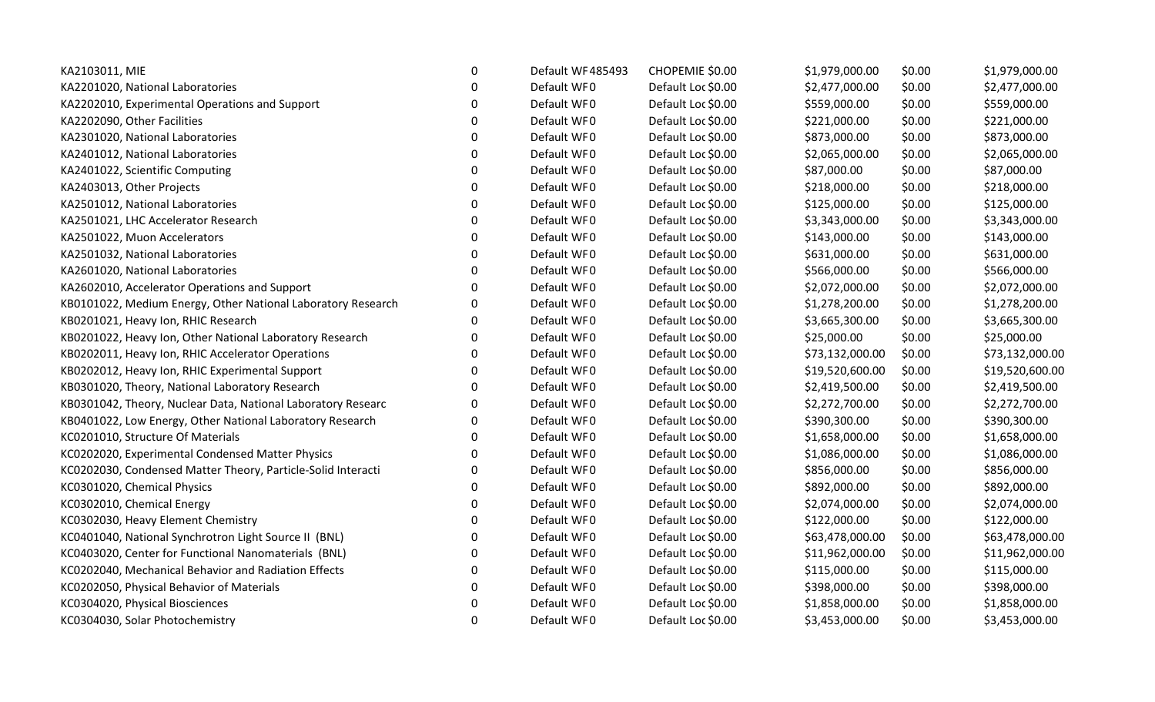| KA2103011, MIE                                               | 0 | Default WF485493 | CHOPEMIE \$0.00    | \$1,979,000.00  | \$0.00 | \$1,979,000.00  |
|--------------------------------------------------------------|---|------------------|--------------------|-----------------|--------|-----------------|
| KA2201020, National Laboratories                             | 0 | Default WF0      | Default Loc \$0.00 | \$2,477,000.00  | \$0.00 | \$2,477,000.00  |
| KA2202010, Experimental Operations and Support               | 0 | Default WF0      | Default Loc \$0.00 | \$559,000.00    | \$0.00 | \$559,000.00    |
| KA2202090, Other Facilities                                  | 0 | Default WF0      | Default Loc \$0.00 | \$221,000.00    | \$0.00 | \$221,000.00    |
| KA2301020, National Laboratories                             | 0 | Default WF0      | Default Loc \$0.00 | \$873,000.00    | \$0.00 | \$873,000.00    |
| KA2401012, National Laboratories                             | 0 | Default WF0      | Default Loc \$0.00 | \$2,065,000.00  | \$0.00 | \$2,065,000.00  |
| KA2401022, Scientific Computing                              | 0 | Default WF0      | Default Loc \$0.00 | \$87,000.00     | \$0.00 | \$87,000.00     |
| KA2403013, Other Projects                                    | 0 | Default WF0      | Default Loc \$0.00 | \$218,000.00    | \$0.00 | \$218,000.00    |
| KA2501012, National Laboratories                             | 0 | Default WF0      | Default Loc \$0.00 | \$125,000.00    | \$0.00 | \$125,000.00    |
| KA2501021, LHC Accelerator Research                          | 0 | Default WF0      | Default Loc \$0.00 | \$3,343,000.00  | \$0.00 | \$3,343,000.00  |
| KA2501022, Muon Accelerators                                 | 0 | Default WF0      | Default Loc \$0.00 | \$143,000.00    | \$0.00 | \$143,000.00    |
| KA2501032, National Laboratories                             | 0 | Default WF0      | Default Loc \$0.00 | \$631,000.00    | \$0.00 | \$631,000.00    |
| KA2601020, National Laboratories                             | 0 | Default WF0      | Default Loc \$0.00 | \$566,000.00    | \$0.00 | \$566,000.00    |
| KA2602010, Accelerator Operations and Support                | 0 | Default WF0      | Default Loc \$0.00 | \$2,072,000.00  | \$0.00 | \$2,072,000.00  |
| KB0101022, Medium Energy, Other National Laboratory Research | 0 | Default WF0      | Default Loc \$0.00 | \$1,278,200.00  | \$0.00 | \$1,278,200.00  |
| KB0201021, Heavy Ion, RHIC Research                          | 0 | Default WF0      | Default Loc \$0.00 | \$3,665,300.00  | \$0.00 | \$3,665,300.00  |
| KB0201022, Heavy Ion, Other National Laboratory Research     | 0 | Default WF0      | Default Loc \$0.00 | \$25,000.00     | \$0.00 | \$25,000.00     |
| KB0202011, Heavy Ion, RHIC Accelerator Operations            | 0 | Default WF0      | Default Loc \$0.00 | \$73,132,000.00 | \$0.00 | \$73,132,000.00 |
| KB0202012, Heavy Ion, RHIC Experimental Support              | 0 | Default WF0      | Default Loc \$0.00 | \$19,520,600.00 | \$0.00 | \$19,520,600.00 |
| KB0301020, Theory, National Laboratory Research              | 0 | Default WF0      | Default Loc \$0.00 | \$2,419,500.00  | \$0.00 | \$2,419,500.00  |
| KB0301042, Theory, Nuclear Data, National Laboratory Researc | 0 | Default WF0      | Default Loc \$0.00 | \$2,272,700.00  | \$0.00 | \$2,272,700.00  |
| KB0401022, Low Energy, Other National Laboratory Research    | 0 | Default WF0      | Default Loc \$0.00 | \$390,300.00    | \$0.00 | \$390,300.00    |
| KC0201010, Structure Of Materials                            | 0 | Default WF0      | Default Loc \$0.00 | \$1,658,000.00  | \$0.00 | \$1,658,000.00  |
| KC0202020, Experimental Condensed Matter Physics             | 0 | Default WF0      | Default Loc \$0.00 | \$1,086,000.00  | \$0.00 | \$1,086,000.00  |
| KC0202030, Condensed Matter Theory, Particle-Solid Interacti | 0 | Default WF0      | Default Loc \$0.00 | \$856,000.00    | \$0.00 | \$856,000.00    |
| KC0301020, Chemical Physics                                  | 0 | Default WF0      | Default Loc \$0.00 | \$892,000.00    | \$0.00 | \$892,000.00    |
| KC0302010, Chemical Energy                                   | 0 | Default WF0      | Default Loc \$0.00 | \$2,074,000.00  | \$0.00 | \$2,074,000.00  |
| KC0302030, Heavy Element Chemistry                           | 0 | Default WF0      | Default Loc \$0.00 | \$122,000.00    | \$0.00 | \$122,000.00    |
| KC0401040, National Synchrotron Light Source II (BNL)        | 0 | Default WF0      | Default Loc \$0.00 | \$63,478,000.00 | \$0.00 | \$63,478,000.00 |
| KC0403020, Center for Functional Nanomaterials (BNL)         | 0 | Default WF0      | Default Loc \$0.00 | \$11,962,000.00 | \$0.00 | \$11,962,000.00 |
| KC0202040, Mechanical Behavior and Radiation Effects         | 0 | Default WF0      | Default Loc \$0.00 | \$115,000.00    | \$0.00 | \$115,000.00    |
| KC0202050, Physical Behavior of Materials                    | 0 | Default WF0      | Default Loc \$0.00 | \$398,000.00    | \$0.00 | \$398,000.00    |
| KC0304020, Physical Biosciences                              | 0 | Default WF0      | Default Loc \$0.00 | \$1,858,000.00  | \$0.00 | \$1,858,000.00  |
| KC0304030, Solar Photochemistry                              | 0 | Default WF0      | Default Loc \$0.00 | \$3,453,000.00  | \$0.00 | \$3,453,000.00  |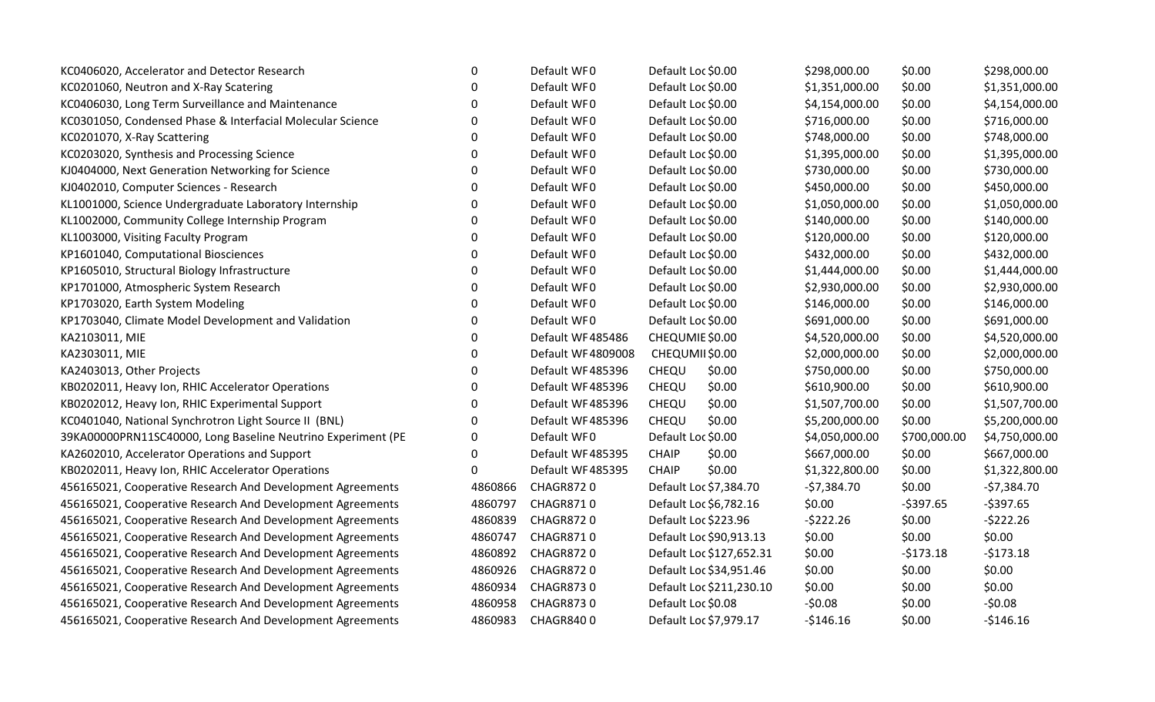| KC0406020, Accelerator and Detector Research                 | 0           | Default WF0       | Default Loc \$0.00       | \$298,000.00   | \$0.00       | \$298,000.00   |
|--------------------------------------------------------------|-------------|-------------------|--------------------------|----------------|--------------|----------------|
| KC0201060, Neutron and X-Ray Scatering                       | 0           | Default WF0       | Default Loc \$0.00       | \$1,351,000.00 | \$0.00       | \$1,351,000.00 |
| KC0406030, Long Term Surveillance and Maintenance            | ∩           | Default WF0       | Default Loc \$0.00       | \$4,154,000.00 | \$0.00       | \$4,154,000.00 |
| KC0301050, Condensed Phase & Interfacial Molecular Science   | O           | Default WF0       | Default Loc \$0.00       | \$716,000.00   | \$0.00       | \$716,000.00   |
| KC0201070, X-Ray Scattering                                  | O           | Default WF0       | Default Loc \$0.00       | \$748,000.00   | \$0.00       | \$748,000.00   |
| KC0203020, Synthesis and Processing Science                  | $\mathbf 0$ | Default WF0       | Default Loc \$0.00       | \$1,395,000.00 | \$0.00       | \$1,395,000.00 |
| KJ0404000, Next Generation Networking for Science            | 0           | Default WF0       | Default Loc \$0.00       | \$730,000.00   | \$0.00       | \$730,000.00   |
| KJ0402010, Computer Sciences - Research                      | $\Omega$    | Default WF0       | Default Loc \$0.00       | \$450,000.00   | \$0.00       | \$450,000.00   |
| KL1001000, Science Undergraduate Laboratory Internship       | $\Omega$    | Default WF0       | Default Loc \$0.00       | \$1,050,000.00 | \$0.00       | \$1,050,000.00 |
| KL1002000, Community College Internship Program              | $\Omega$    | Default WF0       | Default Loc \$0.00       | \$140,000.00   | \$0.00       | \$140,000.00   |
| KL1003000, Visiting Faculty Program                          | 0           | Default WF0       | Default Loc \$0.00       | \$120,000.00   | \$0.00       | \$120,000.00   |
| KP1601040, Computational Biosciences                         | $\Omega$    | Default WF0       | Default Loc \$0.00       | \$432,000.00   | \$0.00       | \$432,000.00   |
| KP1605010, Structural Biology Infrastructure                 | $\Omega$    | Default WF0       | Default Loc \$0.00       | \$1,444,000.00 | \$0.00       | \$1,444,000.00 |
| KP1701000, Atmospheric System Research                       | $\Omega$    | Default WF0       | Default Loc \$0.00       | \$2,930,000.00 | \$0.00       | \$2,930,000.00 |
| KP1703020, Earth System Modeling                             | $\Omega$    | Default WF0       | Default Loc \$0.00       | \$146,000.00   | \$0.00       | \$146,000.00   |
| KP1703040, Climate Model Development and Validation          | 0           | Default WF0       | Default Loc \$0.00       | \$691,000.00   | \$0.00       | \$691,000.00   |
| KA2103011, MIE                                               | 0           | Default WF485486  | CHEQUMIE \$0.00          | \$4,520,000.00 | \$0.00       | \$4,520,000.00 |
| KA2303011, MIE                                               | $\Omega$    | Default WF4809008 | CHEQUMII\$0.00           | \$2,000,000.00 | \$0.00       | \$2,000,000.00 |
| KA2403013, Other Projects                                    | $\Omega$    | Default WF485396  | \$0.00<br>CHEQU          | \$750,000.00   | \$0.00       | \$750,000.00   |
| KB0202011, Heavy Ion, RHIC Accelerator Operations            | $\mathbf 0$ | Default WF485396  | \$0.00<br>CHEQU          | \$610,900.00   | \$0.00       | \$610,900.00   |
| KB0202012, Heavy Ion, RHIC Experimental Support              | 0           | Default WF485396  | \$0.00<br>CHEQU          | \$1,507,700.00 | \$0.00       | \$1,507,700.00 |
| KC0401040, National Synchrotron Light Source II (BNL)        | ∩           | Default WF485396  | CHEQU<br>\$0.00          | \$5,200,000.00 | \$0.00       | \$5,200,000.00 |
| 39KA00000PRN11SC40000, Long Baseline Neutrino Experiment (PE | $\Omega$    | Default WF0       | Default Loc \$0.00       | \$4,050,000.00 | \$700,000.00 | \$4,750,000.00 |
| KA2602010, Accelerator Operations and Support                | $\Omega$    | Default WF485395  | \$0.00<br><b>CHAIP</b>   | \$667,000.00   | \$0.00       | \$667,000.00   |
| KB0202011, Heavy Ion, RHIC Accelerator Operations            | $\Omega$    | Default WF485395  | \$0.00<br><b>CHAIP</b>   | \$1,322,800.00 | \$0.00       | \$1,322,800.00 |
| 456165021, Cooperative Research And Development Agreements   | 4860866     | <b>CHAGR8720</b>  | Default Loc \$7,384.70   | $-57,384.70$   | \$0.00       | $-57,384.70$   |
| 456165021, Cooperative Research And Development Agreements   | 4860797     | <b>CHAGR8710</b>  | Default Loc \$6,782.16   | \$0.00         | $-5397.65$   | $-$397.65$     |
| 456165021, Cooperative Research And Development Agreements   | 4860839     | <b>CHAGR8720</b>  | Default Loc \$223.96     | $-5222.26$     | \$0.00       | $-5222.26$     |
| 456165021, Cooperative Research And Development Agreements   | 4860747     | <b>CHAGR8710</b>  | Default Loc \$90,913.13  | \$0.00         | \$0.00       | \$0.00         |
| 456165021, Cooperative Research And Development Agreements   | 4860892     | <b>CHAGR8720</b>  | Default Loc \$127,652.31 | \$0.00         | $-5173.18$   | $-5173.18$     |
| 456165021, Cooperative Research And Development Agreements   | 4860926     | CHAGR8720         | Default Loc \$34,951.46  | \$0.00         | \$0.00       | \$0.00         |
| 456165021, Cooperative Research And Development Agreements   | 4860934     | <b>CHAGR8730</b>  | Default Loc \$211,230.10 | \$0.00         | \$0.00       | \$0.00         |
| 456165021, Cooperative Research And Development Agreements   | 4860958     | <b>CHAGR8730</b>  | Default Loc \$0.08       | $-50.08$       | \$0.00       | $-50.08$       |
| 456165021, Cooperative Research And Development Agreements   | 4860983     | <b>CHAGR8400</b>  | Default Loc \$7,979.17   | $-5146.16$     | \$0.00       | $-$146.16$     |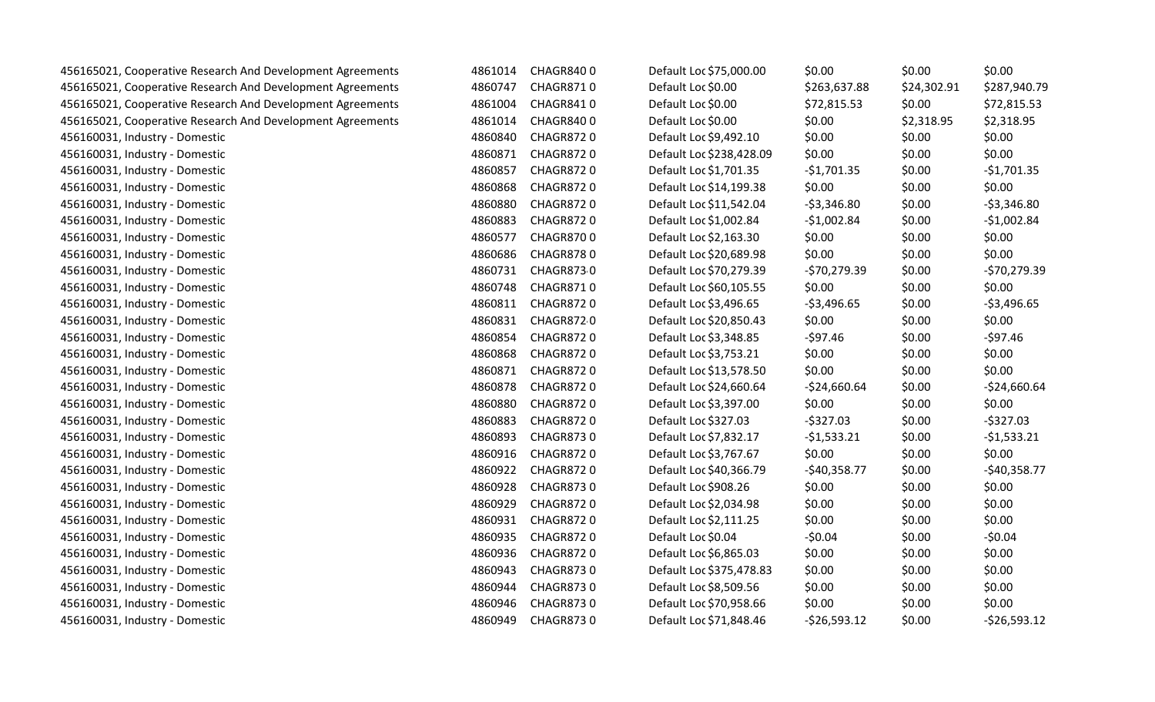| 456165021, Cooperative Research And Development Agreements | 4861014 | <b>CHAGR8400</b> | Default Loc \$75,000.00  | \$0.00        | \$0.00      | \$0.00        |
|------------------------------------------------------------|---------|------------------|--------------------------|---------------|-------------|---------------|
| 456165021, Cooperative Research And Development Agreements | 4860747 | <b>CHAGR8710</b> | Default Loc \$0.00       | \$263,637.88  | \$24,302.91 | \$287,940.79  |
| 456165021, Cooperative Research And Development Agreements | 4861004 | <b>CHAGR8410</b> | Default Loc \$0.00       | \$72,815.53   | \$0.00      | \$72,815.53   |
| 456165021, Cooperative Research And Development Agreements | 4861014 | <b>CHAGR8400</b> | Default Loc \$0.00       | \$0.00        | \$2,318.95  | \$2,318.95    |
| 456160031, Industry - Domestic                             | 4860840 | <b>CHAGR8720</b> | Default Loc \$9,492.10   | \$0.00        | \$0.00      | \$0.00        |
| 456160031, Industry - Domestic                             | 4860871 | CHAGR8720        | Default Loc \$238,428.09 | \$0.00        | \$0.00      | \$0.00        |
| 456160031, Industry - Domestic                             | 4860857 | <b>CHAGR8720</b> | Default Loc \$1,701.35   | $-$1,701.35$  | \$0.00      | $-$1,701.35$  |
| 456160031, Industry - Domestic                             | 4860868 | CHAGR8720        | Default Loc \$14,199.38  | \$0.00        | \$0.00      | \$0.00        |
| 456160031, Industry - Domestic                             | 4860880 | <b>CHAGR8720</b> | Default Loc \$11,542.04  | $-53,346.80$  | \$0.00      | $-53,346.80$  |
| 456160031, Industry - Domestic                             | 4860883 | <b>CHAGR8720</b> | Default Loc \$1,002.84   | $-$1,002.84$  | \$0.00      | $-$1,002.84$  |
| 456160031, Industry - Domestic                             | 4860577 | <b>CHAGR8700</b> | Default Loc \$2,163.30   | \$0.00        | \$0.00      | \$0.00        |
| 456160031, Industry - Domestic                             | 4860686 | <b>CHAGR8780</b> | Default Loc \$20,689.98  | \$0.00        | \$0.00      | \$0.00        |
| 456160031, Industry - Domestic                             | 4860731 | CHAGR8730        | Default Loc \$70,279.39  | $-570,279.39$ | \$0.00      | $-570,279.39$ |
| 456160031, Industry - Domestic                             | 4860748 | <b>CHAGR8710</b> | Default Loc \$60,105.55  | \$0.00        | \$0.00      | \$0.00        |
| 456160031, Industry - Domestic                             | 4860811 | CHAGR8720        | Default Loc \$3,496.65   | $-53,496.65$  | \$0.00      | $-53,496.65$  |
| 456160031, Industry - Domestic                             | 4860831 | CHAGR8720        | Default Loc \$20,850.43  | \$0.00        | \$0.00      | \$0.00        |
| 456160031, Industry - Domestic                             | 4860854 | <b>CHAGR8720</b> | Default Loc \$3,348.85   | $-$97.46$     | \$0.00      | $-$97.46$     |
| 456160031, Industry - Domestic                             | 4860868 | <b>CHAGR8720</b> | Default Loc \$3,753.21   | \$0.00        | \$0.00      | \$0.00        |
| 456160031, Industry - Domestic                             | 4860871 | <b>CHAGR8720</b> | Default Loc \$13,578.50  | \$0.00        | \$0.00      | \$0.00        |
| 456160031, Industry - Domestic                             | 4860878 | <b>CHAGR8720</b> | Default Loc \$24,660.64  | $-524,660.64$ | \$0.00      | $-524,660.64$ |
| 456160031, Industry - Domestic                             | 4860880 | <b>CHAGR8720</b> | Default Loc \$3,397.00   | \$0.00        | \$0.00      | \$0.00        |
| 456160031, Industry - Domestic                             | 4860883 | <b>CHAGR8720</b> | Default Loc \$327.03     | $-5327.03$    | \$0.00      | $-5327.03$    |
| 456160031, Industry - Domestic                             | 4860893 | <b>CHAGR8730</b> | Default Loc \$7,832.17   | $-51,533.21$  | \$0.00      | $-51,533.21$  |
| 456160031, Industry - Domestic                             | 4860916 | <b>CHAGR8720</b> | Default Loc \$3,767.67   | \$0.00        | \$0.00      | \$0.00        |
| 456160031, Industry - Domestic                             | 4860922 | CHAGR8720        | Default Loc \$40,366.79  | $-$40,358.77$ | \$0.00      | $-$40,358.77$ |
| 456160031, Industry - Domestic                             | 4860928 | <b>CHAGR8730</b> | Default Loc \$908.26     | \$0.00        | \$0.00      | \$0.00        |
| 456160031, Industry - Domestic                             | 4860929 | <b>CHAGR8720</b> | Default Loc \$2,034.98   | \$0.00        | \$0.00      | \$0.00        |
| 456160031, Industry - Domestic                             | 4860931 | <b>CHAGR8720</b> | Default Loc \$2,111.25   | \$0.00        | \$0.00      | \$0.00        |
| 456160031, Industry - Domestic                             | 4860935 | CHAGR8720        | Default Loc \$0.04       | $-50.04$      | \$0.00      | $-50.04$      |
| 456160031, Industry - Domestic                             | 4860936 | <b>CHAGR8720</b> | Default Loc \$6,865.03   | \$0.00        | \$0.00      | \$0.00        |
| 456160031, Industry - Domestic                             | 4860943 | CHAGR8730        | Default Loc \$375,478.83 | \$0.00        | \$0.00      | \$0.00        |
| 456160031, Industry - Domestic                             | 4860944 | <b>CHAGR8730</b> | Default Loc \$8,509.56   | \$0.00        | \$0.00      | \$0.00        |
| 456160031, Industry - Domestic                             | 4860946 | CHAGR8730        | Default Loc \$70,958.66  | \$0.00        | \$0.00      | \$0.00        |
| 456160031, Industry - Domestic                             | 4860949 | <b>CHAGR8730</b> | Default Loc \$71,848.46  | $-526,593.12$ | \$0.00      | $-526,593.12$ |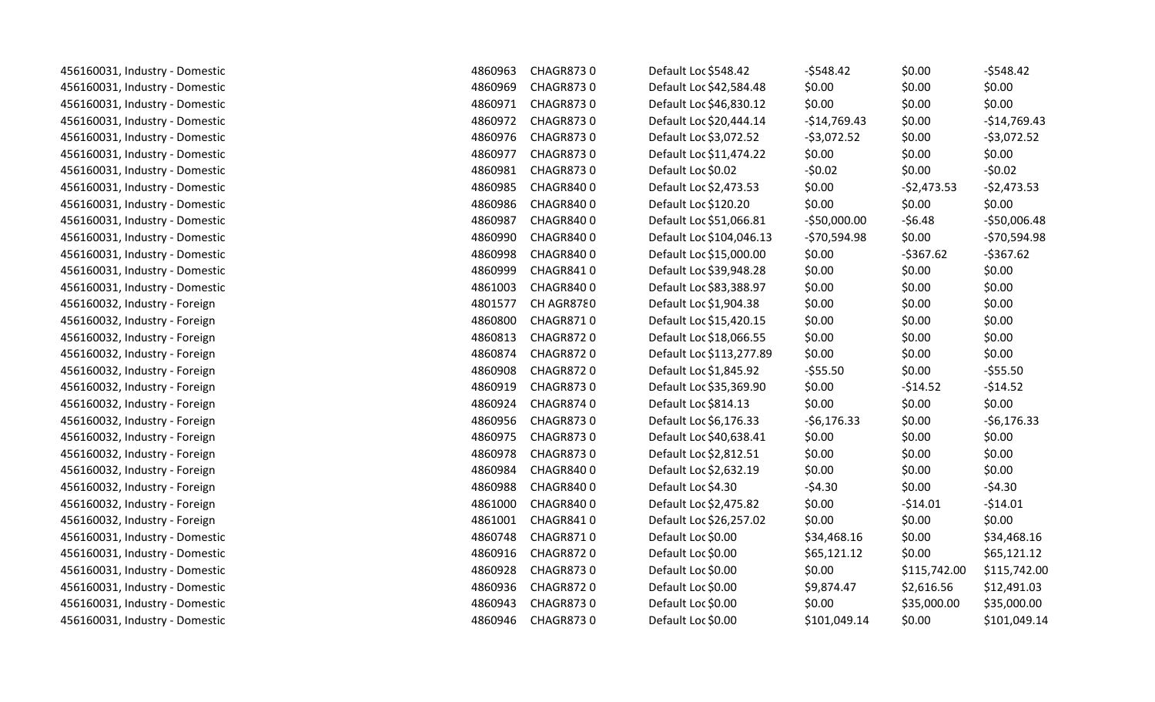| 456160031, Industry - Domestic | 4860963 | <b>CHAGR8730</b> | Default Loc \$548.42     | $-5548.42$    | \$0.00       | $-5548.42$    |
|--------------------------------|---------|------------------|--------------------------|---------------|--------------|---------------|
| 456160031, Industry - Domestic | 4860969 | <b>CHAGR8730</b> | Default Loc \$42,584.48  | \$0.00        | \$0.00       | \$0.00        |
| 456160031, Industry - Domestic | 4860971 | CHAGR8730        | Default Loc \$46,830.12  | \$0.00        | \$0.00       | \$0.00        |
| 456160031, Industry - Domestic | 4860972 | <b>CHAGR8730</b> | Default Loc \$20,444.14  | $-$14,769.43$ | \$0.00       | $-$14,769.43$ |
| 456160031, Industry - Domestic | 4860976 | <b>CHAGR8730</b> | Default Loc \$3,072.52   | $-53,072.52$  | \$0.00       | $-53,072.52$  |
| 456160031, Industry - Domestic | 4860977 | <b>CHAGR8730</b> | Default Loc \$11,474.22  | \$0.00        | \$0.00       | \$0.00        |
| 456160031, Industry - Domestic | 4860981 | CHAGR8730        | Default Loc \$0.02       | $-50.02$      | \$0.00       | $-50.02$      |
| 456160031, Industry - Domestic | 4860985 | <b>CHAGR8400</b> | Default Loc \$2,473.53   | \$0.00        | $-52,473.53$ | $-52,473.53$  |
| 456160031, Industry - Domestic | 4860986 | <b>CHAGR8400</b> | Default Loc \$120.20     | \$0.00        | \$0.00       | \$0.00        |
| 456160031, Industry - Domestic | 4860987 | <b>CHAGR8400</b> | Default Loc \$51,066.81  | $-550,000.00$ | $-56.48$     | $-$50,006.48$ |
| 456160031, Industry - Domestic | 4860990 | <b>CHAGR8400</b> | Default Loc \$104,046.13 | $-570,594.98$ | \$0.00       | $-570,594.98$ |
| 456160031, Industry - Domestic | 4860998 | <b>CHAGR8400</b> | Default Loc \$15,000.00  | \$0.00        | $-5367.62$   | $-5367.62$    |
| 456160031, Industry - Domestic | 4860999 | CHAGR8410        | Default Loc \$39,948.28  | \$0.00        | \$0.00       | \$0.00        |
| 456160031, Industry - Domestic | 4861003 | <b>CHAGR8400</b> | Default Loc \$83,388.97  | \$0.00        | \$0.00       | \$0.00        |
| 456160032, Industry - Foreign  | 4801577 | CH AGR8780       | Default Loc \$1,904.38   | \$0.00        | \$0.00       | \$0.00        |
| 456160032, Industry - Foreign  | 4860800 | <b>CHAGR8710</b> | Default Loc \$15,420.15  | \$0.00        | \$0.00       | \$0.00        |
| 456160032, Industry - Foreign  | 4860813 | CHAGR8720        | Default Loc \$18,066.55  | \$0.00        | \$0.00       | \$0.00        |
| 456160032, Industry - Foreign  | 4860874 | <b>CHAGR8720</b> | Default Loc \$113,277.89 | \$0.00        | \$0.00       | \$0.00        |
| 456160032, Industry - Foreign  | 4860908 | <b>CHAGR8720</b> | Default Loc \$1,845.92   | $-555.50$     | \$0.00       | $-555.50$     |
| 456160032, Industry - Foreign  | 4860919 | <b>CHAGR8730</b> | Default Loc \$35,369.90  | \$0.00        | $-$14.52$    | $-514.52$     |
| 456160032, Industry - Foreign  | 4860924 | <b>CHAGR8740</b> | Default Loc \$814.13     | \$0.00        | \$0.00       | \$0.00        |
| 456160032, Industry - Foreign  | 4860956 | <b>CHAGR8730</b> | Default Loc \$6,176.33   | $-56,176.33$  | \$0.00       | $-56,176.33$  |
| 456160032, Industry - Foreign  | 4860975 | CHAGR8730        | Default Loc \$40,638.41  | \$0.00        | \$0.00       | \$0.00        |
| 456160032, Industry - Foreign  | 4860978 | <b>CHAGR8730</b> | Default Loc \$2,812.51   | \$0.00        | \$0.00       | \$0.00        |
| 456160032, Industry - Foreign  | 4860984 | <b>CHAGR8400</b> | Default Loc \$2,632.19   | \$0.00        | \$0.00       | \$0.00        |
| 456160032, Industry - Foreign  | 4860988 | <b>CHAGR8400</b> | Default Loc \$4.30       | $-54.30$      | \$0.00       | $-54.30$      |
| 456160032, Industry - Foreign  | 4861000 | CHAGR8400        | Default Loc \$2,475.82   | \$0.00        | $-514.01$    | $-514.01$     |
| 456160032, Industry - Foreign  | 4861001 | CHAGR8410        | Default Loc \$26,257.02  | \$0.00        | \$0.00       | \$0.00        |
| 456160031, Industry - Domestic | 4860748 | <b>CHAGR8710</b> | Default Loc \$0.00       | \$34,468.16   | \$0.00       | \$34,468.16   |
| 456160031, Industry - Domestic | 4860916 | <b>CHAGR8720</b> | Default Loc \$0.00       | \$65,121.12   | \$0.00       | \$65,121.12   |
| 456160031, Industry - Domestic | 4860928 | <b>CHAGR8730</b> | Default Loc \$0.00       | \$0.00        | \$115,742.00 | \$115,742.00  |
| 456160031, Industry - Domestic | 4860936 | <b>CHAGR8720</b> | Default Loc \$0.00       | \$9,874.47    | \$2,616.56   | \$12,491.03   |
| 456160031, Industry - Domestic | 4860943 | <b>CHAGR8730</b> | Default Loc \$0.00       | \$0.00        | \$35,000.00  | \$35,000.00   |
| 456160031, Industry - Domestic | 4860946 | <b>CHAGR8730</b> | Default Loc \$0.00       | \$101,049.14  | \$0.00       | \$101,049.14  |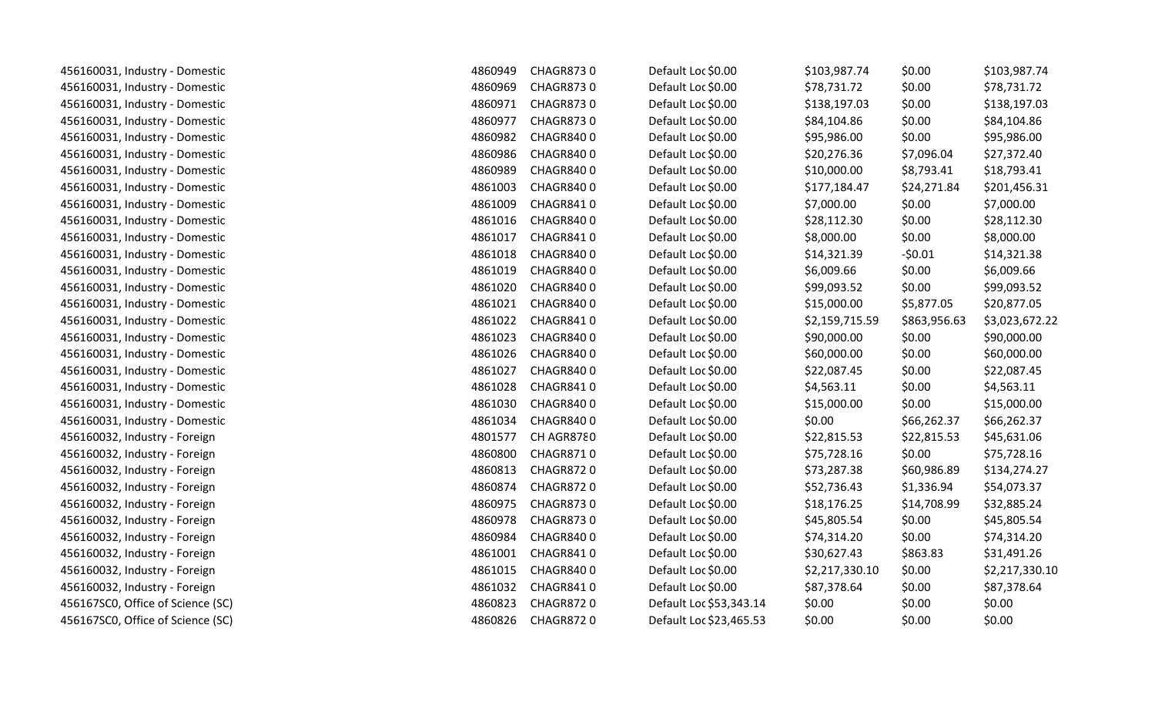| 456160031, Industry - Domestic    | 4860949 | CHAGR8730        | Default Loc \$0.00      | \$103,987.74   | \$0.00       | \$103,987.74   |
|-----------------------------------|---------|------------------|-------------------------|----------------|--------------|----------------|
| 456160031, Industry - Domestic    | 4860969 | <b>CHAGR8730</b> | Default Loc \$0.00      | \$78,731.72    | \$0.00       | \$78,731.72    |
| 456160031, Industry - Domestic    | 4860971 | <b>CHAGR8730</b> | Default Loc \$0.00      | \$138,197.03   | \$0.00       | \$138,197.03   |
| 456160031, Industry - Domestic    | 4860977 | <b>CHAGR8730</b> | Default Loc \$0.00      | \$84,104.86    | \$0.00       | \$84,104.86    |
| 456160031, Industry - Domestic    | 4860982 | CHAGR8400        | Default Loc \$0.00      | \$95,986.00    | \$0.00       | \$95,986.00    |
| 456160031, Industry - Domestic    | 4860986 | CHAGR8400        | Default Loc \$0.00      | \$20,276.36    | \$7,096.04   | \$27,372.40    |
| 456160031, Industry - Domestic    | 4860989 | <b>CHAGR8400</b> | Default Loc \$0.00      | \$10,000.00    | \$8,793.41   | \$18,793.41    |
| 456160031, Industry - Domestic    | 4861003 | <b>CHAGR8400</b> | Default Loc \$0.00      | \$177,184.47   | \$24,271.84  | \$201,456.31   |
| 456160031, Industry - Domestic    | 4861009 | CHAGR8410        | Default Loc \$0.00      | \$7,000.00     | \$0.00       | \$7,000.00     |
| 456160031, Industry - Domestic    | 4861016 | CHAGR8400        | Default Loc \$0.00      | \$28,112.30    | \$0.00       | \$28,112.30    |
| 456160031, Industry - Domestic    | 4861017 | CHAGR8410        | Default Loc \$0.00      | \$8,000.00     | \$0.00       | \$8,000.00     |
| 456160031, Industry - Domestic    | 4861018 | CHAGR8400        | Default Loc \$0.00      | \$14,321.39    | $-50.01$     | \$14,321.38    |
| 456160031, Industry - Domestic    | 4861019 | CHAGR8400        | Default Loc \$0.00      | \$6,009.66     | \$0.00       | \$6,009.66     |
| 456160031, Industry - Domestic    | 4861020 | CHAGR8400        | Default Loc \$0.00      | \$99,093.52    | \$0.00       | \$99,093.52    |
| 456160031, Industry - Domestic    | 4861021 | CHAGR8400        | Default Loc \$0.00      | \$15,000.00    | \$5,877.05   | \$20,877.05    |
| 456160031, Industry - Domestic    | 4861022 | <b>CHAGR8410</b> | Default Loc \$0.00      | \$2,159,715.59 | \$863,956.63 | \$3,023,672.22 |
| 456160031, Industry - Domestic    | 4861023 | <b>CHAGR8400</b> | Default Loc \$0.00      | \$90,000.00    | \$0.00       | \$90,000.00    |
| 456160031, Industry - Domestic    | 4861026 | <b>CHAGR8400</b> | Default Loc \$0.00      | \$60,000.00    | \$0.00       | \$60,000.00    |
| 456160031, Industry - Domestic    | 4861027 | <b>CHAGR8400</b> | Default Loc \$0.00      | \$22,087.45    | \$0.00       | \$22,087.45    |
| 456160031, Industry - Domestic    | 4861028 | CHAGR8410        | Default Loc \$0.00      | \$4,563.11     | \$0.00       | \$4,563.11     |
| 456160031, Industry - Domestic    | 4861030 | <b>CHAGR8400</b> | Default Loc \$0.00      | \$15,000.00    | \$0.00       | \$15,000.00    |
| 456160031, Industry - Domestic    | 4861034 | <b>CHAGR8400</b> | Default Loc \$0.00      | \$0.00         | \$66,262.37  | \$66,262.37    |
| 456160032, Industry - Foreign     | 4801577 | CH AGR8780       | Default Loc \$0.00      | \$22,815.53    | \$22,815.53  | \$45,631.06    |
| 456160032, Industry - Foreign     | 4860800 | CHAGR8710        | Default Loc \$0.00      | \$75,728.16    | \$0.00       | \$75,728.16    |
| 456160032, Industry - Foreign     | 4860813 | CHAGR8720        | Default Loc \$0.00      | \$73,287.38    | \$60,986.89  | \$134,274.27   |
| 456160032, Industry - Foreign     | 4860874 | <b>CHAGR8720</b> | Default Loc \$0.00      | \$52,736.43    | \$1,336.94   | \$54,073.37    |
| 456160032, Industry - Foreign     | 4860975 | <b>CHAGR8730</b> | Default Loc \$0.00      | \$18,176.25    | \$14,708.99  | \$32,885.24    |
| 456160032, Industry - Foreign     | 4860978 | <b>CHAGR8730</b> | Default Loc \$0.00      | \$45,805.54    | \$0.00       | \$45,805.54    |
| 456160032, Industry - Foreign     | 4860984 | CHAGR8400        | Default Loc \$0.00      | \$74,314.20    | \$0.00       | \$74,314.20    |
| 456160032, Industry - Foreign     | 4861001 | CHAGR8410        | Default Loc \$0.00      | \$30,627.43    | \$863.83     | \$31,491.26    |
| 456160032, Industry - Foreign     | 4861015 | CHAGR8400        | Default Loc \$0.00      | \$2,217,330.10 | \$0.00       | \$2,217,330.10 |
| 456160032, Industry - Foreign     | 4861032 | CHAGR8410        | Default Loc \$0.00      | \$87,378.64    | \$0.00       | \$87,378.64    |
| 456167SC0, Office of Science (SC) | 4860823 | <b>CHAGR8720</b> | Default Loc \$53,343.14 | \$0.00         | \$0.00       | \$0.00         |
| 456167SC0, Office of Science (SC) | 4860826 | <b>CHAGR8720</b> | Default Loc \$23,465.53 | \$0.00         | \$0.00       | \$0.00         |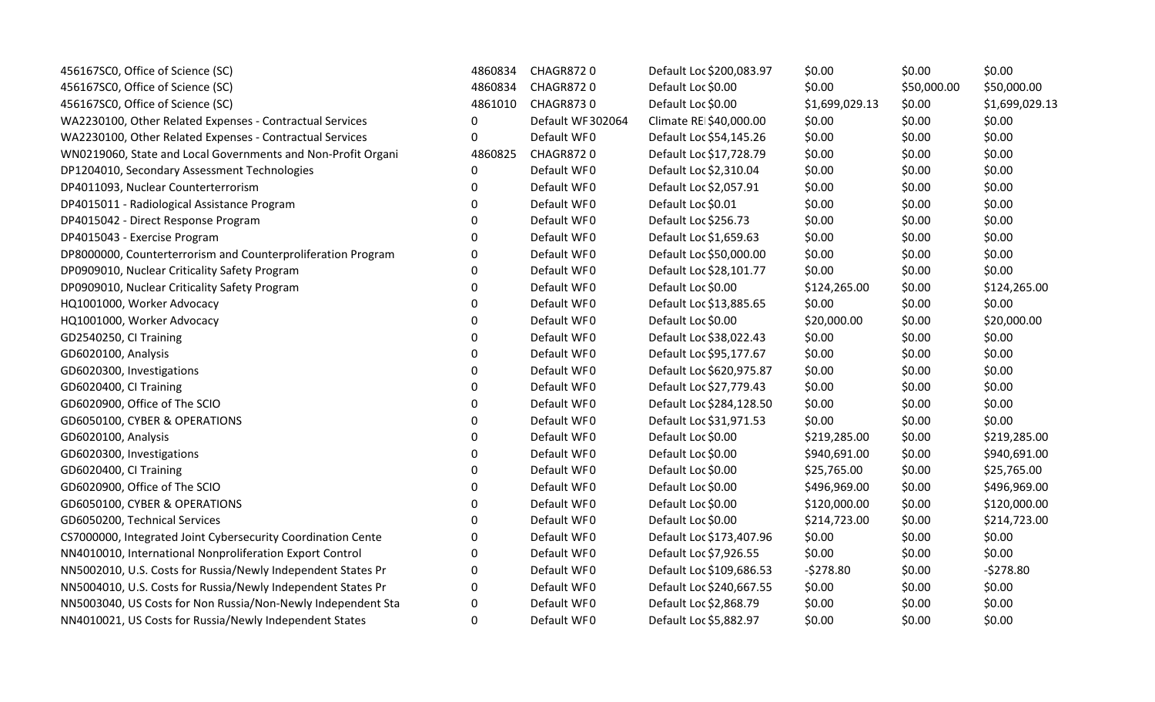| 456167SC0, Office of Science (SC)                            | 4860834          | CHAGR8720         | Default Loc \$200,083.97 | \$0.00         | \$0.00      | \$0.00         |
|--------------------------------------------------------------|------------------|-------------------|--------------------------|----------------|-------------|----------------|
| 456167SC0, Office of Science (SC)                            | 4860834          | <b>CHAGR8720</b>  | Default Loc \$0.00       | \$0.00         | \$50,000.00 | \$50,000.00    |
| 456167SC0, Office of Science (SC)                            | 4861010          | <b>CHAGR8730</b>  | Default Loc \$0.00       | \$1,699,029.13 | \$0.00      | \$1,699,029.13 |
| WA2230100, Other Related Expenses - Contractual Services     | $\mathbf 0$      | Default WF 302064 | Climate REI\$40,000.00   | \$0.00         | \$0.00      | \$0.00         |
| WA2230100, Other Related Expenses - Contractual Services     | 0                | Default WF0       | Default Loc \$54,145.26  | \$0.00         | \$0.00      | \$0.00         |
| WN0219060, State and Local Governments and Non-Profit Organi | 4860825          | <b>CHAGR8720</b>  | Default Loc \$17,728.79  | \$0.00         | \$0.00      | \$0.00         |
| DP1204010, Secondary Assessment Technologies                 | 0                | Default WF0       | Default Loc \$2,310.04   | \$0.00         | \$0.00      | \$0.00         |
| DP4011093, Nuclear Counterterrorism                          | $\Omega$         | Default WF0       | Default Loc \$2,057.91   | \$0.00         | \$0.00      | \$0.00         |
| DP4015011 - Radiological Assistance Program                  | $\overline{0}$   | Default WF0       | Default Loc \$0.01       | \$0.00         | \$0.00      | \$0.00         |
| DP4015042 - Direct Response Program                          | $\overline{0}$   | Default WF0       | Default Loc \$256.73     | \$0.00         | \$0.00      | \$0.00         |
| DP4015043 - Exercise Program                                 | 0                | Default WF0       | Default Loc \$1,659.63   | \$0.00         | \$0.00      | \$0.00         |
| DP8000000, Counterterrorism and Counterproliferation Program | $\Omega$         | Default WF0       | Default Loc \$50,000.00  | \$0.00         | \$0.00      | \$0.00         |
| DP0909010, Nuclear Criticality Safety Program                | $\Omega$         | Default WF0       | Default Loc \$28,101.77  | \$0.00         | \$0.00      | \$0.00         |
| DP0909010, Nuclear Criticality Safety Program                | $\overline{0}$   | Default WF0       | Default Loc \$0.00       | \$124,265.00   | \$0.00      | \$124,265.00   |
| HQ1001000, Worker Advocacy                                   | $\overline{0}$   | Default WF0       | Default Loc \$13,885.65  | \$0.00         | \$0.00      | \$0.00         |
| HQ1001000, Worker Advocacy                                   | $\Omega$         | Default WF0       | Default Loc \$0.00       | \$20,000.00    | \$0.00      | \$20,000.00    |
| GD2540250, CI Training                                       | $\mathbf 0$      | Default WF0       | Default Loc \$38,022.43  | \$0.00         | \$0.00      | \$0.00         |
| GD6020100, Analysis                                          | 0                | Default WF0       | Default Loc \$95,177.67  | \$0.00         | \$0.00      | \$0.00         |
| GD6020300, Investigations                                    | $\mathbf 0$      | Default WF0       | Default Loc \$620,975.87 | \$0.00         | \$0.00      | \$0.00         |
| GD6020400, CI Training                                       | $\overline{0}$   | Default WF0       | Default Loc \$27,779.43  | \$0.00         | \$0.00      | \$0.00         |
| GD6020900, Office of The SCIO                                | $\overline{0}$   | Default WF0       | Default Loc \$284,128.50 | \$0.00         | \$0.00      | \$0.00         |
| GD6050100, CYBER & OPERATIONS                                | $\overline{0}$   | Default WF0       | Default Loc \$31,971.53  | \$0.00         | \$0.00      | \$0.00         |
| GD6020100, Analysis                                          | $\overline{0}$   | Default WF0       | Default Loc \$0.00       | \$219,285.00   | \$0.00      | \$219,285.00   |
| GD6020300, Investigations                                    | $\overline{0}$   | Default WF0       | Default Loc \$0.00       | \$940,691.00   | \$0.00      | \$940,691.00   |
| GD6020400, CI Training                                       | $\overline{0}$   | Default WF0       | Default Loc \$0.00       | \$25,765.00    | \$0.00      | \$25,765.00    |
| GD6020900, Office of The SCIO                                | $\boldsymbol{0}$ | Default WF0       | Default Loc \$0.00       | \$496,969.00   | \$0.00      | \$496,969.00   |
| GD6050100, CYBER & OPERATIONS                                | $\Omega$         | Default WF0       | Default Loc \$0.00       | \$120,000.00   | \$0.00      | \$120,000.00   |
| GD6050200, Technical Services                                | $\Omega$         | Default WF0       | Default Loc \$0.00       | \$214,723.00   | \$0.00      | \$214,723.00   |
| CS7000000, Integrated Joint Cybersecurity Coordination Cente | $\overline{0}$   | Default WF0       | Default Loc \$173,407.96 | \$0.00         | \$0.00      | \$0.00         |
| NN4010010, International Nonproliferation Export Control     | 0                | Default WF0       | Default Loc \$7,926.55   | \$0.00         | \$0.00      | \$0.00         |
| NN5002010, U.S. Costs for Russia/Newly Independent States Pr | 0                | Default WF0       | Default Loc \$109,686.53 | $-5278.80$     | \$0.00      | $-5278.80$     |
| NN5004010, U.S. Costs for Russia/Newly Independent States Pr | $\Omega$         | Default WF0       | Default Loc \$240,667.55 | \$0.00         | \$0.00      | \$0.00         |
| NN5003040, US Costs for Non Russia/Non-Newly Independent Sta | $\Omega$         | Default WF0       | Default Loc \$2,868.79   | \$0.00         | \$0.00      | \$0.00         |
| NN4010021, US Costs for Russia/Newly Independent States      | $\Omega$         | Default WF0       | Default Loc \$5,882.97   | \$0.00         | \$0.00      | \$0.00         |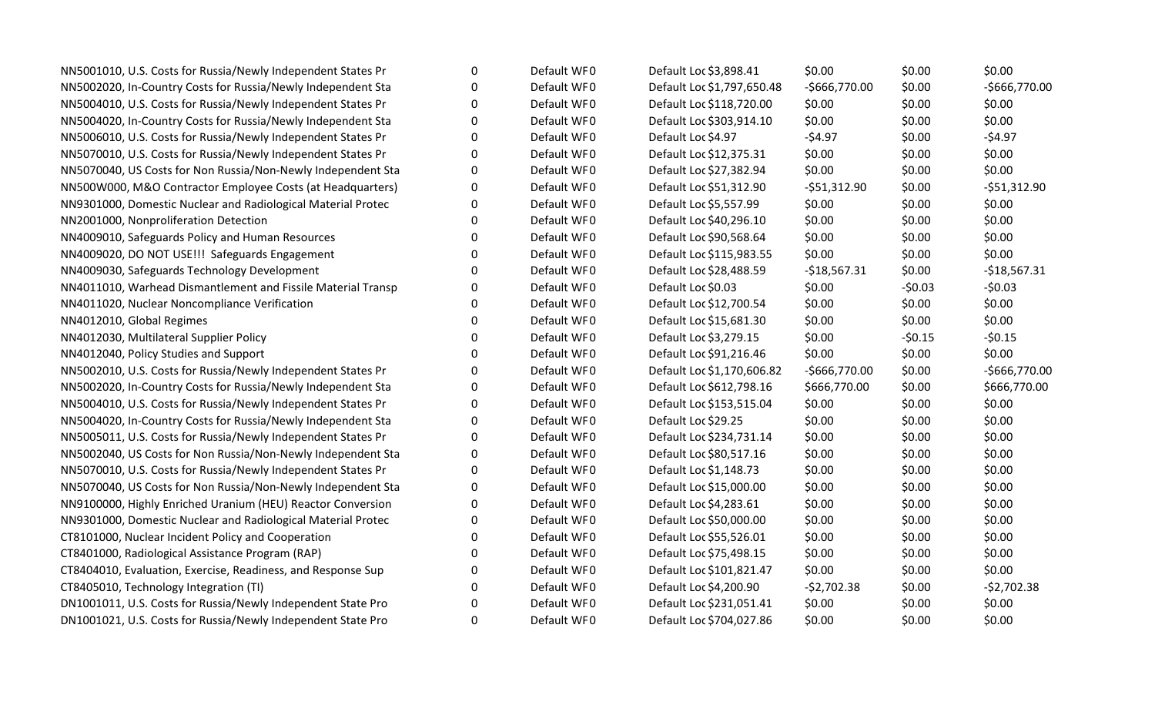| NN5001010, U.S. Costs for Russia/Newly Independent States Pr | 0 | Default WF0 | Default Loc \$3,898.41     | \$0.00         | \$0.00   | \$0.00         |
|--------------------------------------------------------------|---|-------------|----------------------------|----------------|----------|----------------|
| NN5002020, In-Country Costs for Russia/Newly Independent Sta | 0 | Default WF0 | Default Loc \$1,797,650.48 | $-5666,770.00$ | \$0.00   | $-$666,770.00$ |
| NN5004010, U.S. Costs for Russia/Newly Independent States Pr | 0 | Default WF0 | Default Loc \$118,720.00   | \$0.00         | \$0.00   | \$0.00         |
| NN5004020, In-Country Costs for Russia/Newly Independent Sta | 0 | Default WF0 | Default Loc \$303,914.10   | \$0.00         | \$0.00   | \$0.00         |
| NN5006010, U.S. Costs for Russia/Newly Independent States Pr | 0 | Default WF0 | Default Loc \$4.97         | $-54.97$       | \$0.00   | $-54.97$       |
| NN5070010, U.S. Costs for Russia/Newly Independent States Pr | 0 | Default WF0 | Default Loc \$12,375.31    | \$0.00         | \$0.00   | \$0.00         |
| NN5070040, US Costs for Non Russia/Non-Newly Independent Sta | 0 | Default WF0 | Default Loc \$27,382.94    | \$0.00         | \$0.00   | \$0.00         |
| NN500W000, M&O Contractor Employee Costs (at Headquarters)   | 0 | Default WF0 | Default Loc \$51,312.90    | $-551,312.90$  | \$0.00   | $-551,312.90$  |
| NN9301000, Domestic Nuclear and Radiological Material Protec | 0 | Default WF0 | Default Loc \$5,557.99     | \$0.00         | \$0.00   | \$0.00         |
| NN2001000, Nonproliferation Detection                        | 0 | Default WF0 | Default Loc \$40,296.10    | \$0.00         | \$0.00   | \$0.00         |
| NN4009010, Safeguards Policy and Human Resources             | 0 | Default WF0 | Default Loc \$90,568.64    | \$0.00         | \$0.00   | \$0.00         |
| NN4009020, DO NOT USE!!! Safeguards Engagement               | O | Default WF0 | Default Loc \$115,983.55   | \$0.00         | \$0.00   | \$0.00         |
| NN4009030, Safeguards Technology Development                 | O | Default WF0 | Default Loc \$28,488.59    | $-$18,567.31$  | \$0.00   | $-$18,567.31$  |
| NN4011010, Warhead Dismantlement and Fissile Material Transp | 0 | Default WF0 | Default Loc \$0.03         | \$0.00         | $-50.03$ | $-50.03$       |
| NN4011020, Nuclear Noncompliance Verification                | 0 | Default WF0 | Default Loc \$12,700.54    | \$0.00         | \$0.00   | \$0.00         |
| NN4012010, Global Regimes                                    | O | Default WF0 | Default Loc \$15,681.30    | \$0.00         | \$0.00   | \$0.00         |
| NN4012030, Multilateral Supplier Policy                      | O | Default WF0 | Default Loc \$3,279.15     | \$0.00         | $-50.15$ | $-50.15$       |
| NN4012040, Policy Studies and Support                        | O | Default WF0 | Default Loc \$91,216.46    | \$0.00         | \$0.00   | \$0.00         |
| NN5002010, U.S. Costs for Russia/Newly Independent States Pr | 0 | Default WF0 | Default Loc \$1,170,606.82 | $-5666,770.00$ | \$0.00   | $-$666,770.00$ |
| NN5002020, In-Country Costs for Russia/Newly Independent Sta | 0 | Default WF0 | Default Loc \$612,798.16   | \$666,770.00   | \$0.00   | \$666,770.00   |
| NN5004010, U.S. Costs for Russia/Newly Independent States Pr | 0 | Default WF0 | Default Loc \$153,515.04   | \$0.00         | \$0.00   | \$0.00         |
| NN5004020, In-Country Costs for Russia/Newly Independent Sta | 0 | Default WF0 | Default Loc \$29.25        | \$0.00         | \$0.00   | \$0.00         |
| NN5005011, U.S. Costs for Russia/Newly Independent States Pr | 0 | Default WF0 | Default Loc \$234,731.14   | \$0.00         | \$0.00   | \$0.00         |
| NN5002040, US Costs for Non Russia/Non-Newly Independent Sta | 0 | Default WF0 | Default Loc \$80,517.16    | \$0.00         | \$0.00   | \$0.00         |
| NN5070010, U.S. Costs for Russia/Newly Independent States Pr | 0 | Default WF0 | Default Loc \$1,148.73     | \$0.00         | \$0.00   | \$0.00         |
| NN5070040, US Costs for Non Russia/Non-Newly Independent Sta | 0 | Default WF0 | Default Loc \$15,000.00    | \$0.00         | \$0.00   | \$0.00         |
| NN9100000, Highly Enriched Uranium (HEU) Reactor Conversion  | 0 | Default WF0 | Default Loc \$4,283.61     | \$0.00         | \$0.00   | \$0.00         |
| NN9301000, Domestic Nuclear and Radiological Material Protec | 0 | Default WF0 | Default Loc \$50,000.00    | \$0.00         | \$0.00   | \$0.00         |
| CT8101000, Nuclear Incident Policy and Cooperation           | 0 | Default WF0 | Default Loc \$55,526.01    | \$0.00         | \$0.00   | \$0.00         |
| CT8401000, Radiological Assistance Program (RAP)             | 0 | Default WF0 | Default Loc \$75,498.15    | \$0.00         | \$0.00   | \$0.00         |
| CT8404010, Evaluation, Exercise, Readiness, and Response Sup | 0 | Default WF0 | Default Loc \$101,821.47   | \$0.00         | \$0.00   | \$0.00         |
| CT8405010, Technology Integration (TI)                       | 0 | Default WF0 | Default Loc \$4,200.90     | $-52,702.38$   | \$0.00   | $-52,702.38$   |
| DN1001011, U.S. Costs for Russia/Newly Independent State Pro | O | Default WF0 | Default Loc \$231,051.41   | \$0.00         | \$0.00   | \$0.00         |
| DN1001021, U.S. Costs for Russia/Newly Independent State Pro | 0 | Default WF0 | Default Loc \$704,027.86   | \$0.00         | \$0.00   | \$0.00         |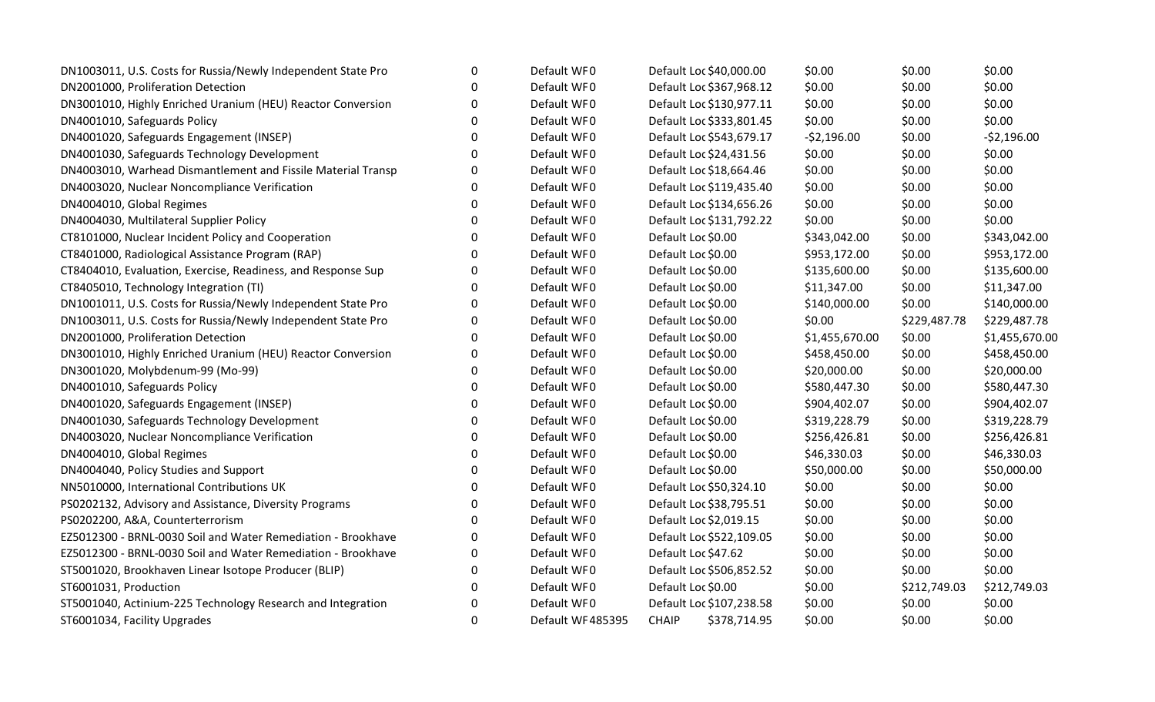| DN1003011, U.S. Costs for Russia/Newly Independent State Pro | 0            | Default WF0      | Default Loc \$40,000.00      | \$0.00         | \$0.00       | \$0.00         |
|--------------------------------------------------------------|--------------|------------------|------------------------------|----------------|--------------|----------------|
| DN2001000, Proliferation Detection                           | $\Omega$     | Default WF0      | Default Loc \$367,968.12     | \$0.00         | \$0.00       | \$0.00         |
| DN3001010, Highly Enriched Uranium (HEU) Reactor Conversion  | 0            | Default WF0      | Default Loc \$130,977.11     | \$0.00         | \$0.00       | \$0.00         |
| DN4001010, Safeguards Policy                                 | $\mathbf 0$  | Default WF0      | Default Loc \$333,801.45     | \$0.00         | \$0.00       | \$0.00         |
| DN4001020, Safeguards Engagement (INSEP)                     | $\mathbf 0$  | Default WF0      | Default Loc \$543,679.17     | $-52,196.00$   | \$0.00       | $-52,196.00$   |
| DN4001030, Safeguards Technology Development                 | $\Omega$     | Default WF0      | Default Loc \$24,431.56      | \$0.00         | \$0.00       | \$0.00         |
| DN4003010, Warhead Dismantlement and Fissile Material Transp | $\Omega$     | Default WF0      | Default Loc \$18,664.46      | \$0.00         | \$0.00       | \$0.00         |
| DN4003020, Nuclear Noncompliance Verification                | $\Omega$     | Default WF0      | Default Loc \$119,435.40     | \$0.00         | \$0.00       | \$0.00         |
| DN4004010, Global Regimes                                    | $\mathbf 0$  | Default WF0      | Default Loc \$134,656.26     | \$0.00         | \$0.00       | \$0.00         |
| DN4004030, Multilateral Supplier Policy                      | $\mathbf 0$  | Default WF0      | Default Loc \$131,792.22     | \$0.00         | \$0.00       | \$0.00         |
| CT8101000, Nuclear Incident Policy and Cooperation           | $\Omega$     | Default WF0      | Default Loc \$0.00           | \$343,042.00   | \$0.00       | \$343,042.00   |
| CT8401000, Radiological Assistance Program (RAP)             | $\Omega$     | Default WF0      | Default Loc \$0.00           | \$953,172.00   | \$0.00       | \$953,172.00   |
| CT8404010, Evaluation, Exercise, Readiness, and Response Sup | 0            | Default WF0      | Default Loc \$0.00           | \$135,600.00   | \$0.00       | \$135,600.00   |
| CT8405010, Technology Integration (TI)                       | $\mathbf 0$  | Default WF0      | Default Loc \$0.00           | \$11,347.00    | \$0.00       | \$11,347.00    |
| DN1001011, U.S. Costs for Russia/Newly Independent State Pro | $\mathbf 0$  | Default WF0      | Default Loc \$0.00           | \$140,000.00   | \$0.00       | \$140,000.00   |
| DN1003011, U.S. Costs for Russia/Newly Independent State Pro | $\mathbf{0}$ | Default WF0      | Default Loc \$0.00           | \$0.00         | \$229,487.78 | \$229,487.78   |
| DN2001000, Proliferation Detection                           | $\Omega$     | Default WF0      | Default Loc \$0.00           | \$1,455,670.00 | \$0.00       | \$1,455,670.00 |
| DN3001010, Highly Enriched Uranium (HEU) Reactor Conversion  | $\mathbf{0}$ | Default WF0      | Default Loc \$0.00           | \$458,450.00   | \$0.00       | \$458,450.00   |
| DN3001020, Molybdenum-99 (Mo-99)                             | $\mathbf 0$  | Default WF0      | Default Loc \$0.00           | \$20,000.00    | \$0.00       | \$20,000.00    |
| DN4001010, Safeguards Policy                                 | 0            | Default WF0      | Default Loc \$0.00           | \$580,447.30   | \$0.00       | \$580,447.30   |
| DN4001020, Safeguards Engagement (INSEP)                     | $\Omega$     | Default WF0      | Default Loc \$0.00           | \$904,402.07   | \$0.00       | \$904,402.07   |
| DN4001030, Safeguards Technology Development                 | $\Omega$     | Default WF0      | Default Loc \$0.00           | \$319,228.79   | \$0.00       | \$319,228.79   |
| DN4003020, Nuclear Noncompliance Verification                | $\Omega$     | Default WF0      | Default Loc \$0.00           | \$256,426.81   | \$0.00       | \$256,426.81   |
| DN4004010, Global Regimes                                    | $\mathbf 0$  | Default WF0      | Default Loc \$0.00           | \$46,330.03    | \$0.00       | \$46,330.03    |
| DN4004040, Policy Studies and Support                        | $\pmb{0}$    | Default WF0      | Default Loc \$0.00           | \$50,000.00    | \$0.00       | \$50,000.00    |
| NN5010000, International Contributions UK                    | 0            | Default WF0      | Default Loc \$50,324.10      | \$0.00         | \$0.00       | \$0.00         |
| PS0202132, Advisory and Assistance, Diversity Programs       | $\mathbf{0}$ | Default WF0      | Default Loc \$38,795.51      | \$0.00         | \$0.00       | \$0.00         |
| PS0202200, A&A, Counterterrorism                             | $\Omega$     | Default WF0      | Default Loc \$2,019.15       | \$0.00         | \$0.00       | \$0.00         |
| EZ5012300 - BRNL-0030 Soil and Water Remediation - Brookhave | $\mathbf 0$  | Default WF0      | Default Loc \$522,109.05     | \$0.00         | \$0.00       | \$0.00         |
| EZ5012300 - BRNL-0030 Soil and Water Remediation - Brookhave | 0            | Default WF0      | Default Loc \$47.62          | \$0.00         | \$0.00       | \$0.00         |
| ST5001020, Brookhaven Linear Isotope Producer (BLIP)         | $\mathbf{0}$ | Default WF0      | Default Loc \$506,852.52     | \$0.00         | \$0.00       | \$0.00         |
| ST6001031, Production                                        | $\mathbf{0}$ | Default WF0      | Default Loc \$0.00           | \$0.00         | \$212,749.03 | \$212,749.03   |
| ST5001040, Actinium-225 Technology Research and Integration  | $\Omega$     | Default WF0      | Default Loc \$107,238.58     | \$0.00         | \$0.00       | \$0.00         |
| ST6001034, Facility Upgrades                                 | 0            | Default WF485395 | <b>CHAIP</b><br>\$378,714.95 | \$0.00         | \$0.00       | \$0.00         |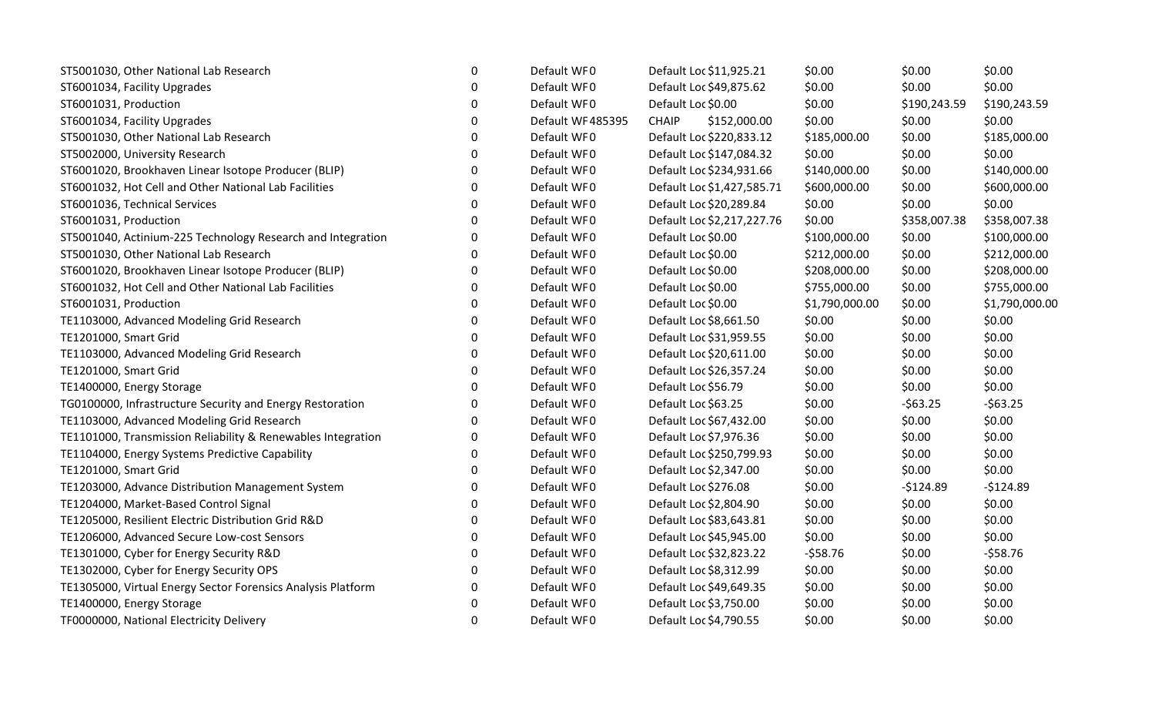| ST5001030, Other National Lab Research                       | $\boldsymbol{0}$ | Default WF0      | Default Loc \$11,925.21      | \$0.00         | \$0.00       | \$0.00         |
|--------------------------------------------------------------|------------------|------------------|------------------------------|----------------|--------------|----------------|
| ST6001034, Facility Upgrades                                 | 0                | Default WF0      | Default Loc \$49,875.62      | \$0.00         | \$0.00       | \$0.00         |
| ST6001031, Production                                        | $\Omega$         | Default WF0      | Default Loc \$0.00           | \$0.00         | \$190,243.59 | \$190,243.59   |
| ST6001034, Facility Upgrades                                 | $\mathbf 0$      | Default WF485395 | \$152,000.00<br><b>CHAIP</b> | \$0.00         | \$0.00       | \$0.00         |
| ST5001030, Other National Lab Research                       | $\mathbf 0$      | Default WF0      | Default Loc \$220,833.12     | \$185,000.00   | \$0.00       | \$185,000.00   |
| ST5002000, University Research                               | 0                | Default WF0      | Default Loc \$147,084.32     | \$0.00         | \$0.00       | \$0.00         |
| ST6001020, Brookhaven Linear Isotope Producer (BLIP)         | 0                | Default WF0      | Default Loc \$234,931.66     | \$140,000.00   | \$0.00       | \$140,000.00   |
| ST6001032, Hot Cell and Other National Lab Facilities        | 0                | Default WF0      | Default Loc \$1,427,585.71   | \$600,000.00   | \$0.00       | \$600,000.00   |
| ST6001036, Technical Services                                | $\mathbf 0$      | Default WF0      | Default Loc \$20,289.84      | \$0.00         | \$0.00       | \$0.00         |
| ST6001031, Production                                        | 0                | Default WF0      | Default Loc \$2,217,227.76   | \$0.00         | \$358,007.38 | \$358,007.38   |
| ST5001040, Actinium-225 Technology Research and Integration  | 0                | Default WF0      | Default Loc \$0.00           | \$100,000.00   | \$0.00       | \$100,000.00   |
| ST5001030, Other National Lab Research                       | 0                | Default WF0      | Default Loc \$0.00           | \$212,000.00   | \$0.00       | \$212,000.00   |
| ST6001020, Brookhaven Linear Isotope Producer (BLIP)         | $\mathbf 0$      | Default WF0      | Default Loc \$0.00           | \$208,000.00   | \$0.00       | \$208,000.00   |
| ST6001032, Hot Cell and Other National Lab Facilities        | $\mathbf 0$      | Default WF0      | Default Loc \$0.00           | \$755,000.00   | \$0.00       | \$755,000.00   |
| ST6001031, Production                                        | $\mathbf 0$      | Default WF0      | Default Loc \$0.00           | \$1,790,000.00 | \$0.00       | \$1,790,000.00 |
| TE1103000, Advanced Modeling Grid Research                   | 0                | Default WF0      | Default Loc \$8,661.50       | \$0.00         | \$0.00       | \$0.00         |
| TE1201000, Smart Grid                                        | $\Omega$         | Default WF0      | Default Loc \$31,959.55      | \$0.00         | \$0.00       | \$0.00         |
| TE1103000, Advanced Modeling Grid Research                   | 0                | Default WF0      | Default Loc \$20,611.00      | \$0.00         | \$0.00       | \$0.00         |
| TE1201000, Smart Grid                                        | $\mathbf 0$      | Default WF0      | Default Loc \$26,357.24      | \$0.00         | \$0.00       | \$0.00         |
| TE1400000, Energy Storage                                    | 0                | Default WF0      | Default Loc \$56.79          | \$0.00         | \$0.00       | \$0.00         |
| TG0100000, Infrastructure Security and Energy Restoration    | 0                | Default WF0      | Default Loc \$63.25          | \$0.00         | $-563.25$    | $-563.25$      |
| TE1103000, Advanced Modeling Grid Research                   | 0                | Default WF0      | Default Loc \$67,432.00      | \$0.00         | \$0.00       | \$0.00         |
| TE1101000, Transmission Reliability & Renewables Integration | 0                | Default WF0      | Default Loc \$7,976.36       | \$0.00         | \$0.00       | \$0.00         |
| TE1104000, Energy Systems Predictive Capability              | $\mathbf 0$      | Default WF0      | Default Loc \$250,799.93     | \$0.00         | \$0.00       | \$0.00         |
| TE1201000, Smart Grid                                        | $\mathbf 0$      | Default WF0      | Default Loc \$2,347.00       | \$0.00         | \$0.00       | \$0.00         |
| TE1203000, Advance Distribution Management System            | 0                | Default WF0      | Default Loc \$276.08         | \$0.00         | $-$124.89$   | $-$124.89$     |
| TE1204000, Market-Based Control Signal                       | 0                | Default WF0      | Default Loc \$2,804.90       | \$0.00         | \$0.00       | \$0.00         |
| TE1205000, Resilient Electric Distribution Grid R&D          | $\mathbf 0$      | Default WF0      | Default Loc \$83,643.81      | \$0.00         | \$0.00       | \$0.00         |
| TE1206000, Advanced Secure Low-cost Sensors                  | $\mathbf 0$      | Default WF0      | Default Loc \$45,945.00      | \$0.00         | \$0.00       | \$0.00         |
| TE1301000, Cyber for Energy Security R&D                     | $\mathbf 0$      | Default WF0      | Default Loc \$32,823.22      | $-558.76$      | \$0.00       | $-558.76$      |
| TE1302000, Cyber for Energy Security OPS                     | 0                | Default WF0      | Default Loc \$8,312.99       | \$0.00         | \$0.00       | \$0.00         |
| TE1305000, Virtual Energy Sector Forensics Analysis Platform | 0                | Default WF0      | Default Loc \$49,649.35      | \$0.00         | \$0.00       | \$0.00         |
| TE1400000, Energy Storage                                    | $\Omega$         | Default WF0      | Default Loc \$3,750.00       | \$0.00         | \$0.00       | \$0.00         |
| TF0000000, National Electricity Delivery                     | $\Omega$         | Default WF0      | Default Loc \$4,790.55       | \$0.00         | \$0.00       | \$0.00         |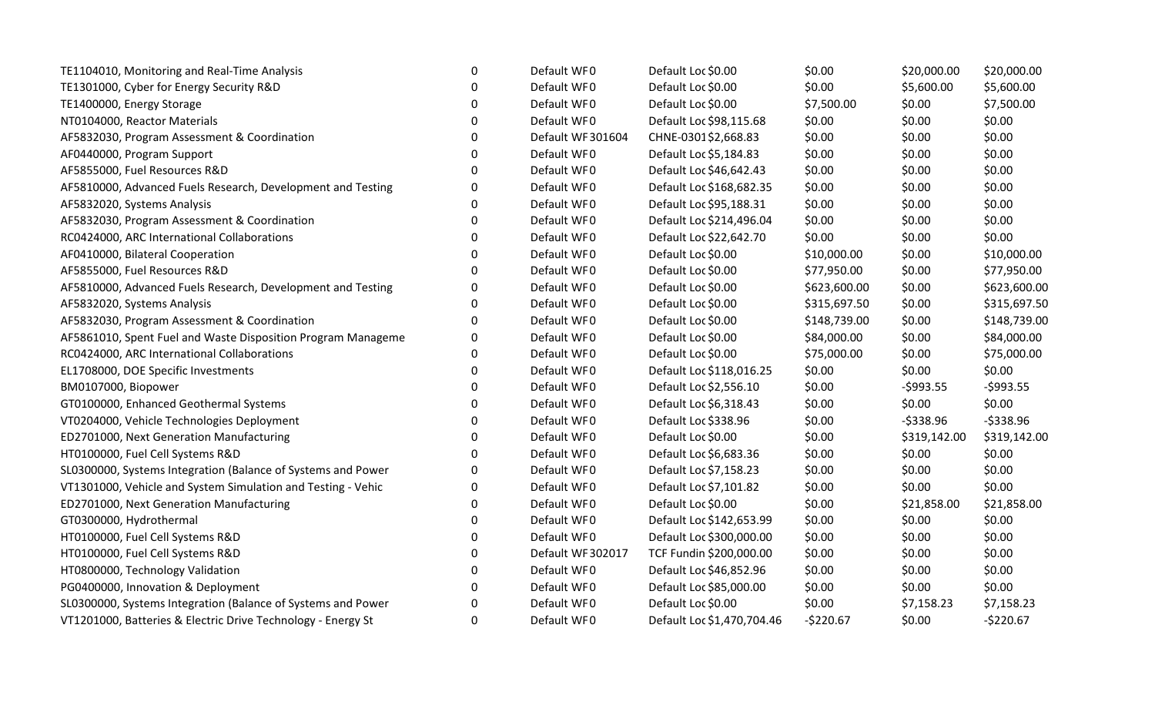| TE1104010, Monitoring and Real-Time Analysis                 | 0        | Default WF0       | Default Loc \$0.00         | \$0.00       | \$20,000.00  | \$20,000.00  |
|--------------------------------------------------------------|----------|-------------------|----------------------------|--------------|--------------|--------------|
| TE1301000, Cyber for Energy Security R&D                     | $\Omega$ | Default WF0       | Default Loc \$0.00         | \$0.00       | \$5,600.00   | \$5,600.00   |
| TE1400000, Energy Storage                                    | 0        | Default WF0       | Default Loc \$0.00         | \$7,500.00   | \$0.00       | \$7,500.00   |
| NT0104000, Reactor Materials                                 | 0        | Default WF0       | Default Loc \$98,115.68    | \$0.00       | \$0.00       | \$0.00       |
| AF5832030, Program Assessment & Coordination                 | 0        | Default WF 301604 | CHNE-0301\$2,668.83        | \$0.00       | \$0.00       | \$0.00       |
| AF0440000, Program Support                                   | 0        | Default WF0       | Default Loc \$5,184.83     | \$0.00       | \$0.00       | \$0.00       |
| AF5855000, Fuel Resources R&D                                | ∩        | Default WF0       | Default Loc \$46,642.43    | \$0.00       | \$0.00       | \$0.00       |
| AF5810000, Advanced Fuels Research, Development and Testing  | $\Omega$ | Default WF0       | Default Loc \$168,682.35   | \$0.00       | \$0.00       | \$0.00       |
| AF5832020, Systems Analysis                                  | 0        | Default WF0       | Default Loc \$95,188.31    | \$0.00       | \$0.00       | \$0.00       |
| AF5832030, Program Assessment & Coordination                 | 0        | Default WF0       | Default Loc \$214,496.04   | \$0.00       | \$0.00       | \$0.00       |
| RC0424000, ARC International Collaborations                  | $\Omega$ | Default WF0       | Default Loc \$22,642.70    | \$0.00       | \$0.00       | \$0.00       |
| AF0410000, Bilateral Cooperation                             | $\Omega$ | Default WF0       | Default Loc \$0.00         | \$10,000.00  | \$0.00       | \$10,000.00  |
| AF5855000, Fuel Resources R&D                                | 0        | Default WF0       | Default Loc \$0.00         | \$77,950.00  | \$0.00       | \$77,950.00  |
| AF5810000, Advanced Fuels Research, Development and Testing  | 0        | Default WF0       | Default Loc \$0.00         | \$623,600.00 | \$0.00       | \$623,600.00 |
| AF5832020, Systems Analysis                                  | 0        | Default WF0       | Default Loc \$0.00         | \$315,697.50 | \$0.00       | \$315,697.50 |
| AF5832030, Program Assessment & Coordination                 | 0        | Default WF0       | Default Loc \$0.00         | \$148,739.00 | \$0.00       | \$148,739.00 |
| AF5861010, Spent Fuel and Waste Disposition Program Manageme | 0        | Default WF0       | Default Loc \$0.00         | \$84,000.00  | \$0.00       | \$84,000.00  |
| RC0424000, ARC International Collaborations                  | 0        | Default WF0       | Default Loc \$0.00         | \$75,000.00  | \$0.00       | \$75,000.00  |
| EL1708000, DOE Specific Investments                          | 0        | Default WF0       | Default Loc \$118,016.25   | \$0.00       | \$0.00       | \$0.00       |
| BM0107000, Biopower                                          | 0        | Default WF0       | Default Loc \$2,556.10     | \$0.00       | $-5993.55$   | $-5993.55$   |
| GT0100000, Enhanced Geothermal Systems                       | 0        | Default WF0       | Default Loc \$6,318.43     | \$0.00       | \$0.00       | \$0.00       |
| VT0204000, Vehicle Technologies Deployment                   | 0        | Default WF0       | Default Loc \$338.96       | \$0.00       | $-5338.96$   | $-5338.96$   |
| ED2701000, Next Generation Manufacturing                     | 0        | Default WF0       | Default Loc \$0.00         | \$0.00       | \$319,142.00 | \$319,142.00 |
| HT0100000, Fuel Cell Systems R&D                             | 0        | Default WF0       | Default Loc \$6,683.36     | \$0.00       | \$0.00       | \$0.00       |
| SL0300000, Systems Integration (Balance of Systems and Power | 0        | Default WF0       | Default Loc \$7,158.23     | \$0.00       | \$0.00       | \$0.00       |
| VT1301000, Vehicle and System Simulation and Testing - Vehic | 0        | Default WF0       | Default Loc \$7,101.82     | \$0.00       | \$0.00       | \$0.00       |
| ED2701000, Next Generation Manufacturing                     | 0        | Default WF0       | Default Loc \$0.00         | \$0.00       | \$21,858.00  | \$21,858.00  |
| GT0300000, Hydrothermal                                      | 0        | Default WF0       | Default Loc \$142,653.99   | \$0.00       | \$0.00       | \$0.00       |
| HT0100000, Fuel Cell Systems R&D                             | 0        | Default WF0       | Default Loc \$300,000.00   | \$0.00       | \$0.00       | \$0.00       |
| HT0100000, Fuel Cell Systems R&D                             | 0        | Default WF 302017 | TCF Fundin \$200,000.00    | \$0.00       | \$0.00       | \$0.00       |
| HT0800000, Technology Validation                             | 0        | Default WF0       | Default Loc \$46,852.96    | \$0.00       | \$0.00       | \$0.00       |
| PG0400000, Innovation & Deployment                           | ∩        | Default WF0       | Default Loc \$85,000.00    | \$0.00       | \$0.00       | \$0.00       |
| SL0300000, Systems Integration (Balance of Systems and Power | $\Omega$ | Default WF0       | Default Loc \$0.00         | \$0.00       | \$7,158.23   | \$7,158.23   |
| VT1201000, Batteries & Electric Drive Technology - Energy St | 0        | Default WF0       | Default Loc \$1,470,704.46 | $-5220.67$   | \$0.00       | $-5220.67$   |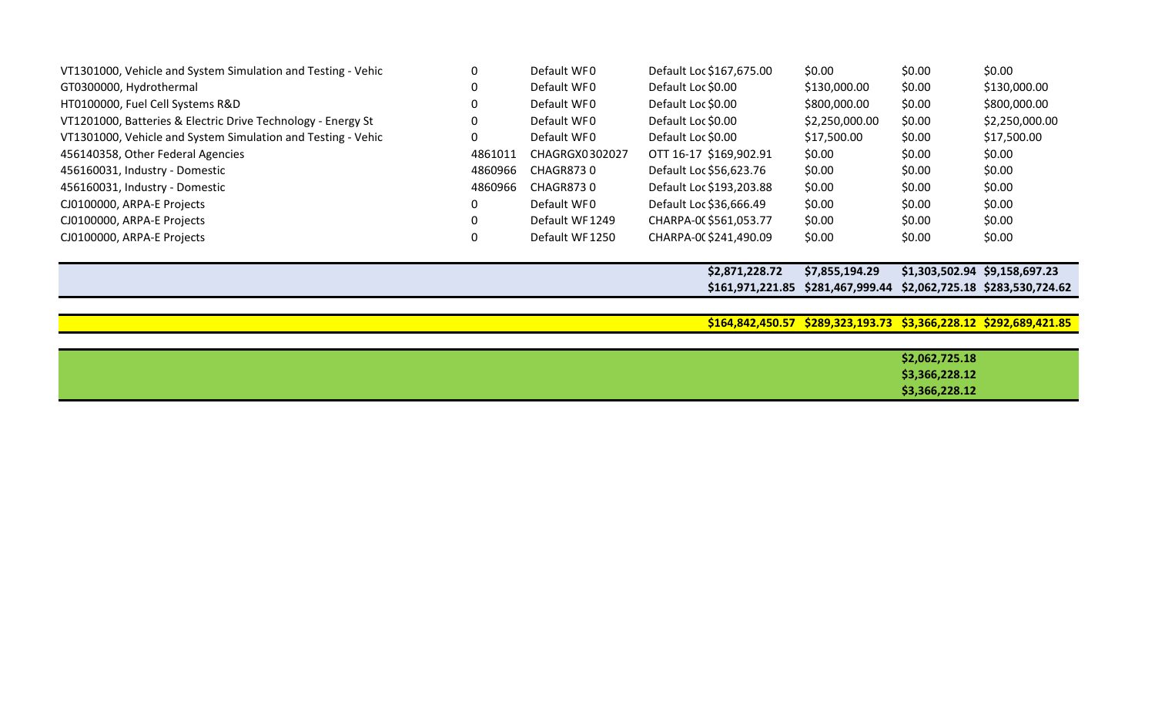| VT1301000, Vehicle and System Simulation and Testing - Vehic |         | Default WFO    | Default Loc \$167,675.00 | \$0.00         | \$0.00 | \$0.00         |
|--------------------------------------------------------------|---------|----------------|--------------------------|----------------|--------|----------------|
| GT0300000, Hydrothermal                                      |         | Default WFO    | Default Loc \$0.00       | \$130,000.00   | \$0.00 | \$130,000.00   |
| HT0100000, Fuel Cell Systems R&D                             |         | Default WFO    | Default Loc \$0.00       | \$800,000.00   | \$0.00 | \$800,000.00   |
| VT1201000, Batteries & Electric Drive Technology - Energy St |         | Default WFO    | Default Loc \$0.00       | \$2,250,000.00 | \$0.00 | \$2,250,000.00 |
| VT1301000, Vehicle and System Simulation and Testing - Vehic |         | Default WFO    | Default Loc \$0.00       | \$17,500.00    | \$0.00 | \$17,500.00    |
| 456140358, Other Federal Agencies                            | 4861011 | CHAGRGX0302027 | OTT 16-17 \$169,902.91   | \$0.00         | \$0.00 | \$0.00         |
| 456160031, Industry - Domestic                               | 4860966 | CHAGR8730      | Default Loc \$56,623.76  | \$0.00         | \$0.00 | \$0.00         |
| 456160031, Industry - Domestic                               | 4860966 | CHAGR8730      | Default Loc \$193,203.88 | \$0.00         | \$0.00 | \$0.00         |
| CJ0100000, ARPA-E Projects                                   |         | Default WFO    | Default Loc \$36,666.49  | \$0.00         | \$0.00 | \$0.00         |
| CJ0100000, ARPA-E Projects                                   |         | Default WF1249 | CHARPA-00 \$561,053.77   | \$0.00         | \$0.00 | \$0.00         |
| CJ0100000, ARPA-E Projects                                   |         | Default WF1250 | CHARPA-0(\$241,490.09    | \$0.00         | \$0.00 | \$0.00         |

**\$2,871,228.72 \$7,855,194.29 \$1,303,502.94 \$9,158,697.23 \$161,971,221.85 \$281,467,999.44 \$2,062,725.18 \$283,530,724.62**

**\$164,842,450.57 \$289,323,193.73 \$3,366,228.12 \$292,689,421.85**

| \$2,062,725.18 |
|----------------|
| \$3,366,228.12 |
| \$3,366,228.12 |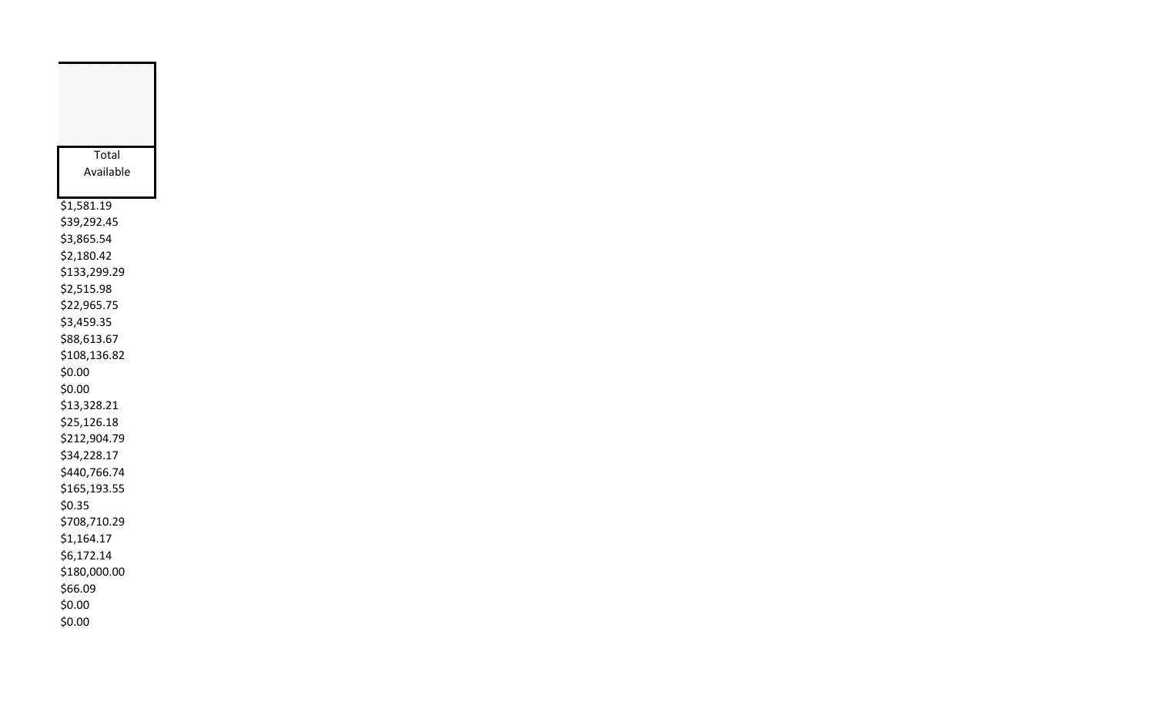| Total        |
|--------------|
| Available    |
|              |
| \$1,581.19   |
| \$39,292.45  |
| \$3,865.54   |
| \$2,180.42   |
| \$133,299.29 |
| \$2,515.98   |
| \$22,965.75  |
| \$3,459.35   |
| \$88,613.67  |
| \$108,136.82 |
| \$0.00       |
| \$0.00       |
| \$13,328.21  |
| \$25,126.18  |
| \$212,904.79 |
| \$34,228.17  |
| \$440,766.74 |
| \$165,193.55 |
| \$0.35       |
| \$708,710.29 |
| \$1,164.17   |
| \$6,172.14   |
| \$180,000.00 |
| \$66.09      |
| \$0.00       |
| \$0.00       |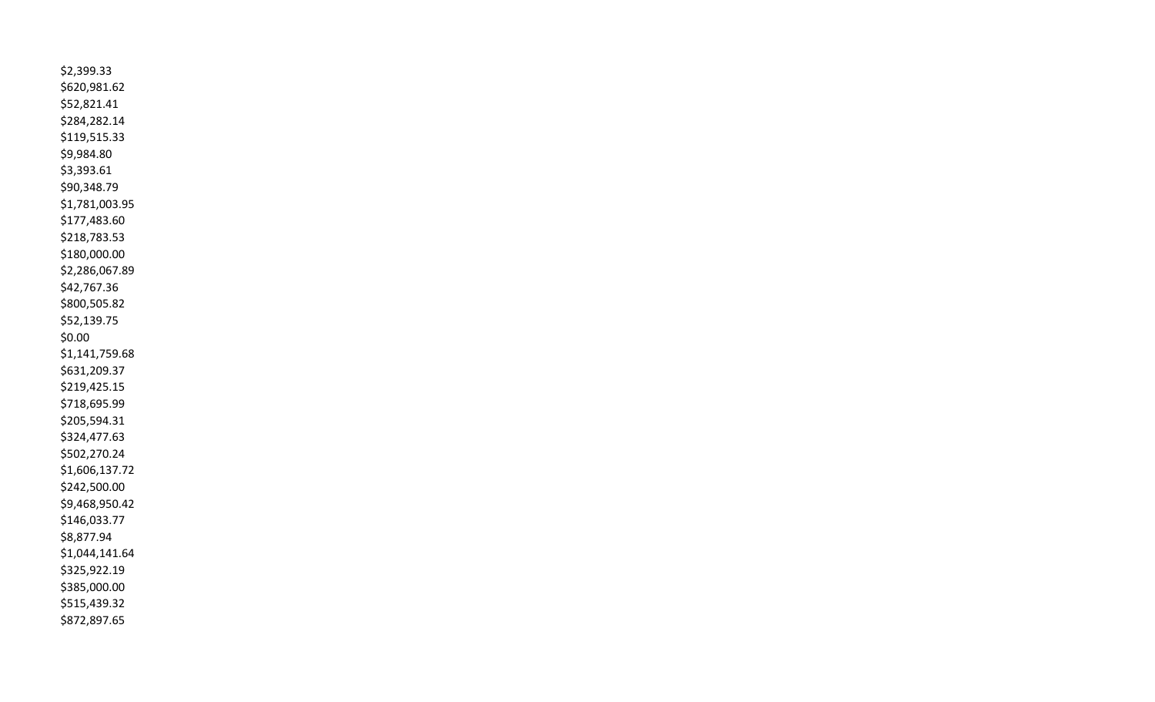\$2,399.33 \$620,981.62 \$52,821.41 \$284,282.14 \$119,515.33 \$9,984.80 \$3,393.61 \$90,348.79 \$1,781,003.95 \$177,483.60 \$218,783.53 \$180,000.00 \$2,286,067.89 \$42,767.36 \$800,505.82 \$52,139.75 \$0.00 \$1,141,759.68 \$631,209.37 \$219,425.15 \$718,695.99 \$205,594.31 \$324,477.63 \$502,270.24 \$1,606,137.72 \$242,500.00 \$9,468,950.42 \$146,033.77 \$8,877.94 \$1,044,141.64 \$325,922.19 \$385,000.00 \$515,439.32 \$872,897.65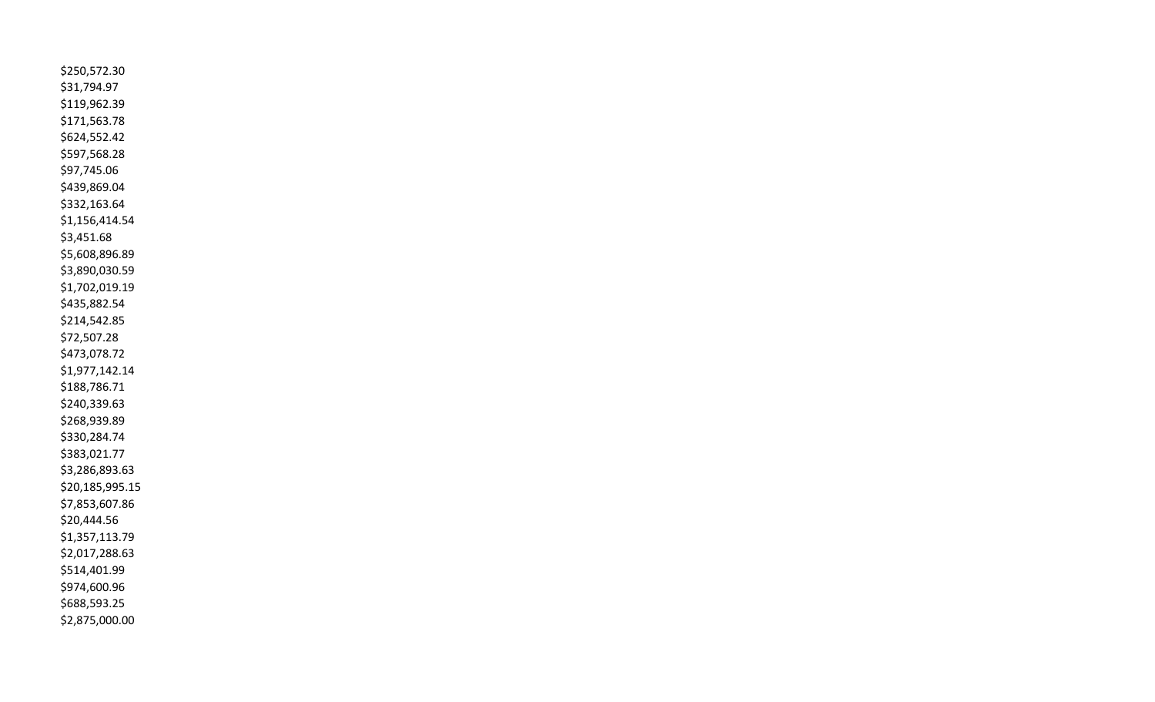\$250,572.30 \$31,794.97 \$119,962.39 \$171,563.78 \$624,552.42 \$597,568.28 \$97,745.06 \$439,869.04 \$332,163.64 \$1,156,414.54 \$3,451.68 \$5,608,896.89 \$3,890,030.59 \$1,702,019.19 \$435,882.54 \$214,542.85 \$72,507.28 \$473,078.72 \$1,977,142.14 \$188,786.71 \$240,339.63 \$268,939.89 \$330,284.74 \$383,021.77 \$3,286,893.63 \$20,185,995.15 \$7,853,607.86 \$20,444.56 \$1,357,113.79 \$2,017,288.63 \$514,401.99 \$974,600.96 \$688,593.25 \$2,875,000.00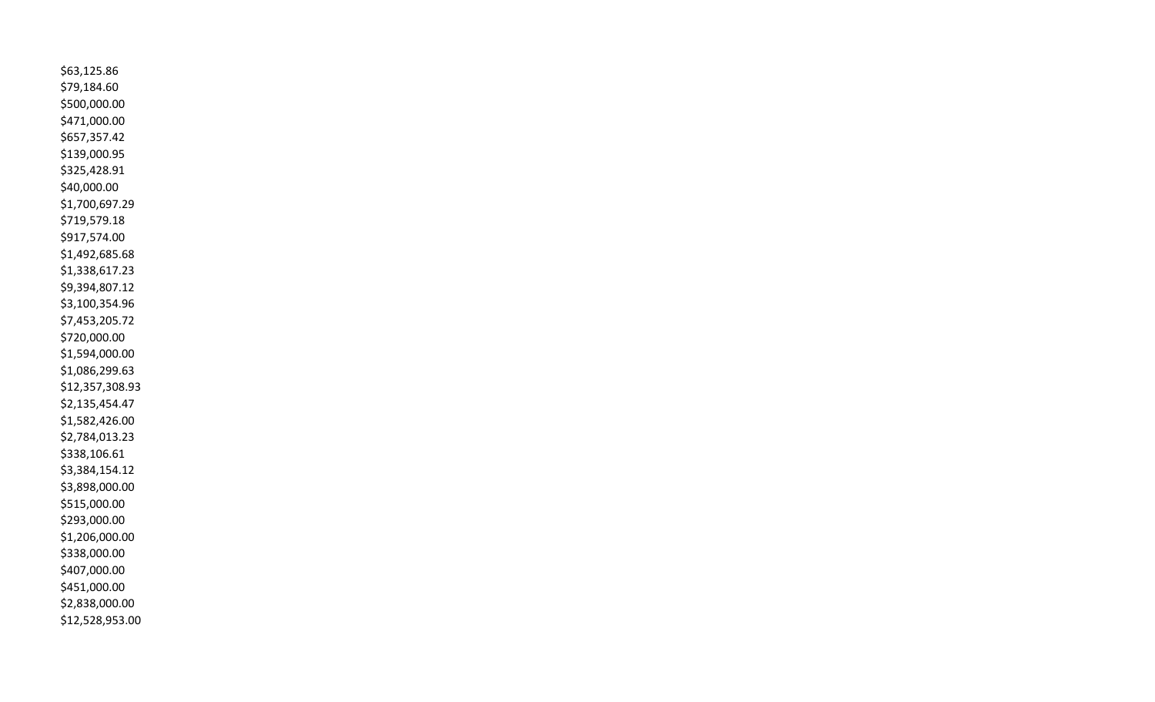\$63,125.86 \$79,184.60 \$500,000.00 \$471,000.00 \$657,357.42 \$139,000.95 \$325,428.91 \$40,000.00 \$1,700,697.29 \$719,579.18 \$917,574.00 \$1,492,685.68 \$1,338,617.23 \$9,394,807.12 \$3,100,354.96 \$7,453,205.72 \$720,000.00 \$1,594,000.00 \$1,086,299.63 \$12,357,308.93 \$2,135,454.47 \$1,582,426.00 \$2,784,013.23 \$338,106.61 \$3,384,154.12 \$3,898,000.00 \$515,000.00 \$293,000.00 \$1,206,000.00 \$338,000.00 \$407,000.00 \$451,000.00 \$2,838,000.00 \$12,528,953.00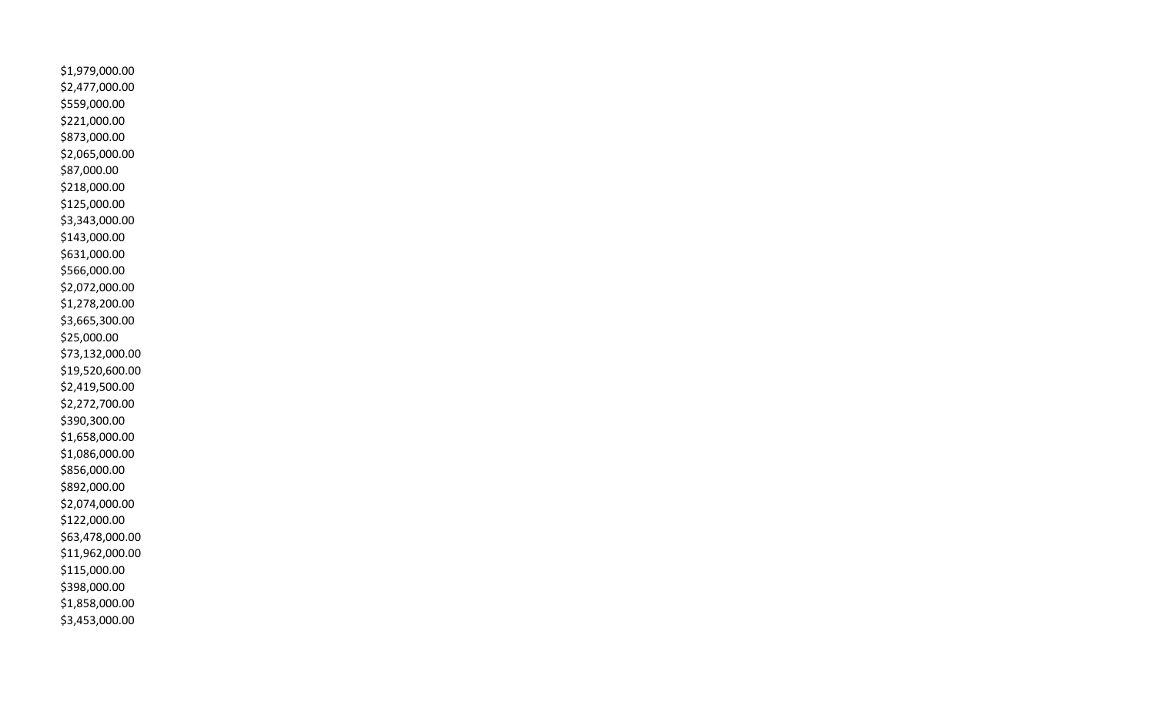\$1,979,000.00 \$2,477,000.00 \$559,000.00 \$221,000.00 \$873,000.00 \$2,065,000.00 \$87,000.00 \$218,000.00 \$125,000.00 \$3,343,000.00 \$143,000.00 \$631,000.00 \$566,000.00 \$2,072,000.00 \$1,278,200.00 \$3,665,300.00 \$25,000.00 \$73,132,000.00 \$19,520,600.00 \$2,419,500.00 \$2,272,700.00 \$390,300.00 \$1,658,000.00 \$1,086,000.00 \$856,000.00 \$892,000.00 \$2,074,000.00 \$122,000.00 \$63,478,000.00 \$11,962,000.00 \$115,000.00 \$398,000.00 \$1,858,000.00 \$3,453,000.00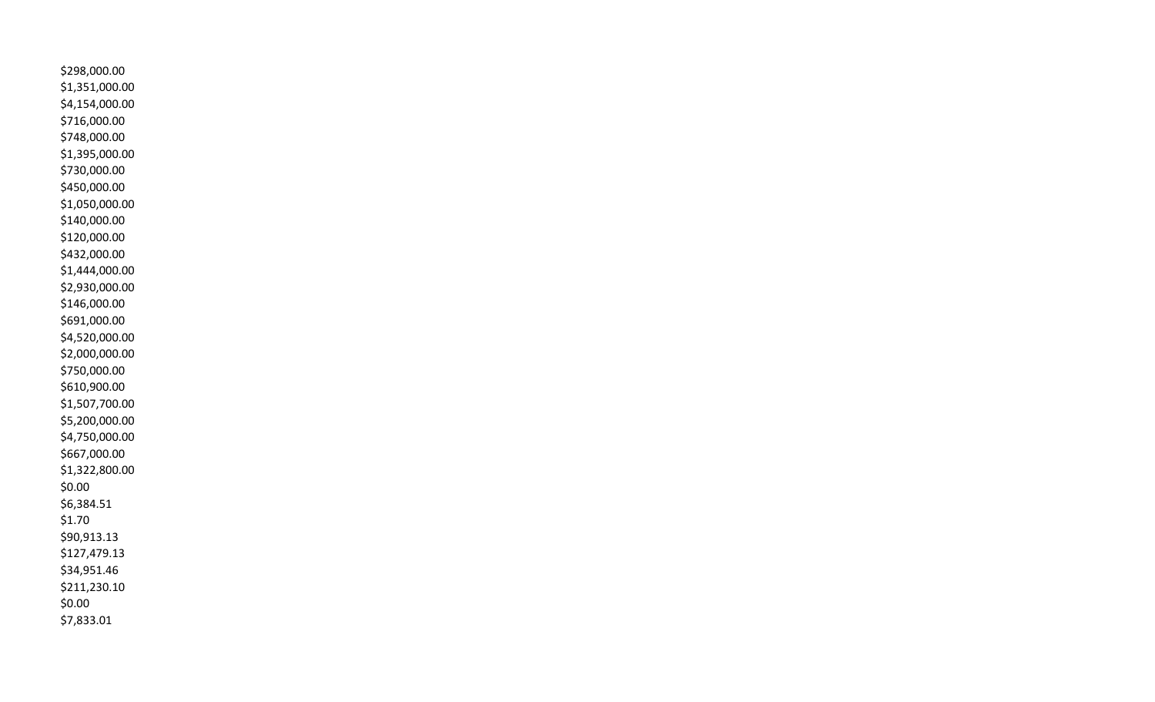\$298,000.00 \$1,351,000.00 \$4,154,000.00 \$716,000.00 \$748,000.00 \$1,395,000.00 \$730,000.00 \$450,000.00 \$1,050,000.00 \$140,000.00 \$120,000.00 \$432,000.00 \$1,444,000.00 \$2,930,000.00 \$146,000.00 \$691,000.00 \$4,520,000.00 \$2,000,000.00 \$750,000.00 \$610,900.00 \$1,507,700.00 \$5,200,000.00 \$4,750,000.00 \$667,000.00 \$1,322,800.00 \$0.00 \$6,384.51 \$1.70 \$90,913.13 \$127,479.13 \$34,951.46 \$211,230.10 \$0.00 \$7,833.01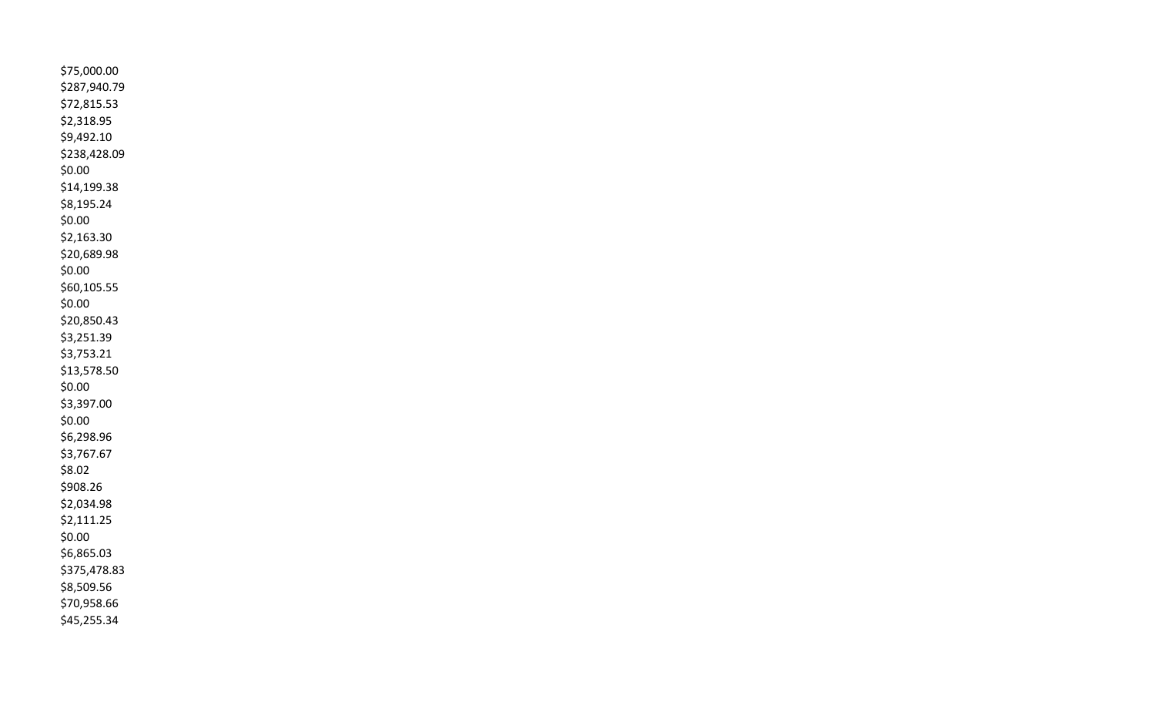\$75,000.00 \$287,940.79 \$72,815.53 \$2,318.95 \$9,492.10 \$238,428.09 \$0.00 \$14,199.38 \$8,195.24 \$0.00 \$2,163.30 \$20,689.98 \$0.00 \$60,105.55 \$0.00 \$20,850.43 \$3,251.39 \$3,753.21 \$13,578.50 \$0.00 \$3,397.00 \$0.00 \$6,298.96 \$3,767.67 \$8.02 \$908.26 \$2,034.98 \$2,111.25 \$0.00 \$6,865.03 \$375,478.83 \$8,509.56 \$70,958.66 \$45,255.34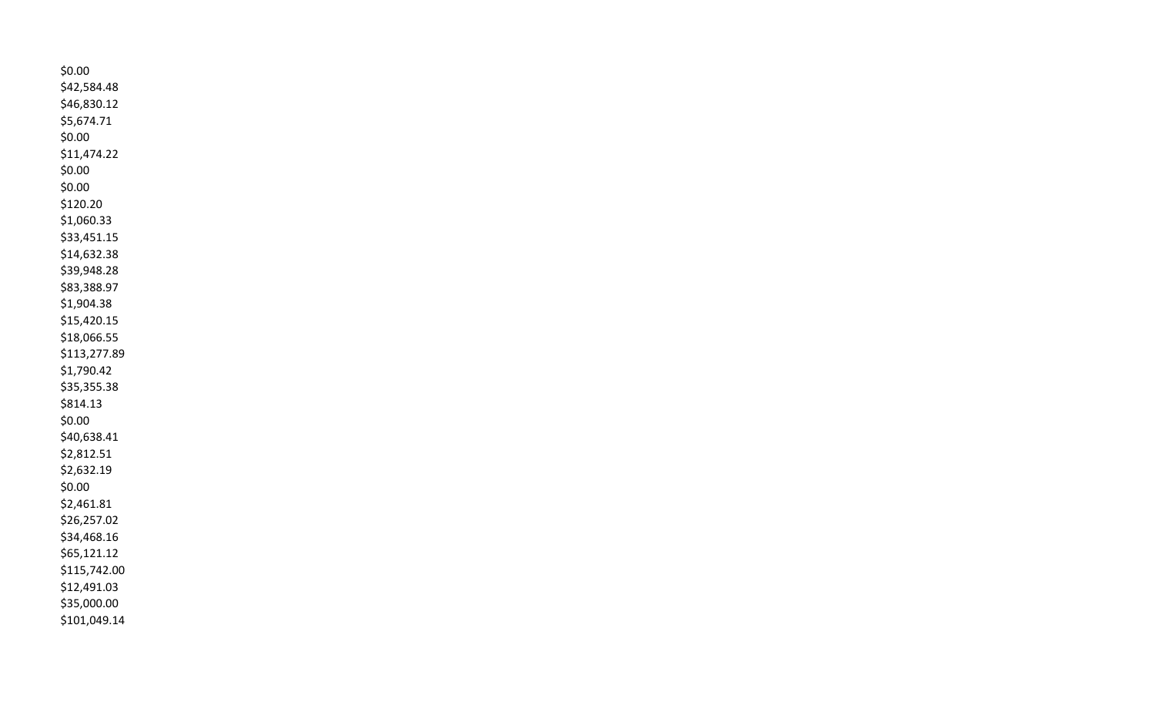\$0.00 \$42,584.48 \$46,830.12 \$5,674.71 \$0.00 \$11,474.22 \$0.00 \$0.00 \$120.20 \$1,060.33 \$33,451.15 \$14,632.38 \$39,948.28 \$83,388.97 \$1,904.38 \$15,420.15 \$18,066.55 \$113,277.89 \$1,790.42 \$35,355.38 \$814.13 \$0.00 \$40,638.41 \$2,812.51 \$2,632.19 \$0.00 \$2,461.81 \$26,257.02 \$34,468.16 \$65,121.12 \$115,742.00 \$12,491.03 \$35,000.00 \$101,049.14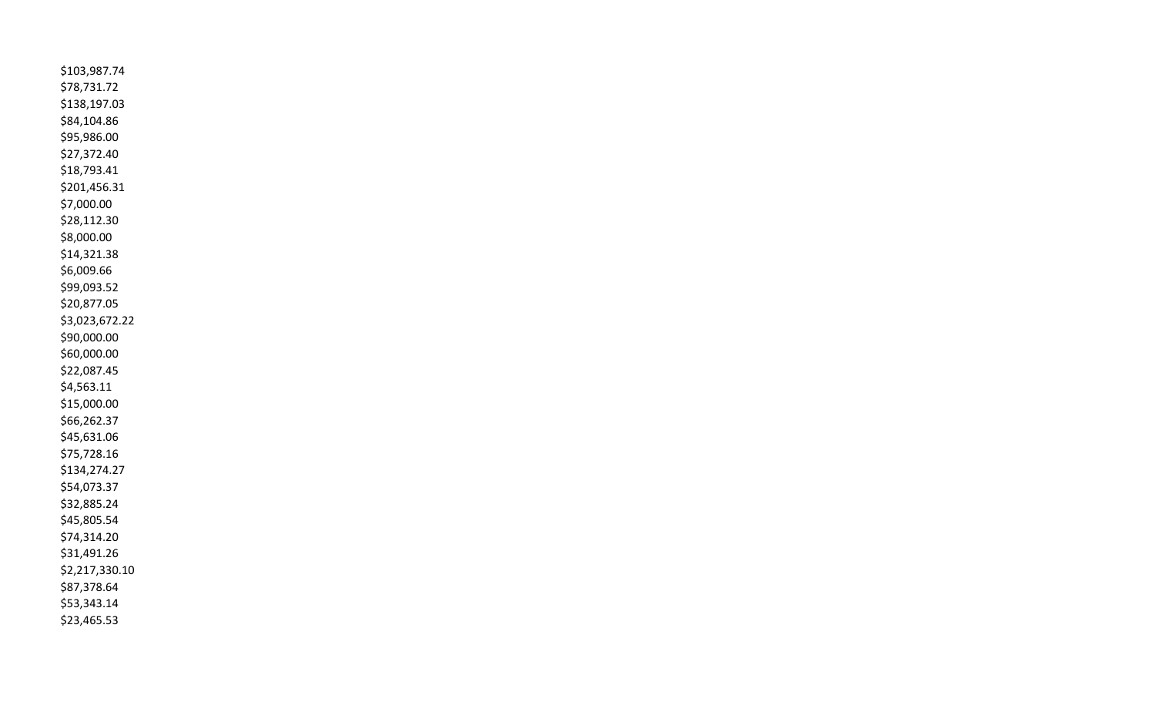\$103,987.74 \$78,731.72 \$138,197.03 \$84,104.86 \$95,986.00 \$27,372.40 \$18,793.41 \$201,456.31 \$7,000.00 \$28,112.30 \$8,000.00 \$14,321.38 \$6,009.66 \$99,093.52 \$20,877.05 \$3,023,672.22 \$90,000.00 \$60,000.00 \$22,087.45 \$4,563.11 \$15,000.00 \$66,262.37 \$45,631.06 \$75,728.16 \$134,274.27 \$54,073.37 \$32,885.24 \$45,805.54 \$74,314.20 \$31,491.26 \$2,217,330.10 \$87,378.64 \$53,343.14 \$23,465.53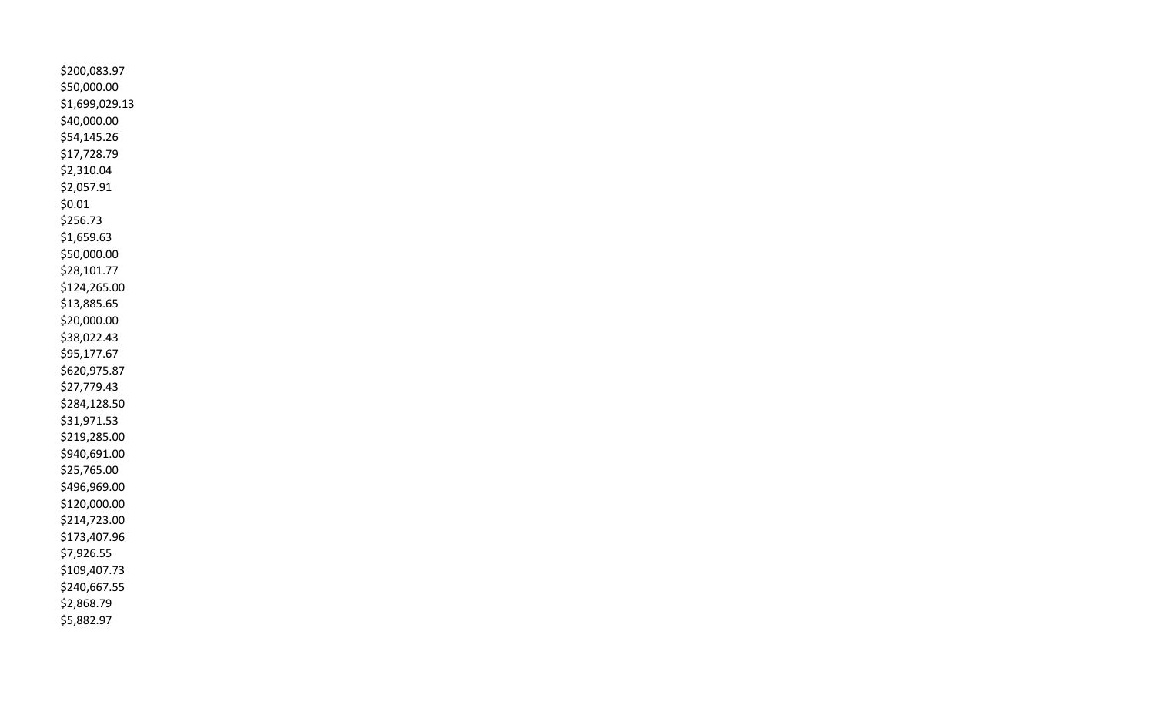\$200,083.97 \$50,000.00 \$1,699,029.13 \$40,000.00 \$54,145.26 \$17,728.79 \$2,310.04 \$2,057.91 \$0.01 \$256.73 \$1,659.63 \$50,000.00 \$28,101.77 \$124,265.00 \$13,885.65 \$20,000.00 \$38,022.43 \$95,177.67 \$620,975.87 \$27,779.43 \$284,128.50 \$31,971.53 \$219,285.00 \$940,691.00 \$25,765.00 \$496,969.00 \$120,000.00 \$214,723.00 \$173,407.96 \$7,926.55 \$109,407.73 \$240,667.55 \$2,868.79 \$5,882.97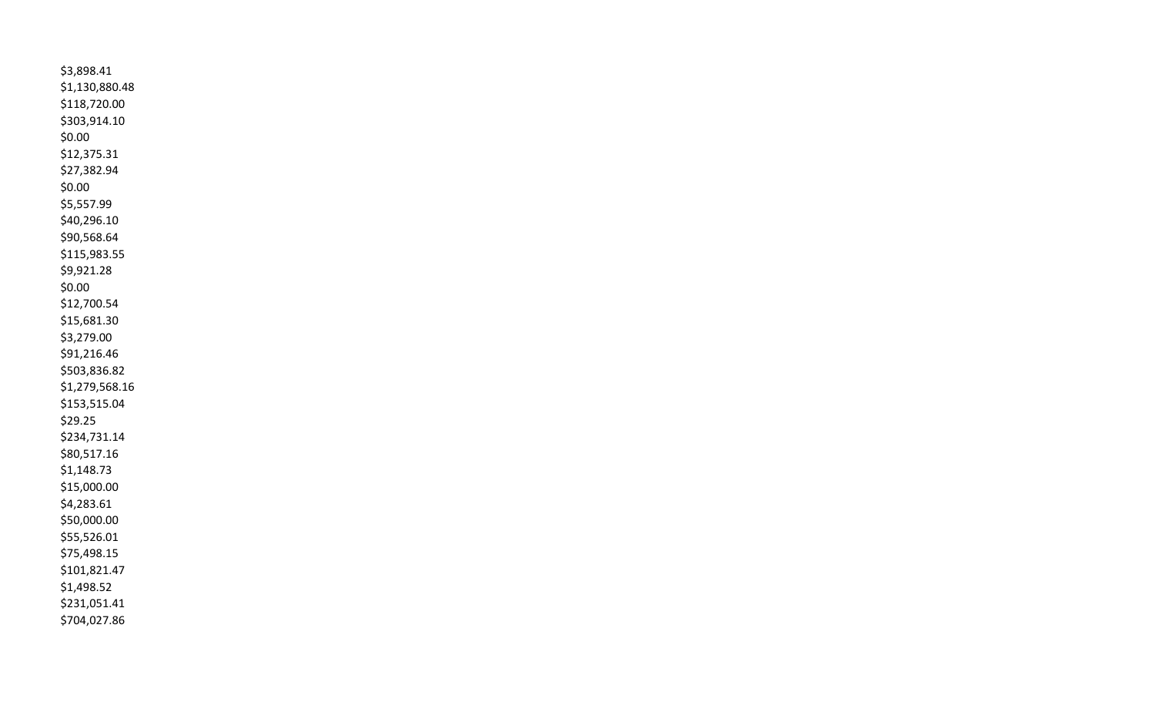\$3,898.41 \$1,130,880.48 \$118,720.00 \$303,914.10 \$0.00 \$12,375.31 \$27,382.94 \$0.00 \$5,557.99 \$40,296.10 \$90,568.64 \$115,983.55 \$9,921.28 \$0.00 \$12,700.54 \$15,681.30 \$3,279.00 \$91,216.46 \$503,836.82 \$1,279,568.16 \$153,515.04 \$29.25 \$234,731.14 \$80,517.16 \$1,148.73 \$15,000.00 \$4,283.61 \$50,000.00 \$55,526.01 \$75,498.15 \$101,821.47 \$1,498.52 \$231,051.41 \$704,027.86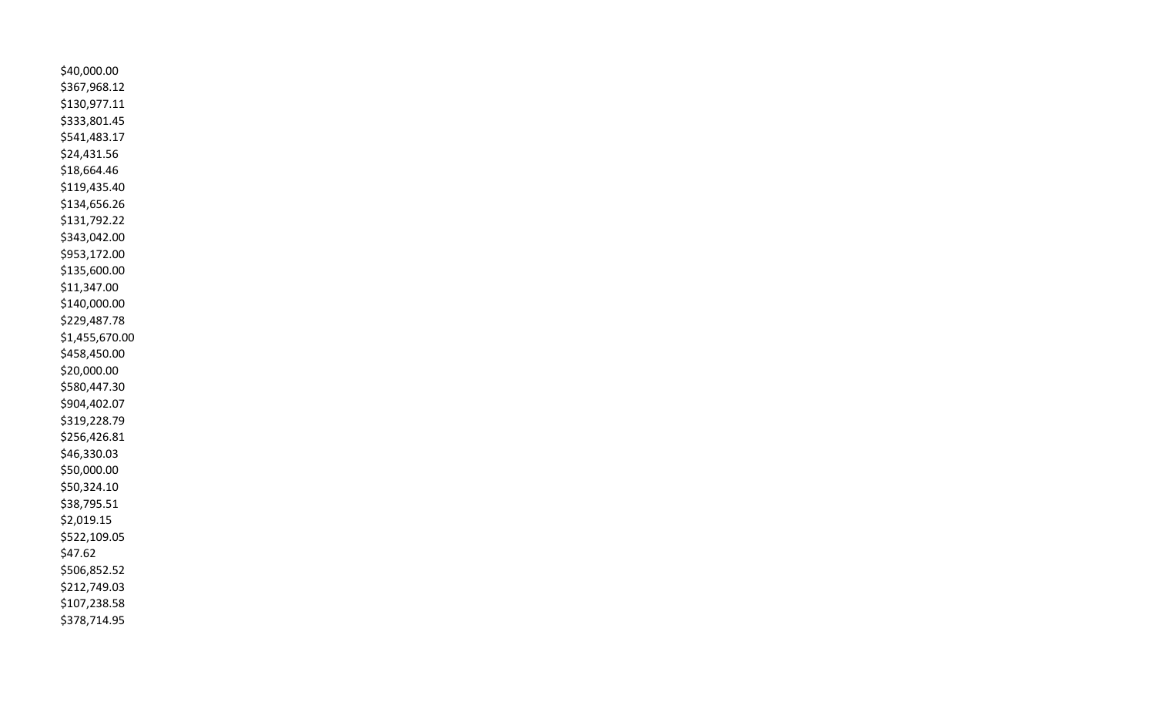\$40,000.00 \$367,968.12 \$130,977.11 \$333,801.45 \$541,483.17 \$24,431.56 \$18,664.46 \$119,435.40 \$134,656.26 \$131,792.22 \$343,042.00 \$953,172.00 \$135,600.00 \$11,347.00 \$140,000.00 \$229,487.78 \$1,455,670.00 \$458,450.00 \$20,000.00 \$580,447.30 \$904,402.07 \$319,228.79 \$256,426.81 \$46,330.03 \$50,000.00 \$50,324.10 \$38,795.51 \$2,019.15 \$522,109.05 \$47.62 \$506,852.52 \$212,749.03 \$107,238.58 \$378,714.95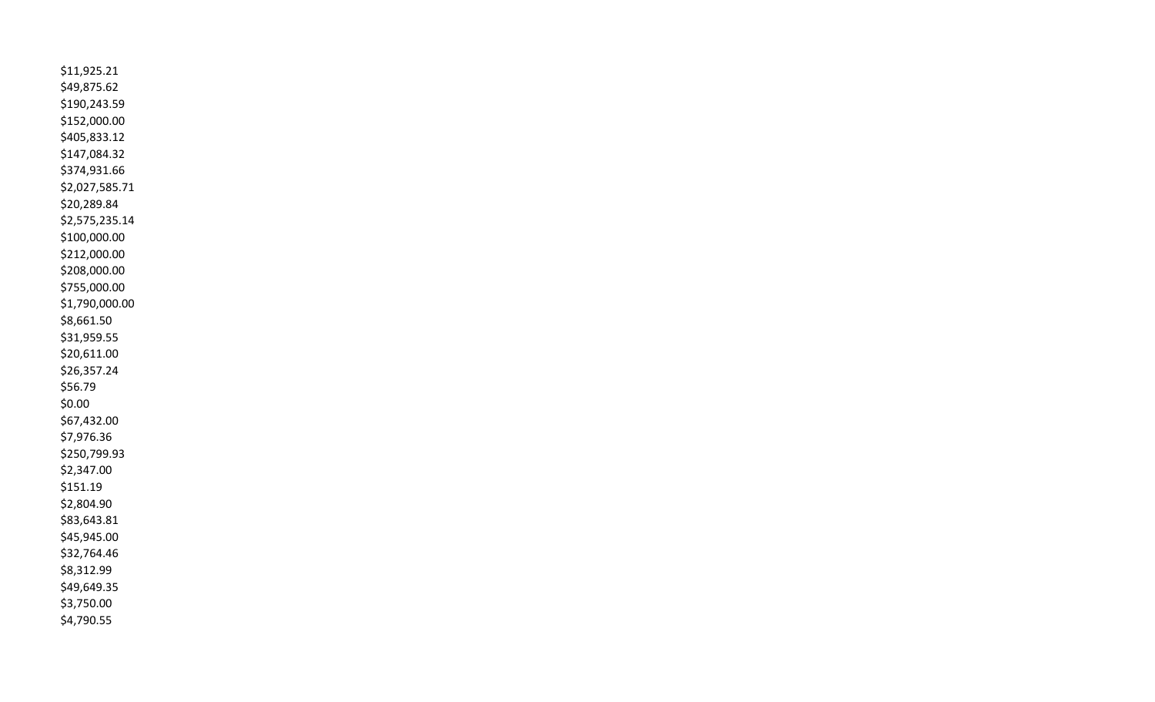\$11,925.21 \$49,875.62 \$190,243.59 \$152,000.00 \$405,833.12 \$147,084.32 \$374,931.66 \$2,027,585.71 \$20,289.84 \$2,575,235.14 \$100,000.00 \$212,000.00 \$208,000.00 \$755,000.00 \$1,790,000.00 \$8,661.50 \$31,959.55 \$20,611.00 \$26,357.24 \$56.79 \$0.00 \$67,432.00 \$7,976.36 \$250,799.93 \$2,347.00 \$151.19 \$2,804.90 \$83,643.81 \$45,945.00 \$32,764.46 \$8,312.99 \$49,649.35 \$3,750.00 \$4,790.55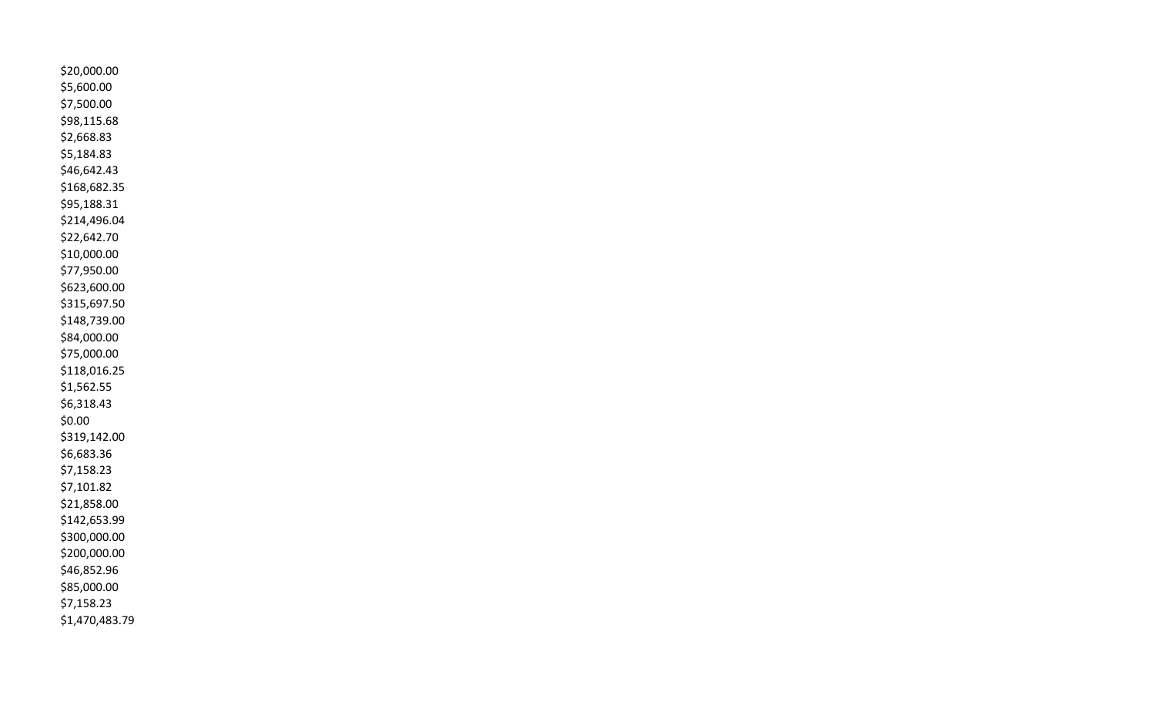\$20,000.00 \$5,600.00 \$7,500.00 \$98,115.68 \$2,668.83 \$5,184.83 \$46,642.43 \$168,682.35 \$95,188.31 \$214,496.04 \$22,642.70 \$10,000.00 \$77,950.00 \$623,600.00 \$315,697.50 \$148,739.00 \$84,000.00 \$75,000.00 \$118,016.25 \$1,562.55 \$6,318.43 \$0.00 \$319,142.00 \$6,683.36 \$7,158.23 \$7,101.82 \$21,858.00 \$142,653.99 \$300,000.00 \$200,000.00 \$46,852.96 \$85,000.00 \$7,158.23 \$1,470,483.79